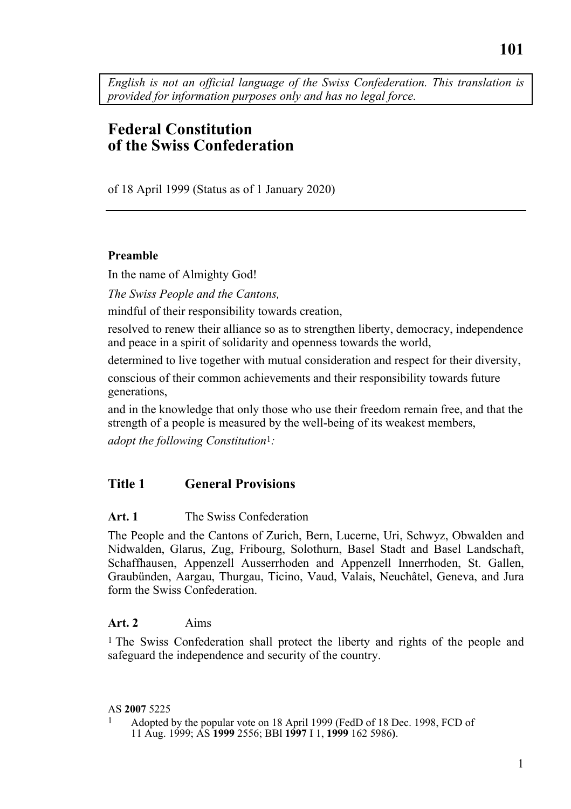*English is not an official language of the Swiss Confederation. This translation is provided for information purposes only and has no legal force.* 

# **Federal Constitution of the Swiss Confederation**

of 18 April 1999 (Status as of 1 January 2020)

### **Preamble**

In the name of Almighty God!

*The Swiss People and the Cantons,* 

mindful of their responsibility towards creation,

resolved to renew their alliance so as to strengthen liberty, democracy, independence and peace in a spirit of solidarity and openness towards the world,

determined to live together with mutual consideration and respect for their diversity,

conscious of their common achievements and their responsibility towards future generations,

and in the knowledge that only those who use their freedom remain free, and that the strength of a people is measured by the well-being of its weakest members,

*adopt the following Constitution*1*:* 

### **Title 1 General Provisions**

#### **Art. 1** The Swiss Confederation

The People and the Cantons of Zurich, Bern, Lucerne, Uri, Schwyz, Obwalden and Nidwalden, Glarus, Zug, Fribourg, Solothurn, Basel Stadt and Basel Landschaft, Schaffhausen, Appenzell Ausserrhoden and Appenzell Innerrhoden, St. Gallen, Graubünden, Aargau, Thurgau, Ticino, Vaud, Valais, Neuchâtel, Geneva, and Jura form the Swiss Confederation.

#### **Art. 2** Aims

<sup>1</sup> The Swiss Confederation shall protect the liberty and rights of the people and safeguard the independence and security of the country.

#### AS **2007** 5225

1 Adopted by the popular vote on 18 April 1999 (FedD of 18 Dec. 1998, FCD of 11 Aug. 1999; AS **1999** 2556; BBl **1997** I 1, **1999** 162 5986**)**.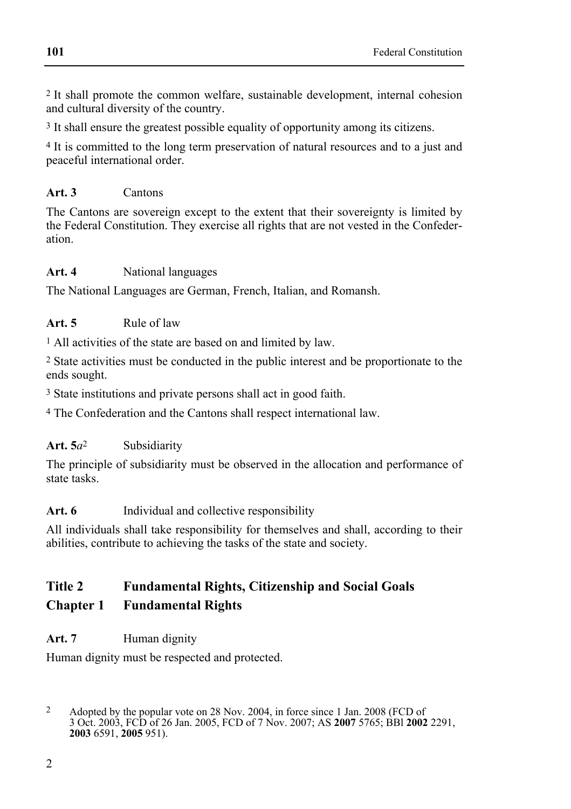2 It shall promote the common welfare, sustainable development, internal cohesion and cultural diversity of the country.

3 It shall ensure the greatest possible equality of opportunity among its citizens.

<sup>4</sup> It is committed to the long term preservation of natural resources and to a just and peaceful international order.

## **Art. 3** Cantons

The Cantons are sovereign except to the extent that their sovereignty is limited by the Federal Constitution. They exercise all rights that are not vested in the Confederation.

### **Art. 4** National languages

The National Languages are German, French, Italian, and Romansh.

### Art. 5 **Rule of law**

<sup>1</sup> All activities of the state are based on and limited by law.

2 State activities must be conducted in the public interest and be proportionate to the ends sought.

3 State institutions and private persons shall act in good faith.

4 The Confederation and the Cantons shall respect international law.

### **Art. 5***a*2 Subsidiarity

The principle of subsidiarity must be observed in the allocation and performance of state tasks.

### Art. 6 **Individual and collective responsibility**

All individuals shall take responsibility for themselves and shall, according to their abilities, contribute to achieving the tasks of the state and society.

# **Title 2 Fundamental Rights, Citizenship and Social Goals Chapter 1 Fundamental Rights**

### Art. 7 **Human dignity**

Human dignity must be respected and protected.

 $\overline{2}$ 2 Adopted by the popular vote on 28 Nov. 2004, in force since 1 Jan. 2008 (FCD of 3 Oct. 2003, FCD of 26 Jan. 2005, FCD of 7 Nov. 2007; AS **2007** 5765; BBl **2002** 2291, **2003** 6591, **2005** 951).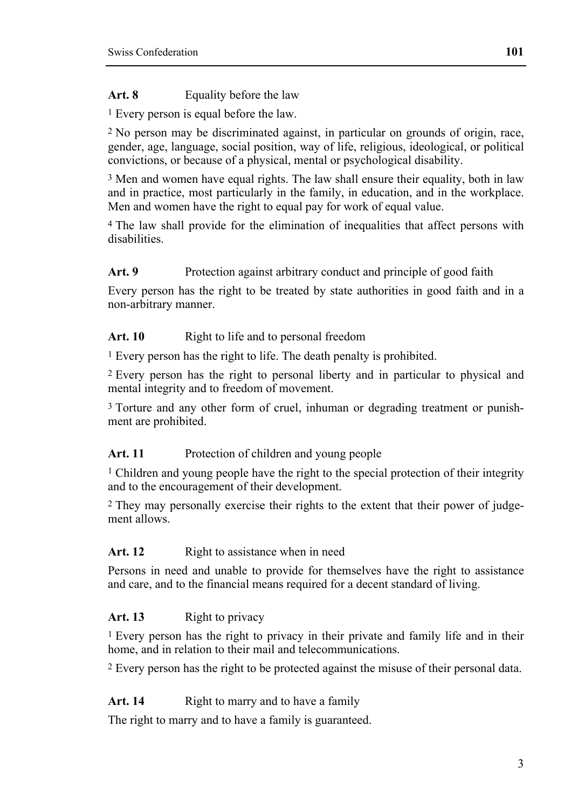Art. 8 **Equality before the law** 

1 Every person is equal before the law.

2 No person may be discriminated against, in particular on grounds of origin, race, gender, age, language, social position, way of life, religious, ideological, or political convictions, or because of a physical, mental or psychological disability.

3 Men and women have equal rights. The law shall ensure their equality, both in law and in practice, most particularly in the family, in education, and in the workplace. Men and women have the right to equal pay for work of equal value.

4 The law shall provide for the elimination of inequalities that affect persons with disabilities.

# Art. 9 **Protection against arbitrary conduct and principle of good faith**

Every person has the right to be treated by state authorities in good faith and in a non-arbitrary manner.

## Art. 10 **Right to life and to personal freedom**

<sup>1</sup> Every person has the right to life. The death penalty is prohibited.

2 Every person has the right to personal liberty and in particular to physical and mental integrity and to freedom of movement.

3 Torture and any other form of cruel, inhuman or degrading treatment or punishment are prohibited.

# Art. 11 Protection of children and young people

1 Children and young people have the right to the special protection of their integrity and to the encouragement of their development.

2 They may personally exercise their rights to the extent that their power of judgement allows.

# Art. 12 Right to assistance when in need

Persons in need and unable to provide for themselves have the right to assistance and care, and to the financial means required for a decent standard of living.

# Art. 13 Right to privacy

1 Every person has the right to privacy in their private and family life and in their home, and in relation to their mail and telecommunications.

2 Every person has the right to be protected against the misuse of their personal data.

# Art. 14 **Right to marry and to have a family**

The right to marry and to have a family is guaranteed.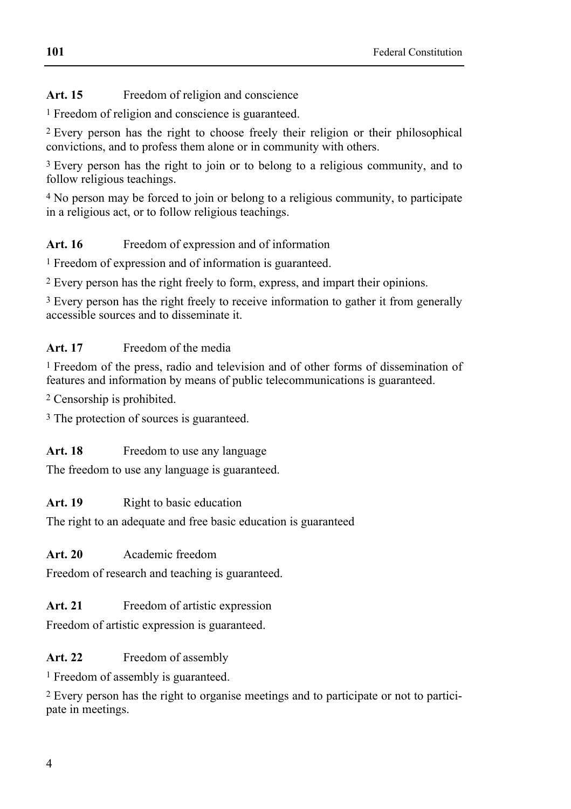Art. 15 Freedom of religion and conscience

<sup>1</sup> Freedom of religion and conscience is guaranteed.

2 Every person has the right to choose freely their religion or their philosophical convictions, and to profess them alone or in community with others.

<sup>3</sup> Every person has the right to join or to belong to a religious community, and to follow religious teachings.

4 No person may be forced to join or belong to a religious community, to participate in a religious act, or to follow religious teachings.

# Art. 16 Freedom of expression and of information

1 Freedom of expression and of information is guaranteed.

2 Every person has the right freely to form, express, and impart their opinions.

<sup>3</sup> Every person has the right freely to receive information to gather it from generally accessible sources and to disseminate it.

# **Art. 17** Freedom of the media

1 Freedom of the press, radio and television and of other forms of dissemination of features and information by means of public telecommunications is guaranteed.

2 Censorship is prohibited.

<sup>3</sup> The protection of sources is guaranteed.

# Art. 18 Freedom to use any language

The freedom to use any language is guaranteed.

# Art. 19 **Right to basic education**

The right to an adequate and free basic education is guaranteed

# **Art. 20** Academic freedom

Freedom of research and teaching is guaranteed.

# Art. 21 **Freedom of artistic expression**

Freedom of artistic expression is guaranteed.

# Art. 22 Freedom of assembly

1 Freedom of assembly is guaranteed.

2 Every person has the right to organise meetings and to participate or not to participate in meetings.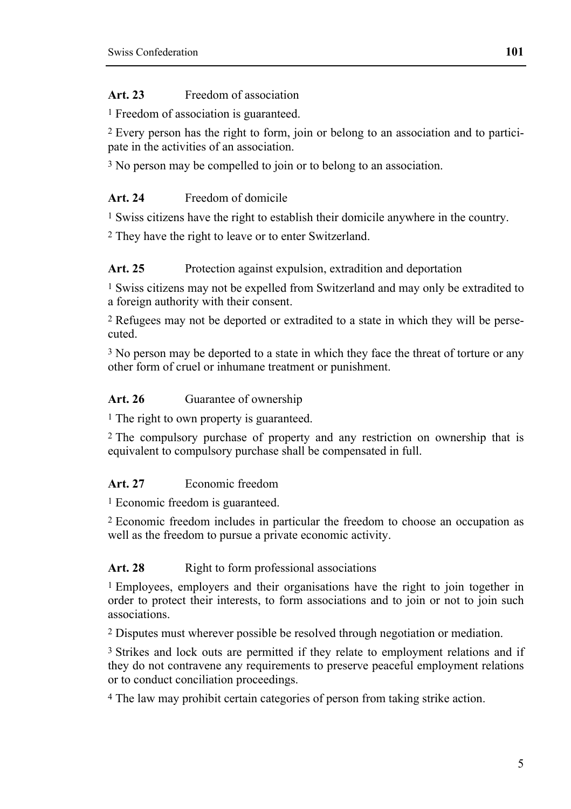# **Art. 23** Freedom of association

<sup>1</sup> Freedom of association is guaranteed.

2 Every person has the right to form, join or belong to an association and to participate in the activities of an association.

<sup>3</sup> No person may be compelled to join or to belong to an association.

# **Art. 24** Freedom of domicile

1 Swiss citizens have the right to establish their domicile anywhere in the country.

2 They have the right to leave or to enter Switzerland.

## Art. 25 Protection against expulsion, extradition and deportation

1 Swiss citizens may not be expelled from Switzerland and may only be extradited to a foreign authority with their consent.

2 Refugees may not be deported or extradited to a state in which they will be persecuted.

<sup>3</sup> No person may be deported to a state in which they face the threat of torture or any other form of cruel or inhumane treatment or punishment.

# Art. 26 **Guarantee of ownership**

<sup>1</sup> The right to own property is guaranteed.

2 The compulsory purchase of property and any restriction on ownership that is equivalent to compulsory purchase shall be compensated in full.

# **Art. 27** Economic freedom

<sup>1</sup> Economic freedom is guaranteed.

2 Economic freedom includes in particular the freedom to choose an occupation as well as the freedom to pursue a private economic activity.

# Art. 28 **Right to form professional associations**

1 Employees, employers and their organisations have the right to join together in order to protect their interests, to form associations and to join or not to join such associations.

2 Disputes must wherever possible be resolved through negotiation or mediation.

<sup>3</sup> Strikes and lock outs are permitted if they relate to employment relations and if they do not contravene any requirements to preserve peaceful employment relations or to conduct conciliation proceedings.

4 The law may prohibit certain categories of person from taking strike action.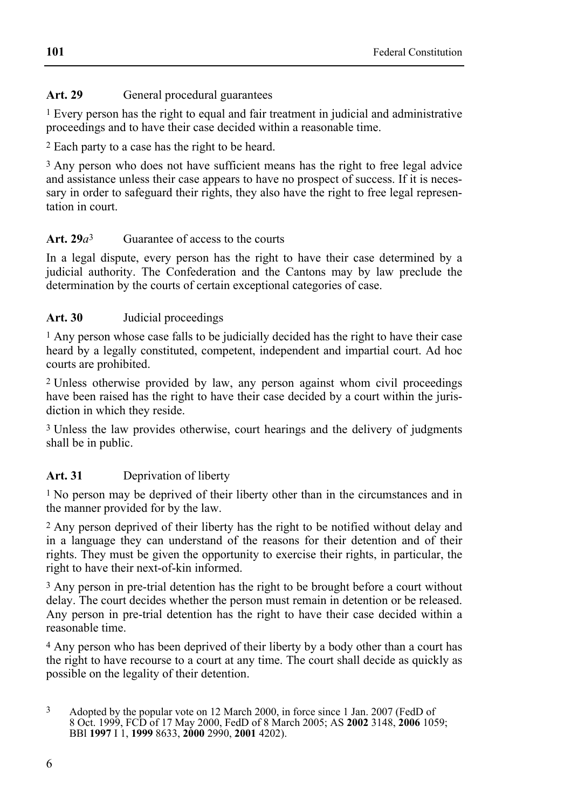# Art. 29 **General procedural guarantees**

 $<sup>1</sup>$  Every person has the right to equal and fair treatment in judicial and administrative</sup> proceedings and to have their case decided within a reasonable time.

2 Each party to a case has the right to be heard.

3 Any person who does not have sufficient means has the right to free legal advice and assistance unless their case appears to have no prospect of success. If it is necessary in order to safeguard their rights, they also have the right to free legal representation in court.

## **Art. 29***a*3 Guarantee of access to the courts

In a legal dispute, every person has the right to have their case determined by a judicial authority. The Confederation and the Cantons may by law preclude the determination by the courts of certain exceptional categories of case.

## **Art. 30** Judicial proceedings

1 Any person whose case falls to be judicially decided has the right to have their case heard by a legally constituted, competent, independent and impartial court. Ad hoc courts are prohibited.

2 Unless otherwise provided by law, any person against whom civil proceedings have been raised has the right to have their case decided by a court within the jurisdiction in which they reside.

<sup>3</sup> Unless the law provides otherwise, court hearings and the delivery of judgments shall be in public.

# **Art. 31** Deprivation of liberty

<sup>1</sup> No person may be deprived of their liberty other than in the circumstances and in the manner provided for by the law.

2 Any person deprived of their liberty has the right to be notified without delay and in a language they can understand of the reasons for their detention and of their rights. They must be given the opportunity to exercise their rights, in particular, the right to have their next-of-kin informed.

3 Any person in pre-trial detention has the right to be brought before a court without delay. The court decides whether the person must remain in detention or be released. Any person in pre-trial detention has the right to have their case decided within a reasonable time.

4 Any person who has been deprived of their liberty by a body other than a court has the right to have recourse to a court at any time. The court shall decide as quickly as possible on the legality of their detention.

<sup>3</sup> Adopted by the popular vote on 12 March 2000, in force since 1 Jan. 2007 (FedD of 8 Oct. 1999, FCD of 17 May 2000, FedD of 8 March 2005; AS **2002** 3148, **2006** 1059; BBl **1997** I 1, **1999** 8633, **2000** 2990, **2001** 4202).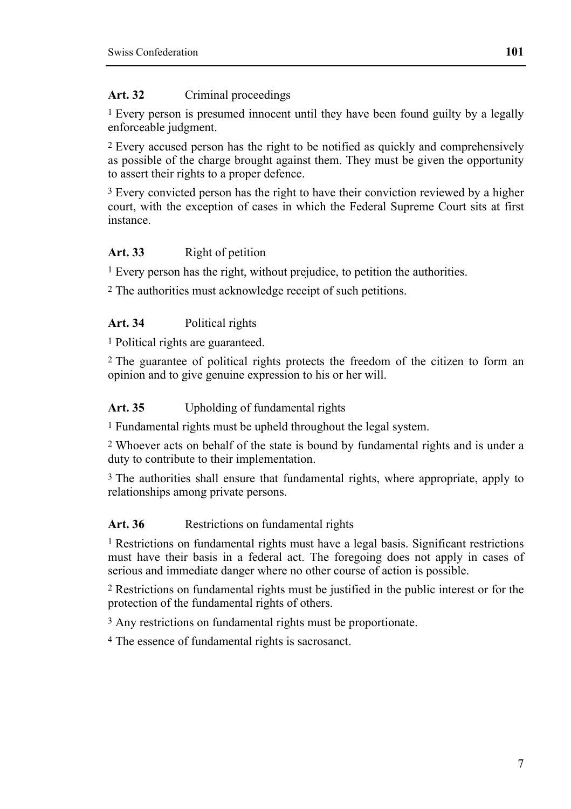#### Art. 32 Criminal proceedings

1 Every person is presumed innocent until they have been found guilty by a legally enforceable judgment.

<sup>2</sup> Every accused person has the right to be notified as quickly and comprehensively as possible of the charge brought against them. They must be given the opportunity to assert their rights to a proper defence.

3 Every convicted person has the right to have their conviction reviewed by a higher court, with the exception of cases in which the Federal Supreme Court sits at first instance.

### Art. 33 Right of petition

1 Every person has the right, without prejudice, to petition the authorities.

2 The authorities must acknowledge receipt of such petitions.

#### **Art. 34** Political rights

1 Political rights are guaranteed.

2 The guarantee of political rights protects the freedom of the citizen to form an opinion and to give genuine expression to his or her will.

#### **Art. 35** Upholding of fundamental rights

1 Fundamental rights must be upheld throughout the legal system.

2 Whoever acts on behalf of the state is bound by fundamental rights and is under a duty to contribute to their implementation.

<sup>3</sup> The authorities shall ensure that fundamental rights, where appropriate, apply to relationships among private persons.

#### Art. 36 **Restrictions on fundamental rights**

<sup>1</sup> Restrictions on fundamental rights must have a legal basis. Significant restrictions must have their basis in a federal act. The foregoing does not apply in cases of serious and immediate danger where no other course of action is possible.

2 Restrictions on fundamental rights must be justified in the public interest or for the protection of the fundamental rights of others.

3 Any restrictions on fundamental rights must be proportionate.

4 The essence of fundamental rights is sacrosanct.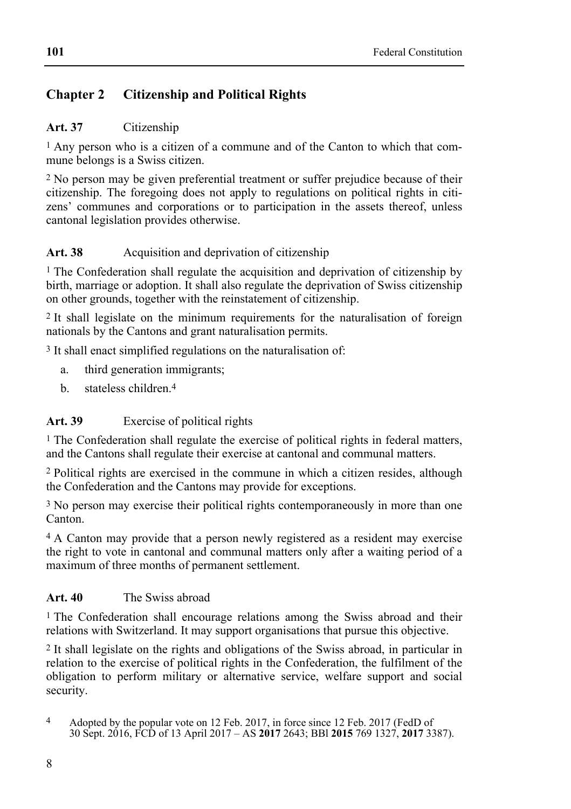# **Chapter 2 Citizenship and Political Rights**

## **Art. 37** Citizenship

1 Any person who is a citizen of a commune and of the Canton to which that commune belongs is a Swiss citizen.

2 No person may be given preferential treatment or suffer prejudice because of their citizenship. The foregoing does not apply to regulations on political rights in citizens' communes and corporations or to participation in the assets thereof, unless cantonal legislation provides otherwise.

# Art. 38 **Acquisition and deprivation of citizenship**

1 The Confederation shall regulate the acquisition and deprivation of citizenship by birth, marriage or adoption. It shall also regulate the deprivation of Swiss citizenship on other grounds, together with the reinstatement of citizenship.

2 It shall legislate on the minimum requirements for the naturalisation of foreign nationals by the Cantons and grant naturalisation permits.

3 It shall enact simplified regulations on the naturalisation of:

- a. third generation immigrants;
- b. stateless children.4

# **Art. 39** Exercise of political rights

<sup>1</sup> The Confederation shall regulate the exercise of political rights in federal matters, and the Cantons shall regulate their exercise at cantonal and communal matters.

2 Political rights are exercised in the commune in which a citizen resides, although the Confederation and the Cantons may provide for exceptions.

3 No person may exercise their political rights contemporaneously in more than one Canton.

4 A Canton may provide that a person newly registered as a resident may exercise the right to vote in cantonal and communal matters only after a waiting period of a maximum of three months of permanent settlement.

### **Art. 40** The Swiss abroad

<sup>1</sup> The Confederation shall encourage relations among the Swiss abroad and their relations with Switzerland. It may support organisations that pursue this objective.

2 It shall legislate on the rights and obligations of the Swiss abroad, in particular in relation to the exercise of political rights in the Confederation, the fulfilment of the obligation to perform military or alternative service, welfare support and social security.

 $\overline{4}$ 4 Adopted by the popular vote on 12 Feb. 2017, in force since 12 Feb. 2017 (FedD of 30 Sept. 2016, FCD of 13 April 2017 – AS **2017** 2643; BBl **2015** 769 1327, **2017** 3387).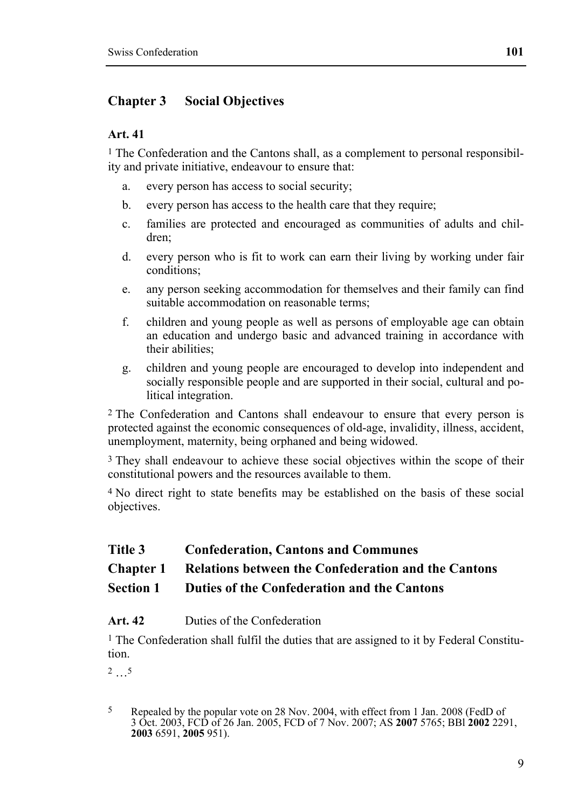# **Chapter 3 Social Objectives**

### **Art. 41**

1 The Confederation and the Cantons shall, as a complement to personal responsibility and private initiative, endeavour to ensure that:

- a. every person has access to social security;
- b. every person has access to the health care that they require;
- c. families are protected and encouraged as communities of adults and children;
- d. every person who is fit to work can earn their living by working under fair conditions;
- e. any person seeking accommodation for themselves and their family can find suitable accommodation on reasonable terms;
- f. children and young people as well as persons of employable age can obtain an education and undergo basic and advanced training in accordance with their abilities;
- g. children and young people are encouraged to develop into independent and socially responsible people and are supported in their social, cultural and political integration.

2 The Confederation and Cantons shall endeavour to ensure that every person is protected against the economic consequences of old-age, invalidity, illness, accident, unemployment, maternity, being orphaned and being widowed.

3 They shall endeavour to achieve these social objectives within the scope of their constitutional powers and the resources available to them.

4 No direct right to state benefits may be established on the basis of these social objectives.

### **Title 3 Confederation, Cantons and Communes**

### **Chapter 1 Relations between the Confederation and the Cantons**

#### **Section 1 Duties of the Confederation and the Cantons**

### **Art. 42** Duties of the Confederation

<sup>1</sup> The Confederation shall fulfil the duties that are assigned to it by Federal Constitution.

2 …5

<sup>5</sup> Repealed by the popular vote on 28 Nov. 2004, with effect from 1 Jan. 2008 (FedD of 3 Oct. 2003, FCD of 26 Jan. 2005, FCD of 7 Nov. 2007; AS **2007** 5765; BBl **2002** 2291, **2003** 6591, **2005** 951).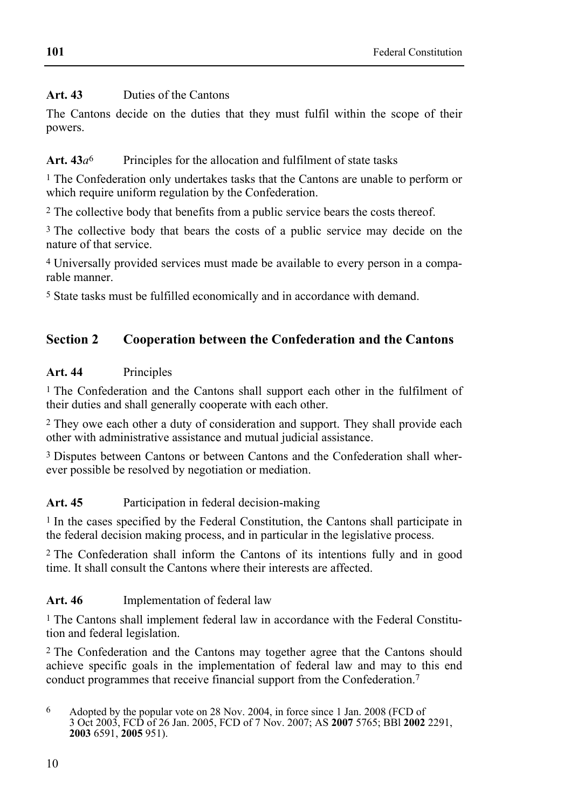# **Art. 43** Duties of the Cantons

The Cantons decide on the duties that they must fulfil within the scope of their powers.

# Art.  $43a^6$  Principles for the allocation and fulfilment of state tasks

1 The Confederation only undertakes tasks that the Cantons are unable to perform or which require uniform regulation by the Confederation.

<sup>2</sup> The collective body that benefits from a public service bears the costs thereof.

<sup>3</sup> The collective body that bears the costs of a public service may decide on the nature of that service.

4 Universally provided services must made be available to every person in a comparable manner.

5 State tasks must be fulfilled economically and in accordance with demand.

# **Section 2 Cooperation between the Confederation and the Cantons**

## **Art. 44** Principles

1 The Confederation and the Cantons shall support each other in the fulfilment of their duties and shall generally cooperate with each other.

2 They owe each other a duty of consideration and support. They shall provide each other with administrative assistance and mutual judicial assistance.

3 Disputes between Cantons or between Cantons and the Confederation shall wherever possible be resolved by negotiation or mediation.

### Art. 45 Participation in federal decision-making

1 In the cases specified by the Federal Constitution, the Cantons shall participate in the federal decision making process, and in particular in the legislative process.

2 The Confederation shall inform the Cantons of its intentions fully and in good time. It shall consult the Cantons where their interests are affected.

# **Art. 46** Implementation of federal law

1 The Cantons shall implement federal law in accordance with the Federal Constitution and federal legislation.

2 The Confederation and the Cantons may together agree that the Cantons should achieve specific goals in the implementation of federal law and may to this end conduct programmes that receive financial support from the Confederation.7

<sup>6</sup> Adopted by the popular vote on 28 Nov. 2004, in force since 1 Jan. 2008 (FCD of 3 Oct 2003, FCD of 26 Jan. 2005, FCD of 7 Nov. 2007; AS **2007** 5765; BBl **2002** 2291, **2003** 6591, **2005** 951).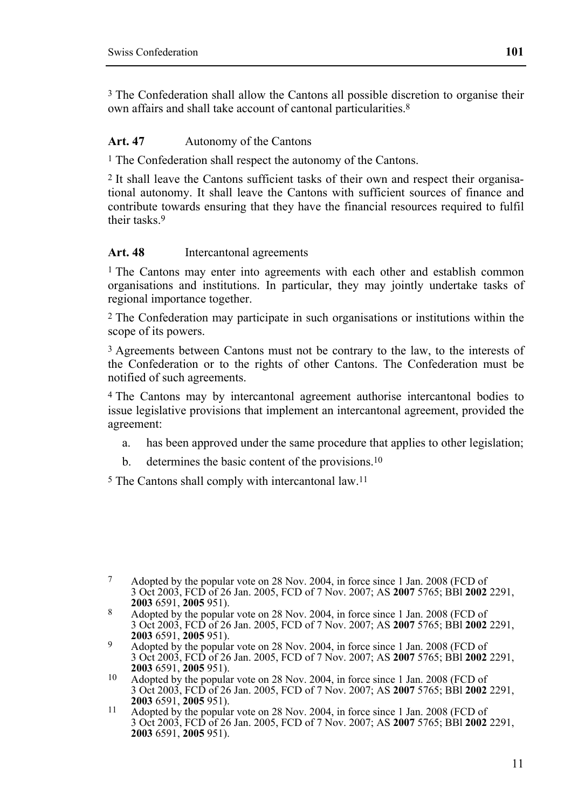3 The Confederation shall allow the Cantons all possible discretion to organise their own affairs and shall take account of cantonal particularities.8

#### **Art. 47** Autonomy of the Cantons

1 The Confederation shall respect the autonomy of the Cantons.

2 It shall leave the Cantons sufficient tasks of their own and respect their organisational autonomy. It shall leave the Cantons with sufficient sources of finance and contribute towards ensuring that they have the financial resources required to fulfil their tasks<sup>9</sup>

#### **Art. 48** Intercantonal agreements

1 The Cantons may enter into agreements with each other and establish common organisations and institutions. In particular, they may jointly undertake tasks of regional importance together.

2 The Confederation may participate in such organisations or institutions within the scope of its powers.

<sup>3</sup> Agreements between Cantons must not be contrary to the law, to the interests of the Confederation or to the rights of other Cantons. The Confederation must be notified of such agreements.

4 The Cantons may by intercantonal agreement authorise intercantonal bodies to issue legislative provisions that implement an intercantonal agreement, provided the agreement:

- a. has been approved under the same procedure that applies to other legislation;
- b. determines the basic content of the provisions.<sup>10</sup>

5 The Cantons shall comply with intercantonal law.11

<sup>7</sup> Adopted by the popular vote on 28 Nov. 2004, in force since 1 Jan. 2008 (FCD of 3 Oct 2003, FCD of 26 Jan. 2005, FCD of 7 Nov. 2007; AS **2007** 5765; BBl **2002** 2291,

**<sup>2003</sup>** 6591, **2005** 951). 8 Adopted by the popular vote on 28 Nov. 2004, in force since 1 Jan. 2008 (FCD of 3 Oct 2003, FCD of 26 Jan. 2005, FCD of 7 Nov. 2007; AS **2007** 5765; BBl **2002** 2291,

<sup>&</sup>lt;sup>9</sup> Adopted by the popular vote on 28 Nov. 2004, in force since 1 Jan. 2008 (FCD of 3 Oct 2003, FCD of 26 Jan. 2005, FCD of 7 Nov. 2007; AS **2007** 5765; BBl **2002** 2291,

<sup>&</sup>lt;sup>10</sup> Adopted by the popular vote on 28 Nov. 2004, in force since 1 Jan. 2008 (FCD of 3 Oct 2003, FCD of 26 Jan. 2005, FCD of 7 Nov. 2007; AS **2007** 5765; BBl **2002** 2291,

<sup>&</sup>lt;sup>11</sup> Adopted by the popular vote on 28 Nov. 2004, in force since 1 Jan. 2008 (FCD of 3 Oct 2003, FCD of 26 Jan. 2005, FCD of 7 Nov. 2007; AS **2007** 5765; BBl **2002** 2291, **2003** 6591, **2005** 951).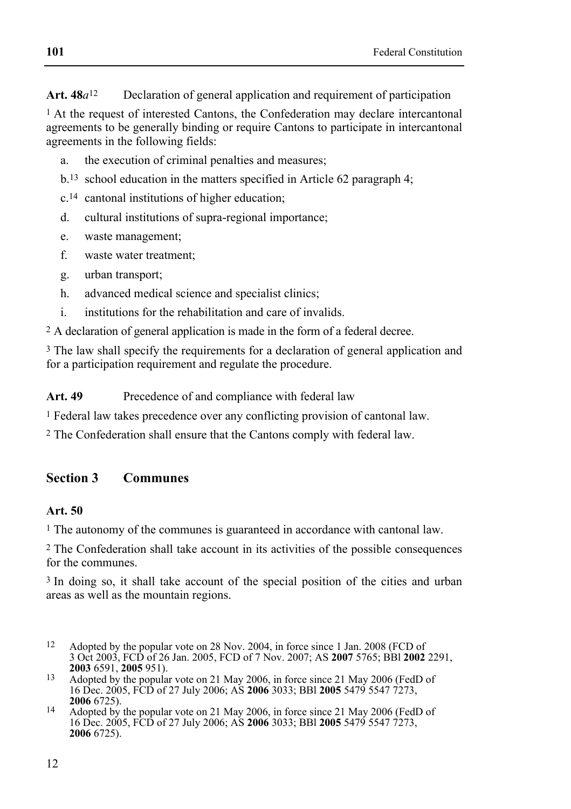**Art. 48***a*12 Declaration of general application and requirement of participation

1 At the request of interested Cantons, the Confederation may declare intercantonal agreements to be generally binding or require Cantons to participate in intercantonal agreements in the following fields:

- a. the execution of criminal penalties and measures;
- b.13 school education in the matters specified in Article 62 paragraph 4;
- c.14 cantonal institutions of higher education;
- d. cultural institutions of supra-regional importance;
- e. waste management;
- f. waste water treatment;
- g. urban transport;
- h. advanced medical science and specialist clinics;
- i. institutions for the rehabilitation and care of invalids.

2 A declaration of general application is made in the form of a federal decree.

<sup>3</sup> The law shall specify the requirements for a declaration of general application and for a participation requirement and regulate the procedure.

Art. 49 Precedence of and compliance with federal law

1 Federal law takes precedence over any conflicting provision of cantonal law.

2 The Confederation shall ensure that the Cantons comply with federal law.

# **Section 3 Communes**

#### **Art. 50**

1 The autonomy of the communes is guaranteed in accordance with cantonal law.

2 The Confederation shall take account in its activities of the possible consequences for the communes.

3 In doing so, it shall take account of the special position of the cities and urban areas as well as the mountain regions.

- 12 Adopted by the popular vote on 28 Nov. 2004, in force since 1 Jan. 2008 (FCD of 3 Oct 2003, FCD of 26 Jan. 2005, FCD of 7 Nov. 2007; AS **2007** 5765; BBl **2002** 2291,
- <sup>13</sup> Adopted by the popular vote on 21 May 2006, in force since 21 May 2006 (FedD of 16 Dec. 2005, FCD of 27 July 2006; AS **2006** 3033; BBl **2005** 5479 5547 7273,
- <sup>14</sup> Adopted by the popular vote on 21 May 2006, in force since 21 May 2006 (FedD of 16 Dec. 2005, FCD of 27 July 2006; AS **2006** 3033; BBl **2005** 5479 5547 7273, **2006** 6725).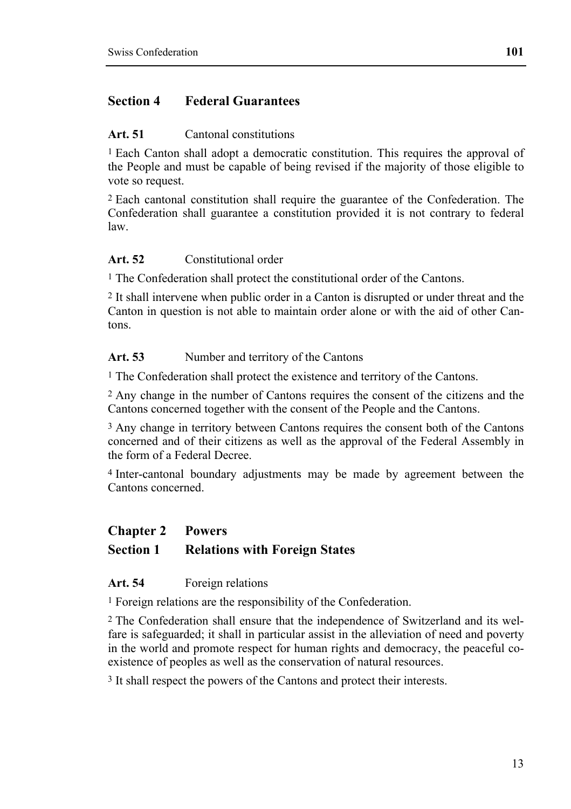# **Section 4 Federal Guarantees**

#### **Art. 51** Cantonal constitutions

1 Each Canton shall adopt a democratic constitution. This requires the approval of the People and must be capable of being revised if the majority of those eligible to vote so request.

2 Each cantonal constitution shall require the guarantee of the Confederation. The Confederation shall guarantee a constitution provided it is not contrary to federal law.

### **Art. 52** Constitutional order

<sup>1</sup> The Confederation shall protect the constitutional order of the Cantons.

2 It shall intervene when public order in a Canton is disrupted or under threat and the Canton in question is not able to maintain order alone or with the aid of other Cantons.

#### Art. 53 Number and territory of the Cantons

1 The Confederation shall protect the existence and territory of the Cantons.

2 Any change in the number of Cantons requires the consent of the citizens and the Cantons concerned together with the consent of the People and the Cantons.

3 Any change in territory between Cantons requires the consent both of the Cantons concerned and of their citizens as well as the approval of the Federal Assembly in the form of a Federal Decree.

4 Inter-cantonal boundary adjustments may be made by agreement between the Cantons concerned.

#### **Chapter 2 Powers**

### **Section 1 Relations with Foreign States**

#### **Art. 54** Foreign relations

1 Foreign relations are the responsibility of the Confederation.

2 The Confederation shall ensure that the independence of Switzerland and its welfare is safeguarded; it shall in particular assist in the alleviation of need and poverty in the world and promote respect for human rights and democracy, the peaceful coexistence of peoples as well as the conservation of natural resources.

3 It shall respect the powers of the Cantons and protect their interests.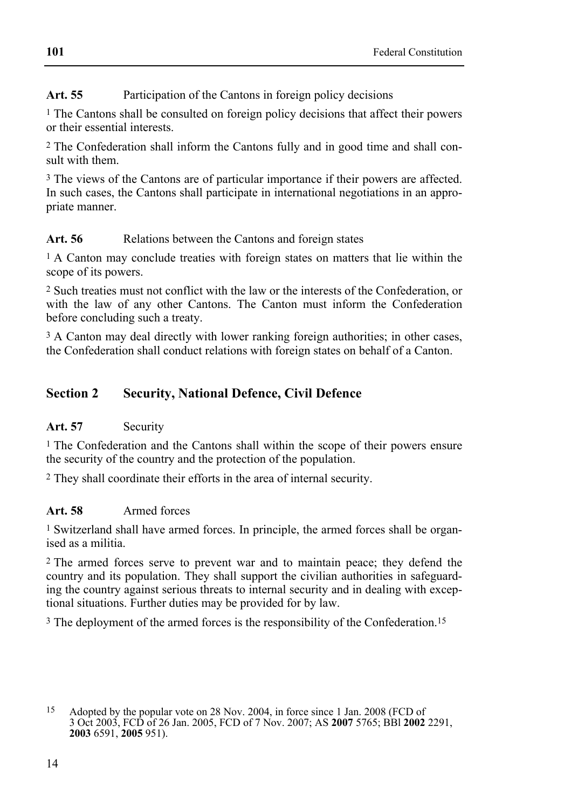# **Art. 55** Participation of the Cantons in foreign policy decisions

<sup>1</sup> The Cantons shall be consulted on foreign policy decisions that affect their powers or their essential interests.

2 The Confederation shall inform the Cantons fully and in good time and shall consult with them.

<sup>3</sup> The views of the Cantons are of particular importance if their powers are affected. In such cases, the Cantons shall participate in international negotiations in an appropriate manner.

## Art. 56 **Relations between the Cantons and foreign states**

1 A Canton may conclude treaties with foreign states on matters that lie within the scope of its powers.

2 Such treaties must not conflict with the law or the interests of the Confederation, or with the law of any other Cantons. The Canton must inform the Confederation before concluding such a treaty.

3 A Canton may deal directly with lower ranking foreign authorities; in other cases, the Confederation shall conduct relations with foreign states on behalf of a Canton.

# **Section 2 Security, National Defence, Civil Defence**

# Art. 57 Security

<sup>1</sup> The Confederation and the Cantons shall within the scope of their powers ensure the security of the country and the protection of the population.

2 They shall coordinate their efforts in the area of internal security.

### **Art. 58** Armed forces

1 Switzerland shall have armed forces. In principle, the armed forces shall be organised as a militia.

2 The armed forces serve to prevent war and to maintain peace; they defend the country and its population. They shall support the civilian authorities in safeguarding the country against serious threats to internal security and in dealing with exceptional situations. Further duties may be provided for by law.

3 The deployment of the armed forces is the responsibility of the Confederation.15

<sup>15</sup> Adopted by the popular vote on 28 Nov. 2004, in force since 1 Jan. 2008 (FCD of 3 Oct 2003, FCD of 26 Jan. 2005, FCD of 7 Nov. 2007; AS **2007** 5765; BBl **2002** 2291, **2003** 6591, **2005** 951).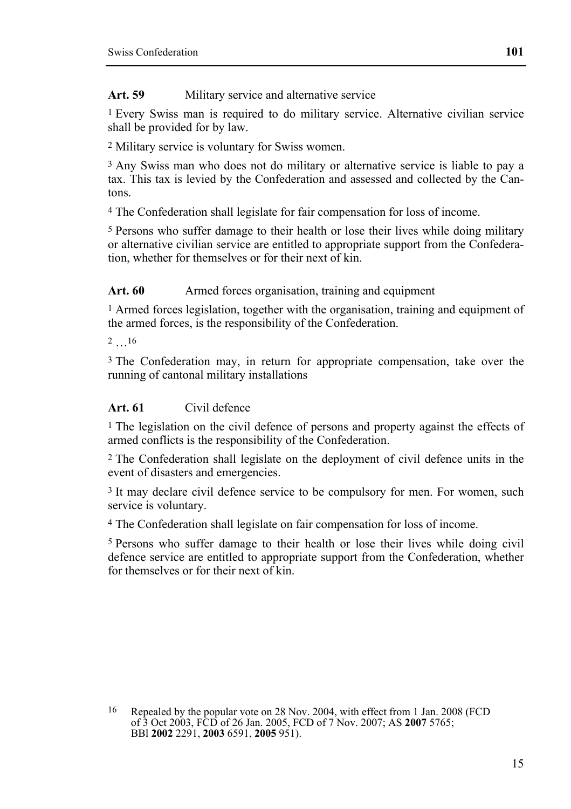Art. 59 Military service and alternative service

1 Every Swiss man is required to do military service. Alternative civilian service shall be provided for by law.

2 Military service is voluntary for Swiss women.

3 Any Swiss man who does not do military or alternative service is liable to pay a tax. This tax is levied by the Confederation and assessed and collected by the Cantons.

4 The Confederation shall legislate for fair compensation for loss of income.

5 Persons who suffer damage to their health or lose their lives while doing military or alternative civilian service are entitled to appropriate support from the Confederation, whether for themselves or for their next of kin.

Art. 60 **Armed forces organisation**, training and equipment

<sup>1</sup> Armed forces legislation, together with the organisation, training and equipment of the armed forces, is the responsibility of the Confederation.

2 …16

3 The Confederation may, in return for appropriate compensation, take over the running of cantonal military installations

### **Art. 61** Civil defence

1 The legislation on the civil defence of persons and property against the effects of armed conflicts is the responsibility of the Confederation.

2 The Confederation shall legislate on the deployment of civil defence units in the event of disasters and emergencies.

3 It may declare civil defence service to be compulsory for men. For women, such service is voluntary.

4 The Confederation shall legislate on fair compensation for loss of income.

5 Persons who suffer damage to their health or lose their lives while doing civil defence service are entitled to appropriate support from the Confederation, whether for themselves or for their next of kin.

16 Repealed by the popular vote on 28 Nov. 2004, with effect from 1 Jan. 2008 (FCD of 3 Oct 2003, FCD of 26 Jan. 2005, FCD of 7 Nov. 2007; AS **2007** 5765; BBl **2002** 2291, **2003** 6591, **2005** 951).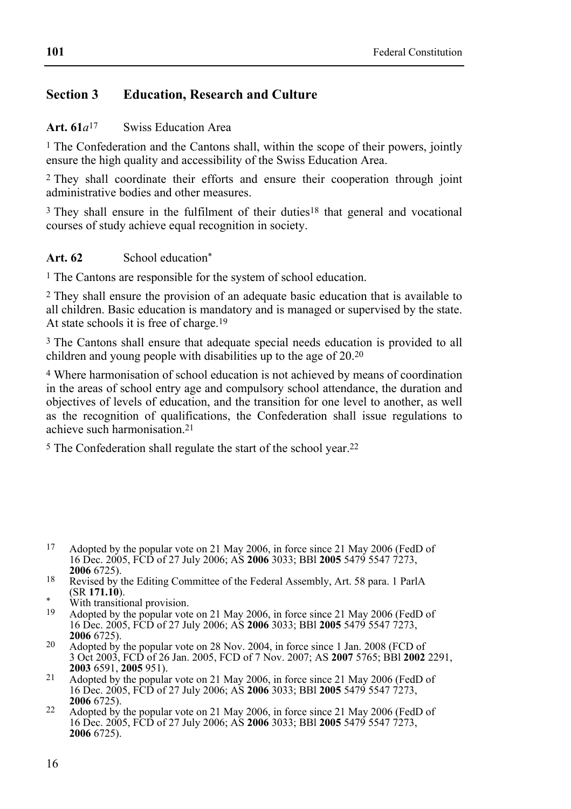# **Section 3 Education, Research and Culture**

### **Art. 61***a*17 Swiss Education Area

<sup>1</sup> The Confederation and the Cantons shall, within the scope of their powers, jointly ensure the high quality and accessibility of the Swiss Education Area.

2 They shall coordinate their efforts and ensure their cooperation through joint administrative bodies and other measures.

<sup>3</sup> They shall ensure in the fulfilment of their duties<sup>18</sup> that general and vocational courses of study achieve equal recognition in society.

### Art. 62 School education<sup>\*</sup>

1 The Cantons are responsible for the system of school education.

2 They shall ensure the provision of an adequate basic education that is available to all children. Basic education is mandatory and is managed or supervised by the state. At state schools it is free of charge.19

3 The Cantons shall ensure that adequate special needs education is provided to all children and young people with disabilities up to the age of  $20.20$ 

4 Where harmonisation of school education is not achieved by means of coordination in the areas of school entry age and compulsory school attendance, the duration and objectives of levels of education, and the transition for one level to another, as well as the recognition of qualifications, the Confederation shall issue regulations to achieve such harmonisation.21

5 The Confederation shall regulate the start of the school year.22

- $17$ Adopted by the popular vote on 21 May 2006, in force since 21 May 2006 (FedD of 16 Dec. 2005, FCD of 27 July 2006; AS **2006** 3033; BBl **2005** 5479 5547 7273,
- <sup>18</sup> Revised by the Editing Committee of the Federal Assembly, Art. 58 para. 1 ParlA (SR **171.10**).
- <sup>\*</sup> With transitional provision.
- Adopted by the popular vote on 21 May 2006, in force since 21 May 2006 (FedD of 16 Dec. 2005, FCD of 27 July 2006; AS **2006** 3033; BBl **2005** 5479 5547 7273,
- <sup>20</sup> Adopted by the popular vote on 28 Nov. 2004, in force since 1 Jan. 2008 (FCD of 3 Oct 2003, FCD of 26 Jan. 2005, FCD of 7 Nov. 2007; AS **2007** 5765; BBl **2002** 2291,
- <sup>21</sup> Adopted by the popular vote on 21 May 2006, in force since 21 May 2006 (FedD of 16 Dec. 2005, FCD of 27 July 2006; AS **2006** 3033; BBl **2005** 5479 5547 7273,
- **<sup>2006</sup>** 6725). 22 Adopted by the popular vote on 21 May 2006, in force since 21 May 2006 (FedD of 16 Dec. 2005, FCD of 27 July 2006; AS **2006** 3033; BBl **2005** 5479 5547 7273, **2006** 6725).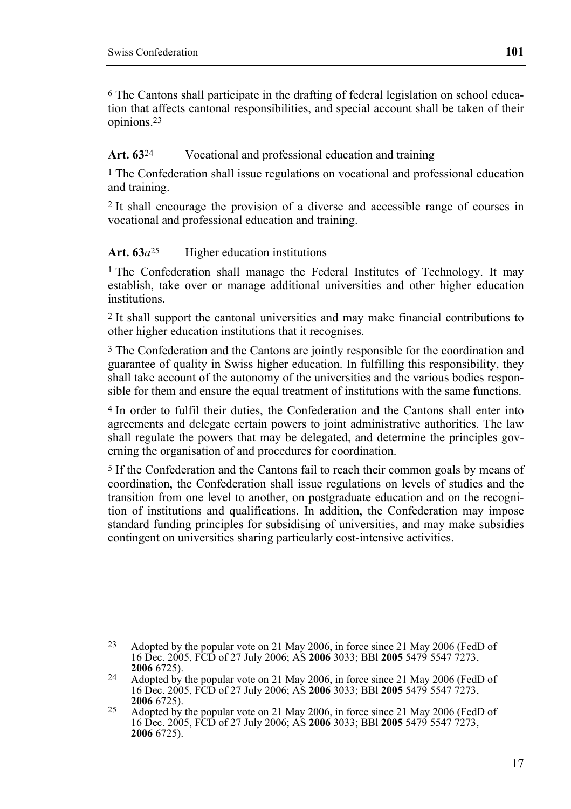6 The Cantons shall participate in the drafting of federal legislation on school education that affects cantonal responsibilities, and special account shall be taken of their opinions.23

### Art.  $63<sup>24</sup>$  Vocational and professional education and training

1 The Confederation shall issue regulations on vocational and professional education and training.

2 It shall encourage the provision of a diverse and accessible range of courses in vocational and professional education and training.

### Art. 63*a*<sup>25</sup> Higher education institutions

1 The Confederation shall manage the Federal Institutes of Technology. It may establish, take over or manage additional universities and other higher education institutions.

2 It shall support the cantonal universities and may make financial contributions to other higher education institutions that it recognises.

3 The Confederation and the Cantons are jointly responsible for the coordination and guarantee of quality in Swiss higher education. In fulfilling this responsibility, they shall take account of the autonomy of the universities and the various bodies responsible for them and ensure the equal treatment of institutions with the same functions.

4 In order to fulfil their duties, the Confederation and the Cantons shall enter into agreements and delegate certain powers to joint administrative authorities. The law shall regulate the powers that may be delegated, and determine the principles governing the organisation of and procedures for coordination.

5 If the Confederation and the Cantons fail to reach their common goals by means of coordination, the Confederation shall issue regulations on levels of studies and the transition from one level to another, on postgraduate education and on the recognition of institutions and qualifications. In addition, the Confederation may impose standard funding principles for subsidising of universities, and may make subsidies contingent on universities sharing particularly cost-intensive activities.

<sup>23</sup> Adopted by the popular vote on 21 May 2006, in force since 21 May 2006 (FedD of 16 Dec. 2005, FCD of 27 July 2006; AS **2006** 3033; BBl **2005** 5479 5547 7273,

<sup>&</sup>lt;sup>24</sup> Adopted by the popular vote on 21 May 2006, in force since 21 May 2006 (FedD of 16 Dec. 2005, FCD of 27 July 2006; AS **2006** 3033; BBl **2005** 5479 5547 7273,

<sup>&</sup>lt;sup>25</sup> Adopted by the popular vote on 21 May 2006, in force since 21 May 2006 (FedD of 16 Dec. 2005, FCD of 27 July 2006; AS **2006** 3033; BBl **2005** 5479 5547 7273, **2006** 6725).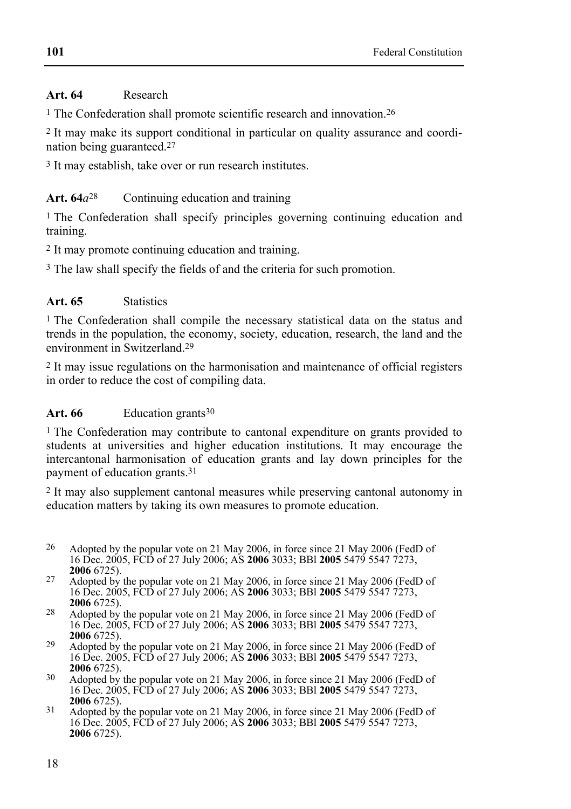## **Art. 64** Research

<sup>1</sup> The Confederation shall promote scientific research and innovation.<sup>26</sup>

2 It may make its support conditional in particular on quality assurance and coordination being guaranteed.27

3 It may establish, take over or run research institutes.

# Art. 64*a*<sup>28</sup> Continuing education and training

1 The Confederation shall specify principles governing continuing education and training.

2 It may promote continuing education and training.

<sup>3</sup> The law shall specify the fields of and the criteria for such promotion.

## **Art. 65** Statistics

1 The Confederation shall compile the necessary statistical data on the status and trends in the population, the economy, society, education, research, the land and the environment in Switzerland.29

2 It may issue regulations on the harmonisation and maintenance of official registers in order to reduce the cost of compiling data.

### Art. 66 Education grants<sup>30</sup>

1 The Confederation may contribute to cantonal expenditure on grants provided to students at universities and higher education institutions. It may encourage the intercantonal harmonisation of education grants and lay down principles for the payment of education grants.31

2 It may also supplement cantonal measures while preserving cantonal autonomy in education matters by taking its own measures to promote education.

- $26$ Adopted by the popular vote on 21 May 2006, in force since 21 May 2006 (FedD of 16 Dec. 2005, FCD of 27 July 2006; AS **2006** 3033; BBl **2005** 5479 5547 7273,
- <sup>27</sup> Adopted by the popular vote on 21 May 2006, in force since 21 May 2006 (FedD of 16 Dec. 2005, FCD of 27 July 2006; AS **2006** 3033; BBl **2005** 5479 5547 7273,
- <sup>28</sup> Adopted by the popular vote on 21 May 2006, in force since 21 May 2006 (FedD of 16 Dec. 2005, FCD of 27 July 2006; AS **2006** 3033; BBl **2005** 5479 5547 7273,
- <sup>29</sup> Adopted by the popular vote on 21 May 2006, in force since 21 May 2006 (FedD of 16 Dec. 2005, FCD of 27 July 2006; AS **2006** 3033; BBl **2005** 5479 5547 7273,
- <sup>30</sup> Adopted by the popular vote on 21 May 2006, in force since 21 May 2006 (FedD of 16 Dec. 2005, FCD of 27 July 2006; AS **2006** 3033; BBl **2005** 5479 5547 7273,
- <sup>31</sup> Adopted by the popular vote on 21 May 2006, in force since 21 May 2006 (FedD of 16 Dec. 2005, FCD of 27 July 2006; AS **2006** 3033; BBl **2005** 5479 5547 7273, **2006** 6725).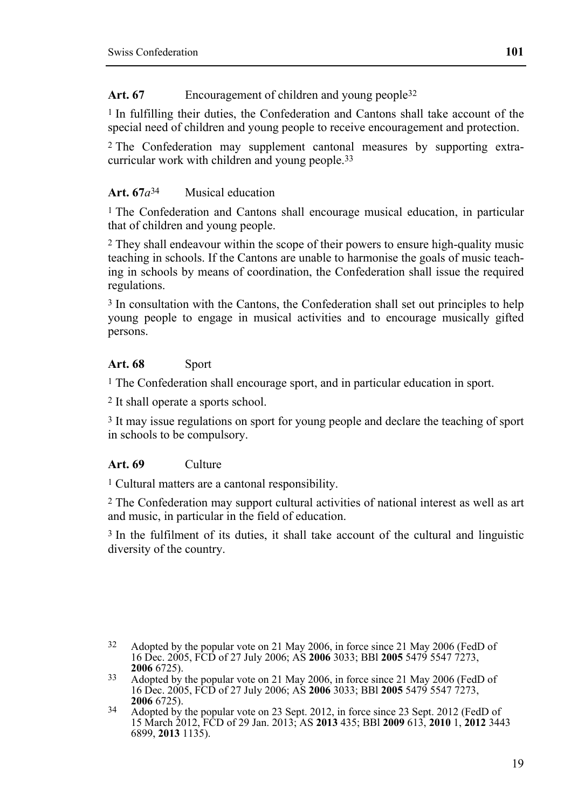Art. 67 **Encouragement of children and young people**<sup>32</sup>

 $1$  In fulfilling their duties, the Confederation and Cantons shall take account of the special need of children and young people to receive encouragement and protection.

2 The Confederation may supplement cantonal measures by supporting extracurricular work with children and young people.33

## **Art. 67***a*34 Musical education

<sup>1</sup> The Confederation and Cantons shall encourage musical education, in particular that of children and young people.

2 They shall endeavour within the scope of their powers to ensure high-quality music teaching in schools. If the Cantons are unable to harmonise the goals of music teaching in schools by means of coordination, the Confederation shall issue the required regulations.

3 In consultation with the Cantons, the Confederation shall set out principles to help young people to engage in musical activities and to encourage musically gifted persons.

## Art. 68 Sport

<sup>1</sup> The Confederation shall encourage sport, and in particular education in sport.

2 It shall operate a sports school.

<sup>3</sup> It may issue regulations on sport for young people and declare the teaching of sport in schools to be compulsory.

### **Art. 69** Culture

1 Cultural matters are a cantonal responsibility.

2 The Confederation may support cultural activities of national interest as well as art and music, in particular in the field of education.

<sup>3</sup> In the fulfilment of its duties, it shall take account of the cultural and linguistic diversity of the country.

<sup>32</sup> Adopted by the popular vote on 21 May 2006, in force since 21 May 2006 (FedD of 16 Dec. 2005, FCD of 27 July 2006; AS **2006** 3033; BBl **2005** 5479 5547 7273,

<sup>&</sup>lt;sup>33</sup> Adopted by the popular vote on 21 May 2006, in force since 21 May 2006 (FedD of 16 Dec. 2005, FCD of 27 July 2006; AS **2006** 3033; BBl **2005** 5479 5547 7273,

<sup>&</sup>lt;sup>34</sup> Adopted by the popular vote on 23 Sept. 2012, in force since 23 Sept. 2012 (FedD of 15 March 2012, FCD of 29 Jan. 2013; AS **2013** 435; BBl **2009** 613, **2010** 1, **2012** 3443 6899, **2013** 1135).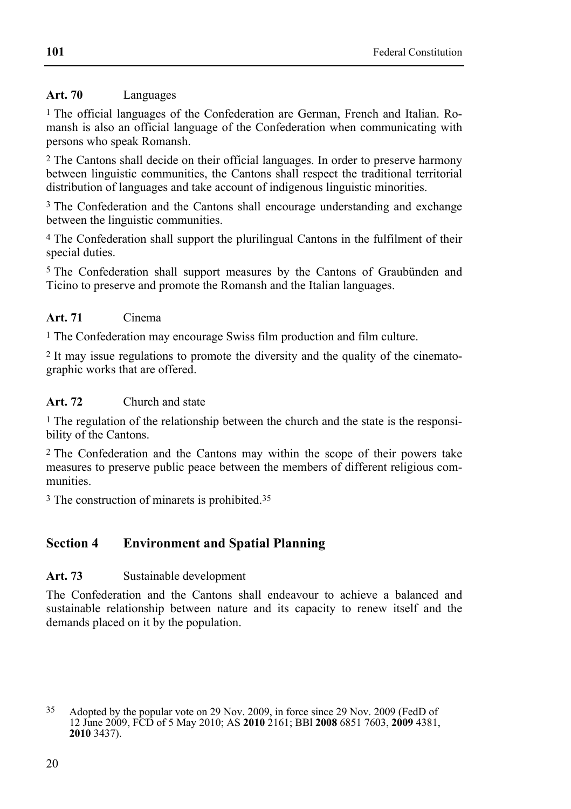## **Art. 70** Languages

<sup>1</sup> The official languages of the Confederation are German, French and Italian. Romansh is also an official language of the Confederation when communicating with persons who speak Romansh.

2 The Cantons shall decide on their official languages. In order to preserve harmony between linguistic communities, the Cantons shall respect the traditional territorial distribution of languages and take account of indigenous linguistic minorities.

3 The Confederation and the Cantons shall encourage understanding and exchange between the linguistic communities.

4 The Confederation shall support the plurilingual Cantons in the fulfilment of their special duties.

5 The Confederation shall support measures by the Cantons of Graubünden and Ticino to preserve and promote the Romansh and the Italian languages.

## **Art. 71** Cinema

1 The Confederation may encourage Swiss film production and film culture.

2 It may issue regulations to promote the diversity and the quality of the cinematographic works that are offered.

# **Art. 72** Church and state

1 The regulation of the relationship between the church and the state is the responsibility of the Cantons.

2 The Confederation and the Cantons may within the scope of their powers take measures to preserve public peace between the members of different religious communities.

3 The construction of minarets is prohibited.35

# **Section 4 Environment and Spatial Planning**

# Art. 73 Sustainable development

The Confederation and the Cantons shall endeavour to achieve a balanced and sustainable relationship between nature and its capacity to renew itself and the demands placed on it by the population.

<sup>35</sup> Adopted by the popular vote on 29 Nov. 2009, in force since 29 Nov. 2009 (FedD of 12 June 2009, FCD of 5 May 2010; AS **2010** 2161; BBl **2008** 6851 7603, **2009** 4381, **2010** 3437).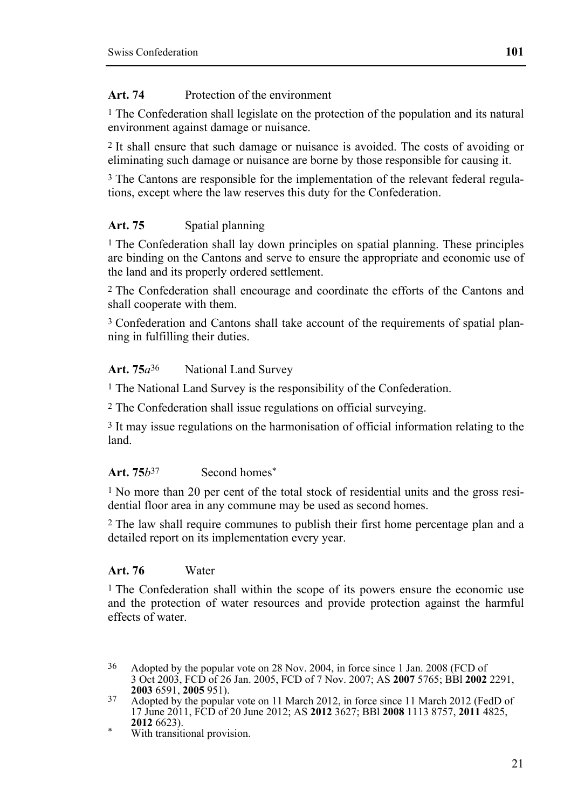### **Art. 74** Protection of the environment

<sup>1</sup> The Confederation shall legislate on the protection of the population and its natural environment against damage or nuisance.

2 It shall ensure that such damage or nuisance is avoided. The costs of avoiding or eliminating such damage or nuisance are borne by those responsible for causing it.

3 The Cantons are responsible for the implementation of the relevant federal regulations, except where the law reserves this duty for the Confederation.

### Art. 75 **Spatial planning**

<sup>1</sup> The Confederation shall lay down principles on spatial planning. These principles are binding on the Cantons and serve to ensure the appropriate and economic use of the land and its properly ordered settlement.

2 The Confederation shall encourage and coordinate the efforts of the Cantons and shall cooperate with them.

3 Confederation and Cantons shall take account of the requirements of spatial planning in fulfilling their duties.

### Art. 75 $a^{36}$  National Land Survey

1 The National Land Survey is the responsibility of the Confederation.

2 The Confederation shall issue regulations on official surveying.

3 It may issue regulations on the harmonisation of official information relating to the land.

#### **Art. 75***b*37 Second homes\*

1 No more than 20 per cent of the total stock of residential units and the gross residential floor area in any commune may be used as second homes.

2 The law shall require communes to publish their first home percentage plan and a detailed report on its implementation every year.

#### **Art. 76** Water

1 The Confederation shall within the scope of its powers ensure the economic use and the protection of water resources and provide protection against the harmful effects of water.

**2012** 6623). \* With transitional provision.

<sup>36</sup> Adopted by the popular vote on 28 Nov. 2004, in force since 1 Jan. 2008 (FCD of 3 Oct 2003, FCD of 26 Jan. 2005, FCD of 7 Nov. 2007; AS **2007** 5765; BBl **2002** 2291,

<sup>&</sup>lt;sup>37</sup> Adopted by the popular vote on 11 March 2012, in force since 11 March 2012 (FedD of 17 June 2011, FCD of 20 June 2012; AS **2012** 3627; BBl **2008** 1113 8757, **2011** 4825,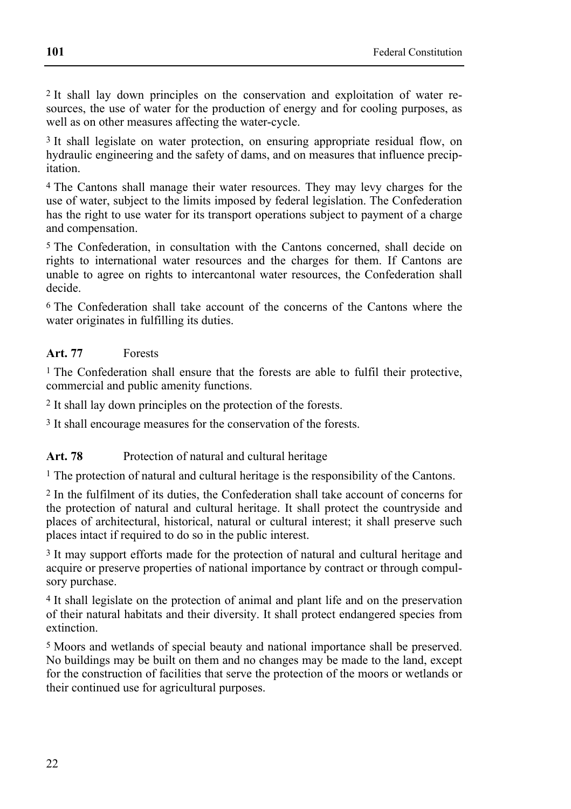2 It shall lay down principles on the conservation and exploitation of water resources, the use of water for the production of energy and for cooling purposes, as well as on other measures affecting the water-cycle.

3 It shall legislate on water protection, on ensuring appropriate residual flow, on hydraulic engineering and the safety of dams, and on measures that influence precipitation.

4 The Cantons shall manage their water resources. They may levy charges for the use of water, subject to the limits imposed by federal legislation. The Confederation has the right to use water for its transport operations subject to payment of a charge and compensation.

5 The Confederation, in consultation with the Cantons concerned, shall decide on rights to international water resources and the charges for them. If Cantons are unable to agree on rights to intercantonal water resources, the Confederation shall decide.

6 The Confederation shall take account of the concerns of the Cantons where the water originates in fulfilling its duties.

## **Art. 77** Forests

<sup>1</sup> The Confederation shall ensure that the forests are able to fulfil their protective, commercial and public amenity functions.

2 It shall lay down principles on the protection of the forests.

3 It shall encourage measures for the conservation of the forests.

### Art. 78 Protection of natural and cultural heritage

1 The protection of natural and cultural heritage is the responsibility of the Cantons.

2 In the fulfilment of its duties, the Confederation shall take account of concerns for the protection of natural and cultural heritage. It shall protect the countryside and places of architectural, historical, natural or cultural interest; it shall preserve such places intact if required to do so in the public interest.

3 It may support efforts made for the protection of natural and cultural heritage and acquire or preserve properties of national importance by contract or through compulsory purchase.

4 It shall legislate on the protection of animal and plant life and on the preservation of their natural habitats and their diversity. It shall protect endangered species from extinction.

5 Moors and wetlands of special beauty and national importance shall be preserved. No buildings may be built on them and no changes may be made to the land, except for the construction of facilities that serve the protection of the moors or wetlands or their continued use for agricultural purposes.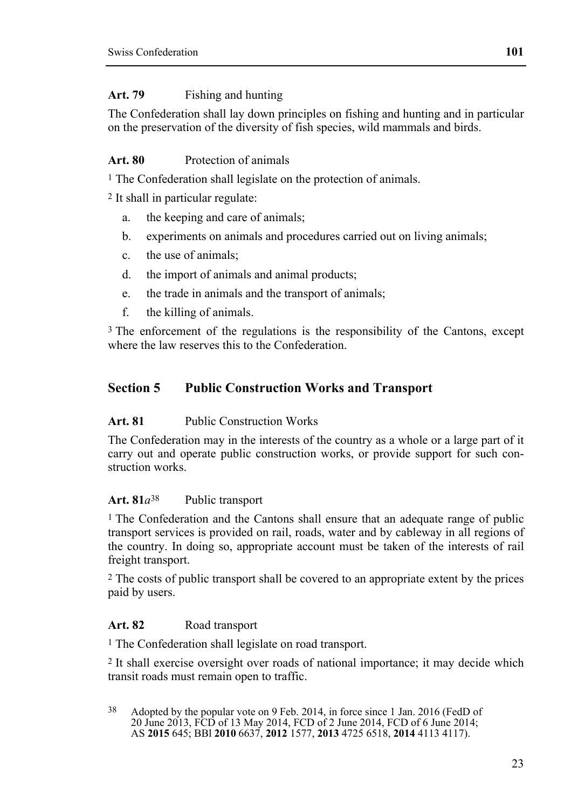# **Art. 79** Fishing and hunting

The Confederation shall lay down principles on fishing and hunting and in particular on the preservation of the diversity of fish species, wild mammals and birds.

# **Art. 80** Protection of animals

<sup>1</sup> The Confederation shall legislate on the protection of animals.

2 It shall in particular regulate:

- a. the keeping and care of animals;
- b. experiments on animals and procedures carried out on living animals;
- c. the use of animals;
- d. the import of animals and animal products;
- e. the trade in animals and the transport of animals;
- f. the killing of animals.

<sup>3</sup> The enforcement of the regulations is the responsibility of the Cantons, except where the law reserves this to the Confederation.

# **Section 5 Public Construction Works and Transport**

# **Art. 81** Public Construction Works

The Confederation may in the interests of the country as a whole or a large part of it carry out and operate public construction works, or provide support for such construction works.

# **Art. 81***a*38 Public transport

<sup>1</sup> The Confederation and the Cantons shall ensure that an adequate range of public transport services is provided on rail, roads, water and by cableway in all regions of the country. In doing so, appropriate account must be taken of the interests of rail freight transport.

2 The costs of public transport shall be covered to an appropriate extent by the prices paid by users.

# Art. 82 Road transport

1 The Confederation shall legislate on road transport.

2 It shall exercise oversight over roads of national importance; it may decide which transit roads must remain open to traffic.

38 Adopted by the popular vote on 9 Feb. 2014, in force since 1 Jan. 2016 (FedD of 20 June 2013, FCD of 13 May 2014, FCD of 2 June 2014, FCD of 6 June 2014; AS **2015** 645; BBl **2010** 6637, **2012** 1577, **2013** 4725 6518, **2014** 4113 4117).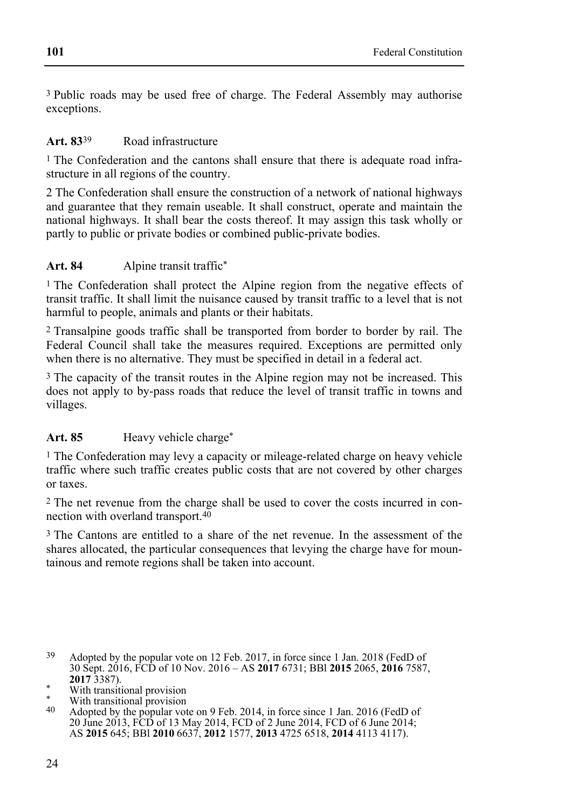3 Public roads may be used free of charge. The Federal Assembly may authorise exceptions.

### **Art. 83**39 Road infrastructure

1 The Confederation and the cantons shall ensure that there is adequate road infrastructure in all regions of the country.

2 The Confederation shall ensure the construction of a network of national highways and guarantee that they remain useable. It shall construct, operate and maintain the national highways. It shall bear the costs thereof. It may assign this task wholly or partly to public or private bodies or combined public-private bodies.

### Art. 84 Alpine transit traffic<sup>\*</sup>

<sup>1</sup> The Confederation shall protect the Alpine region from the negative effects of transit traffic. It shall limit the nuisance caused by transit traffic to a level that is not harmful to people, animals and plants or their habitats.

2 Transalpine goods traffic shall be transported from border to border by rail. The Federal Council shall take the measures required. Exceptions are permitted only when there is no alternative. They must be specified in detail in a federal act.

3 The capacity of the transit routes in the Alpine region may not be increased. This does not apply to by-pass roads that reduce the level of transit traffic in towns and villages.

### Art. 85 **Heavy vehicle charge\***

1 The Confederation may levy a capacity or mileage-related charge on heavy vehicle traffic where such traffic creates public costs that are not covered by other charges or taxes.

2 The net revenue from the charge shall be used to cover the costs incurred in connection with overland transport.40

3 The Cantons are entitled to a share of the net revenue. In the assessment of the shares allocated, the particular consequences that levying the charge have for mountainous and remote regions shall be taken into account.

- 39 Adopted by the popular vote on 12 Feb. 2017, in force since 1 Jan. 2018 (FedD of 30 Sept. 2016, FCD of 10 Nov. 2016 – AS **2017** 6731; BBl **2015** 2065, **2016** 7587,
- \* With transitional provision
- \* With transitional provision<br>40  $\alpha$  donted by the popular vol
- Adopted by the popular vote on 9 Feb. 2014, in force since 1 Jan. 2016 (FedD of 20 June 2013, FCD of 13 May 2014, FCD of 2 June 2014, FCD of 6 June 2014; AS **2015** 645; BBl **2010** 6637, **2012** 1577, **2013** 4725 6518, **2014** 4113 4117).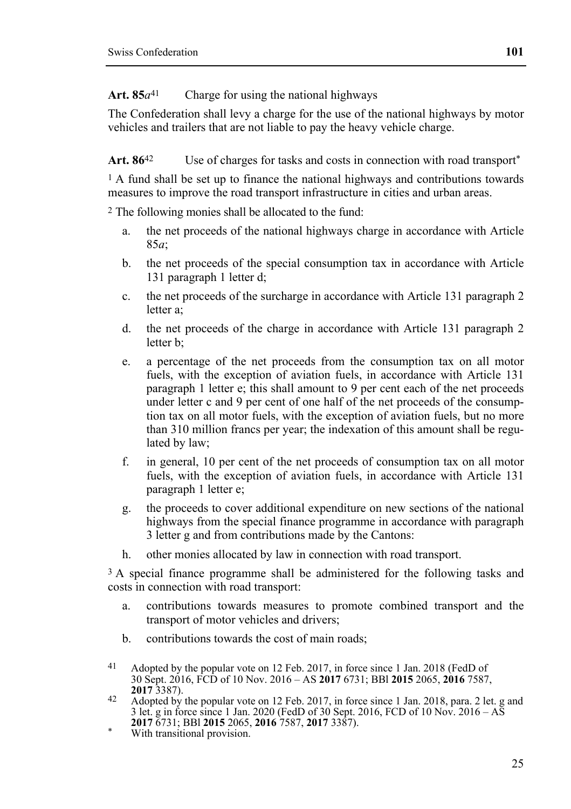**101** 

## Art.  $85a^{41}$  Charge for using the national highways

The Confederation shall levy a charge for the use of the national highways by motor vehicles and trailers that are not liable to pay the heavy vehicle charge.

Art. 86<sup>42</sup> Use of charges for tasks and costs in connection with road transport<sup>\*</sup>

<sup>1</sup> A fund shall be set up to finance the national highways and contributions towards measures to improve the road transport infrastructure in cities and urban areas.

2 The following monies shall be allocated to the fund:

- a. the net proceeds of the national highways charge in accordance with Article 85*a*;
- b. the net proceeds of the special consumption tax in accordance with Article 131 paragraph 1 letter d;
- c. the net proceeds of the surcharge in accordance with Article 131 paragraph 2 letter a;
- d. the net proceeds of the charge in accordance with Article 131 paragraph 2 letter b;
- e. a percentage of the net proceeds from the consumption tax on all motor fuels, with the exception of aviation fuels, in accordance with Article 131 paragraph 1 letter e; this shall amount to 9 per cent each of the net proceeds under letter c and 9 per cent of one half of the net proceeds of the consumption tax on all motor fuels, with the exception of aviation fuels, but no more than 310 million francs per year; the indexation of this amount shall be regulated by law;
- f. in general, 10 per cent of the net proceeds of consumption tax on all motor fuels, with the exception of aviation fuels, in accordance with Article 131 paragraph 1 letter e;
- g. the proceeds to cover additional expenditure on new sections of the national highways from the special finance programme in accordance with paragraph 3 letter g and from contributions made by the Cantons:
- h. other monies allocated by law in connection with road transport.

3 A special finance programme shall be administered for the following tasks and costs in connection with road transport:

- a. contributions towards measures to promote combined transport and the transport of motor vehicles and drivers;
- b. contributions towards the cost of main roads;
- 41 Adopted by the popular vote on 12 Feb. 2017, in force since 1 Jan. 2018 (FedD of 30 Sept. 2016, FCD of 10 Nov. 2016 – AS **2017** 6731; BBl **2015** 2065, **2016** 7587,
- **2017** 3387). **42** Adopted by the popular vote on 12 Feb. 2017, in force since 1 Jan. 2018, para. 2 let. g and 3 let. g in force since 1 Jan. 2020 (FedD of 30 Sept. 2016, FCD of 10 Nov. 2016 – AS **2017 6731; BBI 2015** 2065, **2016** 7587, **2017** 3387). With transitional provision.
-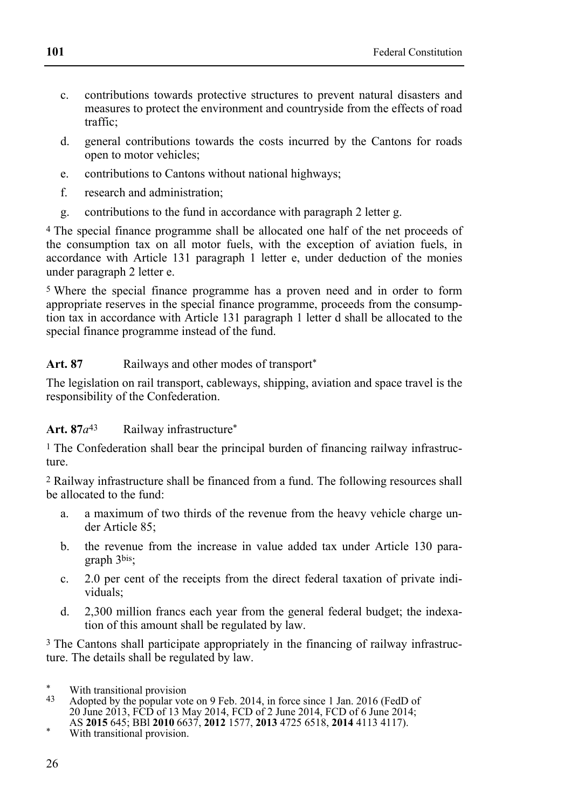- c. contributions towards protective structures to prevent natural disasters and measures to protect the environment and countryside from the effects of road traffic;
- d. general contributions towards the costs incurred by the Cantons for roads open to motor vehicles;
- e. contributions to Cantons without national highways;
- f. research and administration;
- g. contributions to the fund in accordance with paragraph 2 letter g.

4 The special finance programme shall be allocated one half of the net proceeds of the consumption tax on all motor fuels, with the exception of aviation fuels, in accordance with Article 131 paragraph 1 letter e, under deduction of the monies under paragraph 2 letter e.

5 Where the special finance programme has a proven need and in order to form appropriate reserves in the special finance programme, proceeds from the consumption tax in accordance with Article 131 paragraph 1 letter d shall be allocated to the special finance programme instead of the fund.

## Art. 87 **Railways and other modes of transport**\*

The legislation on rail transport, cableways, shipping, aviation and space travel is the responsibility of the Confederation.

### Art. 87 $a^{43}$  Railway infrastructure<sup>\*</sup>

1 The Confederation shall bear the principal burden of financing railway infrastructure.

2 Railway infrastructure shall be financed from a fund. The following resources shall be allocated to the fund:

- a. a maximum of two thirds of the revenue from the heavy vehicle charge under Article 85;
- b. the revenue from the increase in value added tax under Article 130 paragraph 3bis;
- c. 2.0 per cent of the receipts from the direct federal taxation of private individuals;
- d. 2,300 million francs each year from the general federal budget; the indexation of this amount shall be regulated by law.

3 The Cantons shall participate appropriately in the financing of railway infrastructure. The details shall be regulated by law.

43 Adopted by the popular vote on 9 Feb. 2014, in force since 1 Jan. 2016 (FedD of 20 June 2013, FCD of 13 May 2014, FCD of 2 June 2014, FCD of 6 June 2014;

s. \* With transitional provision<br>43 Adopted by the popular vot

AS **2015** 645; BBl **<sup>2010</sup>** 6637, **2012** 1577, **2013** 4725 6518, **2014** 4113 4117). \* With transitional provision.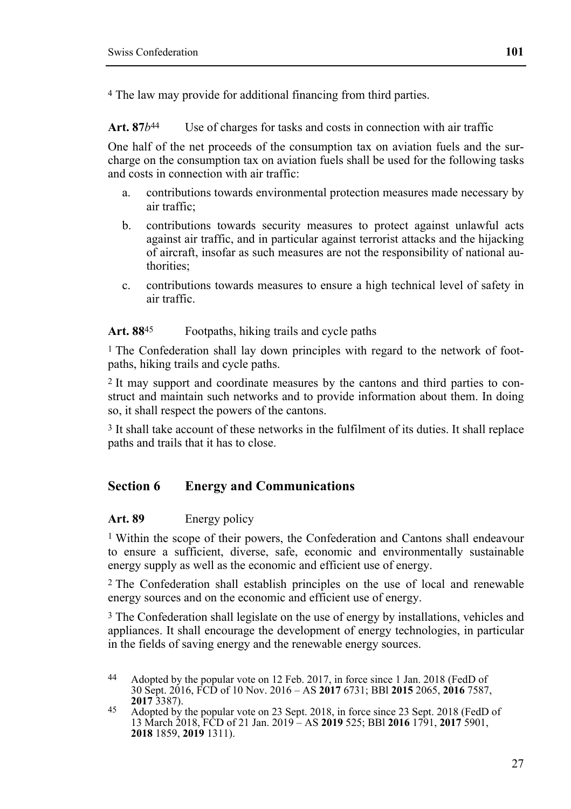4 The law may provide for additional financing from third parties.

Art. 87*b*<sup>44</sup> Use of charges for tasks and costs in connection with air traffic

One half of the net proceeds of the consumption tax on aviation fuels and the surcharge on the consumption tax on aviation fuels shall be used for the following tasks and costs in connection with air traffic:

- a. contributions towards environmental protection measures made necessary by air traffic;
- b. contributions towards security measures to protect against unlawful acts against air traffic, and in particular against terrorist attacks and the hijacking of aircraft, insofar as such measures are not the responsibility of national authorities;
- c. contributions towards measures to ensure a high technical level of safety in air traffic.

### **Art. 88**45 Footpaths, hiking trails and cycle paths

<sup>1</sup> The Confederation shall lay down principles with regard to the network of footpaths, hiking trails and cycle paths.

2 It may support and coordinate measures by the cantons and third parties to construct and maintain such networks and to provide information about them. In doing so, it shall respect the powers of the cantons.

3 It shall take account of these networks in the fulfilment of its duties. It shall replace paths and trails that it has to close.

# **Section 6 Energy and Communications**

#### **Art. 89** Energy policy

1 Within the scope of their powers, the Confederation and Cantons shall endeavour to ensure a sufficient, diverse, safe, economic and environmentally sustainable energy supply as well as the economic and efficient use of energy.

2 The Confederation shall establish principles on the use of local and renewable energy sources and on the economic and efficient use of energy.

<sup>3</sup> The Confederation shall legislate on the use of energy by installations, vehicles and appliances. It shall encourage the development of energy technologies, in particular in the fields of saving energy and the renewable energy sources.

<sup>44</sup> Adopted by the popular vote on 12 Feb. 2017, in force since 1 Jan. 2018 (FedD of 30 Sept. 2016, FCD of 10 Nov. 2016 – AS **2017** 6731; BBl **2015** 2065, **2016** 7587,

**<sup>2017</sup>** 3387). 45 Adopted by the popular vote on 23 Sept. 2018, in force since 23 Sept. 2018 (FedD of 13 March 2018, FCD of 21 Jan. 2019 – AS **2019** 525; BBl **2016** 1791, **2017** 5901, **2018** 1859, **2019** 1311).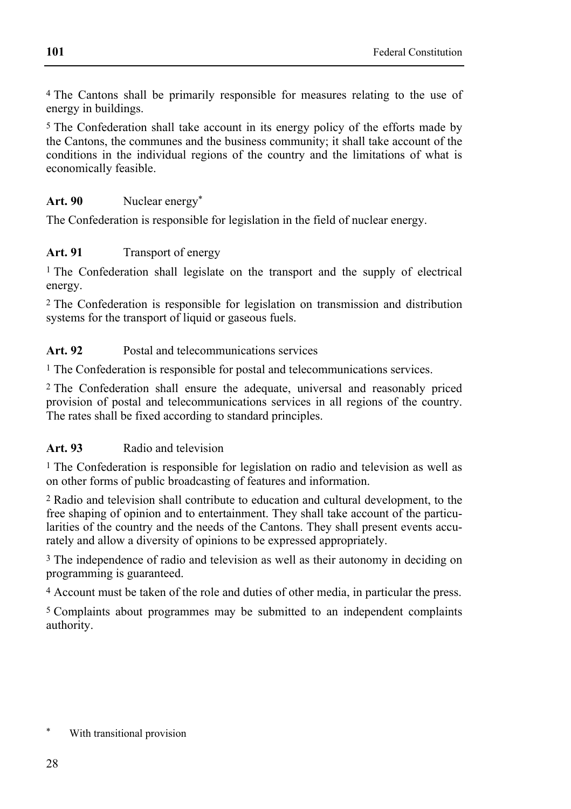4 The Cantons shall be primarily responsible for measures relating to the use of energy in buildings.

5 The Confederation shall take account in its energy policy of the efforts made by the Cantons, the communes and the business community; it shall take account of the conditions in the individual regions of the country and the limitations of what is economically feasible.

## Art. 90 **Nuclear energy**\*

The Confederation is responsible for legislation in the field of nuclear energy.

## Art. 91 **Transport of energy**

1 The Confederation shall legislate on the transport and the supply of electrical energy.

2 The Confederation is responsible for legislation on transmission and distribution systems for the transport of liquid or gaseous fuels.

**Art. 92** Postal and telecommunications services

1 The Confederation is responsible for postal and telecommunications services.

2 The Confederation shall ensure the adequate, universal and reasonably priced provision of postal and telecommunications services in all regions of the country. The rates shall be fixed according to standard principles.

### **Art. 93** Radio and television

1 The Confederation is responsible for legislation on radio and television as well as on other forms of public broadcasting of features and information.

2 Radio and television shall contribute to education and cultural development, to the free shaping of opinion and to entertainment. They shall take account of the particularities of the country and the needs of the Cantons. They shall present events accurately and allow a diversity of opinions to be expressed appropriately.

3 The independence of radio and television as well as their autonomy in deciding on programming is guaranteed.

4 Account must be taken of the role and duties of other media, in particular the press.

5 Complaints about programmes may be submitted to an independent complaints authority.

With transitional provision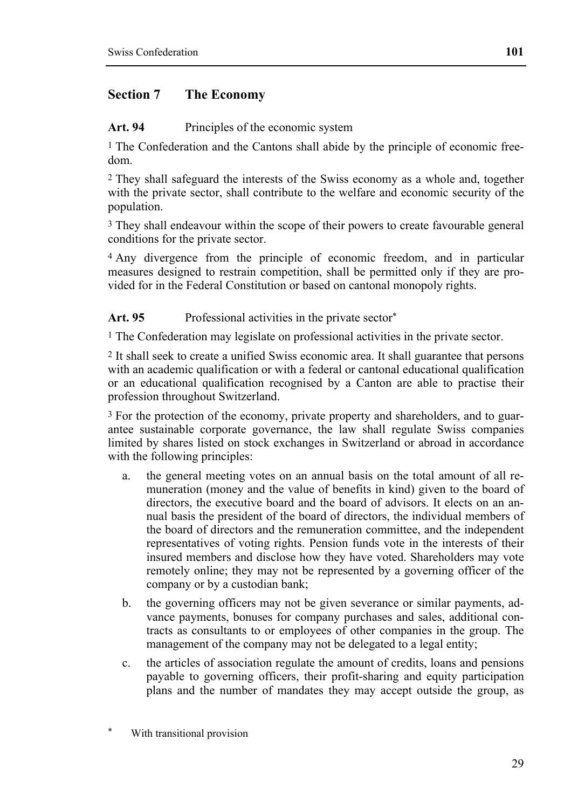# **Section 7 The Economy**

Art. 94 Principles of the economic system

<sup>1</sup> The Confederation and the Cantons shall abide by the principle of economic freedom.

2 They shall safeguard the interests of the Swiss economy as a whole and, together with the private sector, shall contribute to the welfare and economic security of the population.

3 They shall endeavour within the scope of their powers to create favourable general conditions for the private sector.

4 Any divergence from the principle of economic freedom, and in particular measures designed to restrain competition, shall be permitted only if they are provided for in the Federal Constitution or based on cantonal monopoly rights.

Art. 95 Professional activities in the private sector<sup>\*</sup>

1 The Confederation may legislate on professional activities in the private sector.

2 It shall seek to create a unified Swiss economic area. It shall guarantee that persons with an academic qualification or with a federal or cantonal educational qualification or an educational qualification recognised by a Canton are able to practise their profession throughout Switzerland.

3 For the protection of the economy, private property and shareholders, and to guarantee sustainable corporate governance, the law shall regulate Swiss companies limited by shares listed on stock exchanges in Switzerland or abroad in accordance with the following principles:

- a. the general meeting votes on an annual basis on the total amount of all remuneration (money and the value of benefits in kind) given to the board of directors, the executive board and the board of advisors. It elects on an annual basis the president of the board of directors, the individual members of the board of directors and the remuneration committee, and the independent representatives of voting rights. Pension funds vote in the interests of their insured members and disclose how they have voted. Shareholders may vote remotely online; they may not be represented by a governing officer of the company or by a custodian bank;
- b. the governing officers may not be given severance or similar payments, advance payments, bonuses for company purchases and sales, additional contracts as consultants to or employees of other companies in the group. The management of the company may not be delegated to a legal entity;
- c. the articles of association regulate the amount of credits, loans and pensions payable to governing officers, their profit-sharing and equity participation plans and the number of mandates they may accept outside the group, as

With transitional provision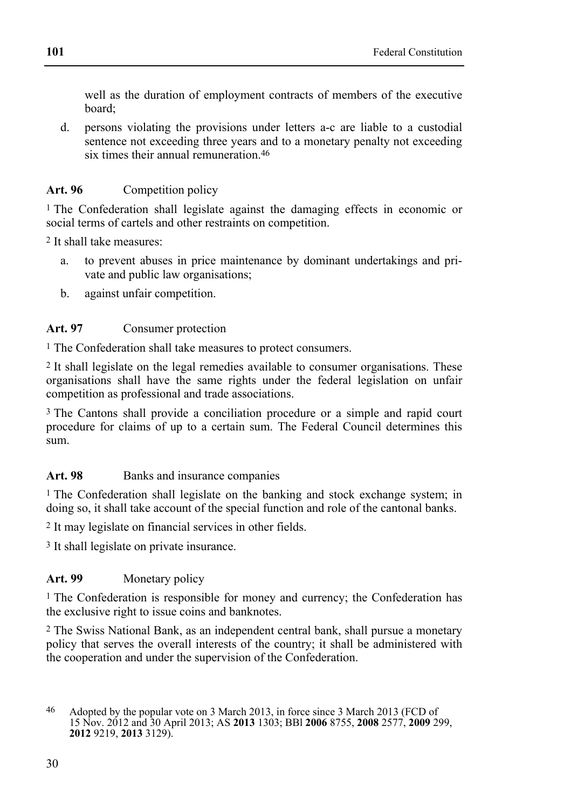well as the duration of employment contracts of members of the executive board;

d. persons violating the provisions under letters a-c are liable to a custodial sentence not exceeding three years and to a monetary penalty not exceeding six times their annual remuneration.46

## Art. 96 Competition policy

1 The Confederation shall legislate against the damaging effects in economic or social terms of cartels and other restraints on competition.

2 It shall take measures:

- a. to prevent abuses in price maintenance by dominant undertakings and private and public law organisations;
- b. against unfair competition.

### **Art. 97** Consumer protection

1 The Confederation shall take measures to protect consumers.

2 It shall legislate on the legal remedies available to consumer organisations. These organisations shall have the same rights under the federal legislation on unfair competition as professional and trade associations.

3 The Cantons shall provide a conciliation procedure or a simple and rapid court procedure for claims of up to a certain sum. The Federal Council determines this sum.

## Art. 98 **Banks** and insurance companies

<sup>1</sup> The Confederation shall legislate on the banking and stock exchange system; in doing so, it shall take account of the special function and role of the cantonal banks.

2 It may legislate on financial services in other fields.

3 It shall legislate on private insurance.

### Art. 99 Monetary policy

1 The Confederation is responsible for money and currency; the Confederation has the exclusive right to issue coins and banknotes.

2 The Swiss National Bank, as an independent central bank, shall pursue a monetary policy that serves the overall interests of the country; it shall be administered with the cooperation and under the supervision of the Confederation.

<sup>46</sup> Adopted by the popular vote on 3 March 2013, in force since 3 March 2013 (FCD of 15 Nov. 2012 and 30 April 2013; AS **2013** 1303; BBl **2006** 8755, **2008** 2577, **2009** 299, **2012** 9219, **2013** 3129).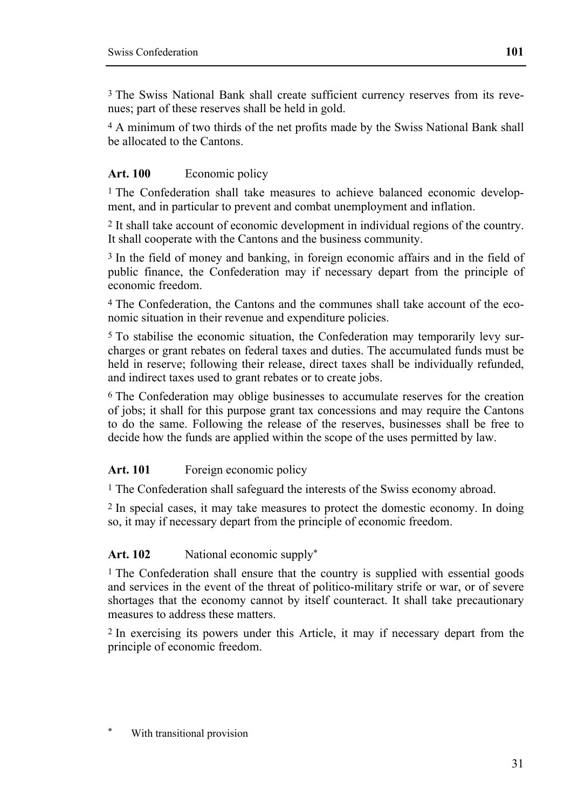3 The Swiss National Bank shall create sufficient currency reserves from its revenues; part of these reserves shall be held in gold.

4 A minimum of two thirds of the net profits made by the Swiss National Bank shall be allocated to the Cantons.

# Art. 100 **Economic policy**

<sup>1</sup> The Confederation shall take measures to achieve balanced economic development, and in particular to prevent and combat unemployment and inflation.

2 It shall take account of economic development in individual regions of the country. It shall cooperate with the Cantons and the business community.

3 In the field of money and banking, in foreign economic affairs and in the field of public finance, the Confederation may if necessary depart from the principle of economic freedom.

4 The Confederation, the Cantons and the communes shall take account of the economic situation in their revenue and expenditure policies.

5 To stabilise the economic situation, the Confederation may temporarily levy surcharges or grant rebates on federal taxes and duties. The accumulated funds must be held in reserve; following their release, direct taxes shall be individually refunded, and indirect taxes used to grant rebates or to create jobs.

6 The Confederation may oblige businesses to accumulate reserves for the creation of jobs; it shall for this purpose grant tax concessions and may require the Cantons to do the same. Following the release of the reserves, businesses shall be free to decide how the funds are applied within the scope of the uses permitted by law.

Art. 101 Foreign economic policy

1 The Confederation shall safeguard the interests of the Swiss economy abroad.

2 In special cases, it may take measures to protect the domestic economy. In doing so, it may if necessary depart from the principle of economic freedom.

# Art. 102 National economic supply<sup>\*</sup>

1 The Confederation shall ensure that the country is supplied with essential goods and services in the event of the threat of politico-military strife or war, or of severe shortages that the economy cannot by itself counteract. It shall take precautionary measures to address these matters.

2 In exercising its powers under this Article, it may if necessary depart from the principle of economic freedom.

With transitional provision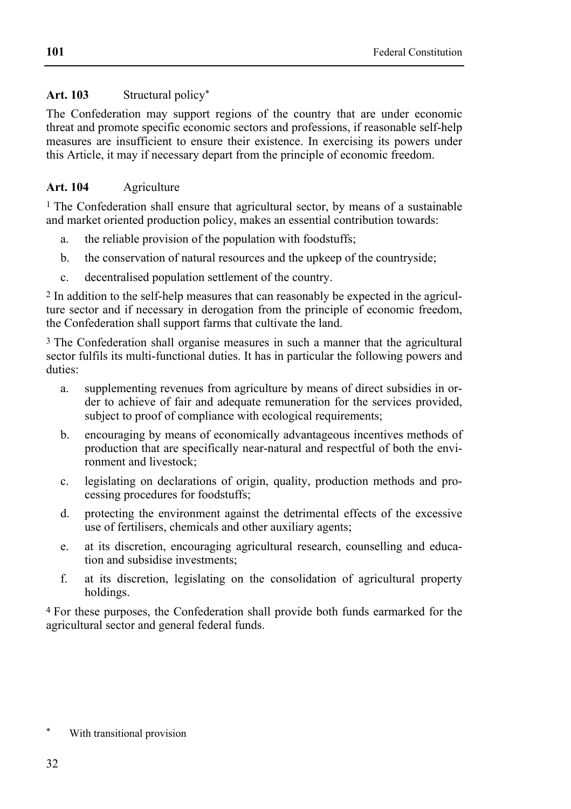# **Art. 103** Structural policy\*

The Confederation may support regions of the country that are under economic threat and promote specific economic sectors and professions, if reasonable self-help measures are insufficient to ensure their existence. In exercising its powers under this Article, it may if necessary depart from the principle of economic freedom.

# **Art. 104** Agriculture

1 The Confederation shall ensure that agricultural sector, by means of a sustainable and market oriented production policy, makes an essential contribution towards:

- a. the reliable provision of the population with foodstuffs;
- b. the conservation of natural resources and the upkeep of the countryside;
- c. decentralised population settlement of the country.

2 In addition to the self-help measures that can reasonably be expected in the agriculture sector and if necessary in derogation from the principle of economic freedom, the Confederation shall support farms that cultivate the land.

<sup>3</sup> The Confederation shall organise measures in such a manner that the agricultural sector fulfils its multi-functional duties. It has in particular the following powers and duties:

- a. supplementing revenues from agriculture by means of direct subsidies in order to achieve of fair and adequate remuneration for the services provided, subject to proof of compliance with ecological requirements;
- b. encouraging by means of economically advantageous incentives methods of production that are specifically near-natural and respectful of both the environment and livestock;
- c. legislating on declarations of origin, quality, production methods and processing procedures for foodstuffs;
- d. protecting the environment against the detrimental effects of the excessive use of fertilisers, chemicals and other auxiliary agents;
- e. at its discretion, encouraging agricultural research, counselling and education and subsidise investments;
- f. at its discretion, legislating on the consolidation of agricultural property holdings.

4 For these purposes, the Confederation shall provide both funds earmarked for the agricultural sector and general federal funds.

With transitional provision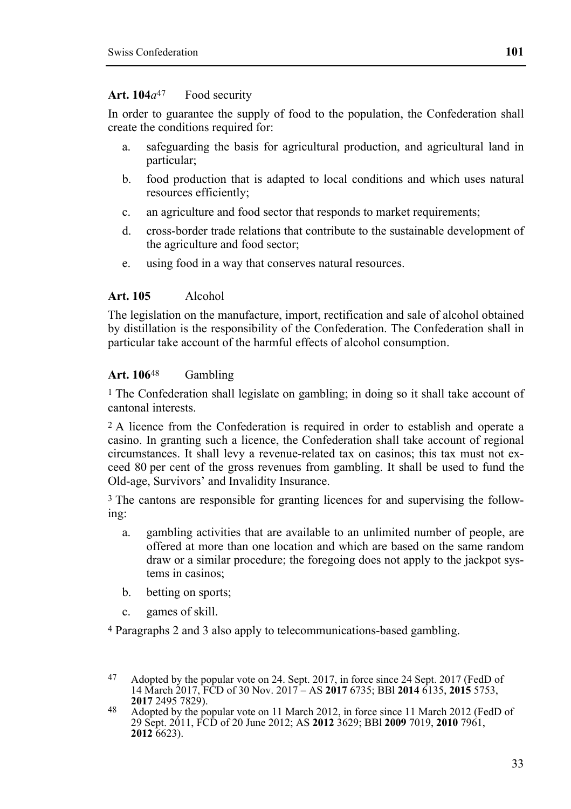#### Art. 104 $a^{47}$  Food security

In order to guarantee the supply of food to the population, the Confederation shall create the conditions required for:

- a. safeguarding the basis for agricultural production, and agricultural land in particular;
- b. food production that is adapted to local conditions and which uses natural resources efficiently;
- c. an agriculture and food sector that responds to market requirements;
- d. cross-border trade relations that contribute to the sustainable development of the agriculture and food sector;
- e. using food in a way that conserves natural resources.

### **Art. 105** Alcohol

The legislation on the manufacture, import, rectification and sale of alcohol obtained by distillation is the responsibility of the Confederation. The Confederation shall in particular take account of the harmful effects of alcohol consumption.

### **Art. 106**48 Gambling

1 The Confederation shall legislate on gambling; in doing so it shall take account of cantonal interests.

2 A licence from the Confederation is required in order to establish and operate a casino. In granting such a licence, the Confederation shall take account of regional circumstances. It shall levy a revenue-related tax on casinos; this tax must not exceed 80 per cent of the gross revenues from gambling. It shall be used to fund the Old-age, Survivors' and Invalidity Insurance.

3 The cantons are responsible for granting licences for and supervising the following:

- a. gambling activities that are available to an unlimited number of people, are offered at more than one location and which are based on the same random draw or a similar procedure; the foregoing does not apply to the jackpot systems in casinos;
- b. betting on sports;
- c. games of skill.

4 Paragraphs 2 and 3 also apply to telecommunications-based gambling.

<sup>47</sup> Adopted by the popular vote on 24. Sept. 2017, in force since 24 Sept. 2017 (FedD of 14 March 2017, FCD of 30 Nov. 2017 – AS **2017** 6735; BBl **2014** 6135, **2015** 5753,

<sup>&</sup>lt;sup>48</sup> Adopted by the popular vote on 11 March 2012, in force since 11 March 2012 (FedD of 29 Sept. 2011, FCD of 20 June 2012; AS **2012** 3629; BBl **2009** 7019, **2010** 7961, **2012** 6623).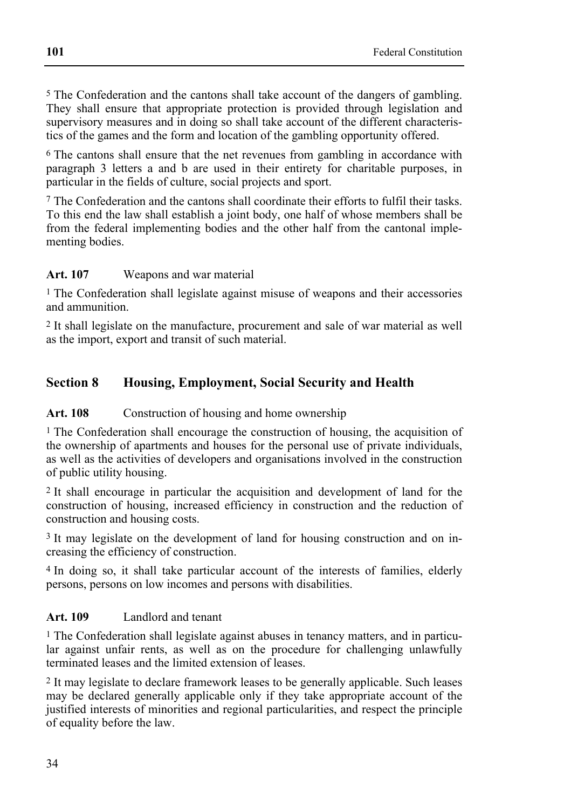5 The Confederation and the cantons shall take account of the dangers of gambling. They shall ensure that appropriate protection is provided through legislation and supervisory measures and in doing so shall take account of the different characteristics of the games and the form and location of the gambling opportunity offered.

<sup>6</sup> The cantons shall ensure that the net revenues from gambling in accordance with paragraph 3 letters a and b are used in their entirety for charitable purposes, in particular in the fields of culture, social projects and sport.

7 The Confederation and the cantons shall coordinate their efforts to fulfil their tasks. To this end the law shall establish a joint body, one half of whose members shall be from the federal implementing bodies and the other half from the cantonal implementing bodies.

### **Art. 107** Weapons and war material

<sup>1</sup> The Confederation shall legislate against misuse of weapons and their accessories and ammunition.

2 It shall legislate on the manufacture, procurement and sale of war material as well as the import, export and transit of such material.

# **Section 8 Housing, Employment, Social Security and Health**

### Art. 108 Construction of housing and home ownership

<sup>1</sup> The Confederation shall encourage the construction of housing, the acquisition of the ownership of apartments and houses for the personal use of private individuals, as well as the activities of developers and organisations involved in the construction of public utility housing.

2 It shall encourage in particular the acquisition and development of land for the construction of housing, increased efficiency in construction and the reduction of construction and housing costs.

3 It may legislate on the development of land for housing construction and on increasing the efficiency of construction.

4 In doing so, it shall take particular account of the interests of families, elderly persons, persons on low incomes and persons with disabilities.

### **Art. 109** Landlord and tenant

1 The Confederation shall legislate against abuses in tenancy matters, and in particular against unfair rents, as well as on the procedure for challenging unlawfully terminated leases and the limited extension of leases.

2 It may legislate to declare framework leases to be generally applicable. Such leases may be declared generally applicable only if they take appropriate account of the justified interests of minorities and regional particularities, and respect the principle of equality before the law.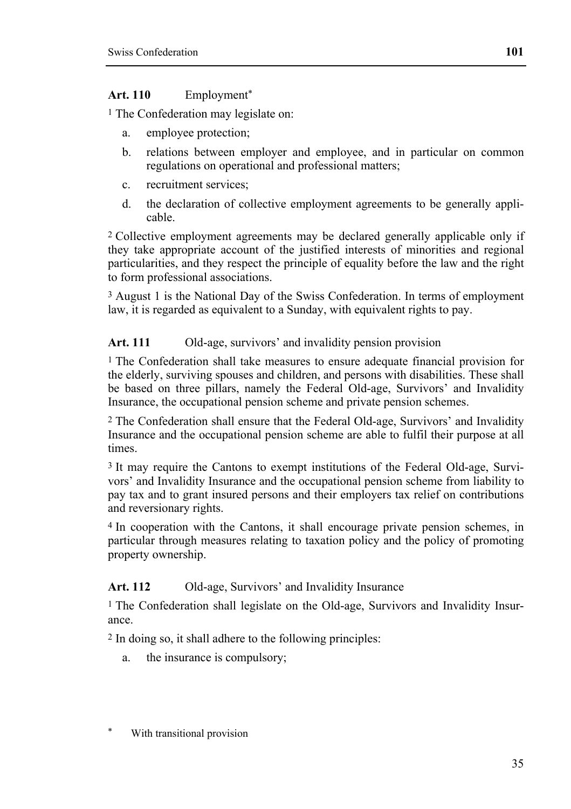### **Art. 110** Employment\*

<sup>1</sup> The Confederation may legislate on:

- a. employee protection;
- b. relations between employer and employee, and in particular on common regulations on operational and professional matters;
- c. recruitment services;
- d. the declaration of collective employment agreements to be generally applicable.

2 Collective employment agreements may be declared generally applicable only if they take appropriate account of the justified interests of minorities and regional particularities, and they respect the principle of equality before the law and the right to form professional associations.

3 August 1 is the National Day of the Swiss Confederation. In terms of employment law, it is regarded as equivalent to a Sunday, with equivalent rights to pay.

### Art. 111 Old-age, survivors' and invalidity pension provision

<sup>1</sup> The Confederation shall take measures to ensure adequate financial provision for the elderly, surviving spouses and children, and persons with disabilities. These shall be based on three pillars, namely the Federal Old-age, Survivors' and Invalidity Insurance, the occupational pension scheme and private pension schemes.

2 The Confederation shall ensure that the Federal Old-age, Survivors' and Invalidity Insurance and the occupational pension scheme are able to fulfil their purpose at all times.

3 It may require the Cantons to exempt institutions of the Federal Old-age, Survivors' and Invalidity Insurance and the occupational pension scheme from liability to pay tax and to grant insured persons and their employers tax relief on contributions and reversionary rights.

4 In cooperation with the Cantons, it shall encourage private pension schemes, in particular through measures relating to taxation policy and the policy of promoting property ownership.

### Art. 112 Old-age, Survivors' and Invalidity Insurance

<sup>1</sup> The Confederation shall legislate on the Old-age, Survivors and Invalidity Insurance.

2 In doing so, it shall adhere to the following principles:

- a. the insurance is compulsory;
- With transitional provision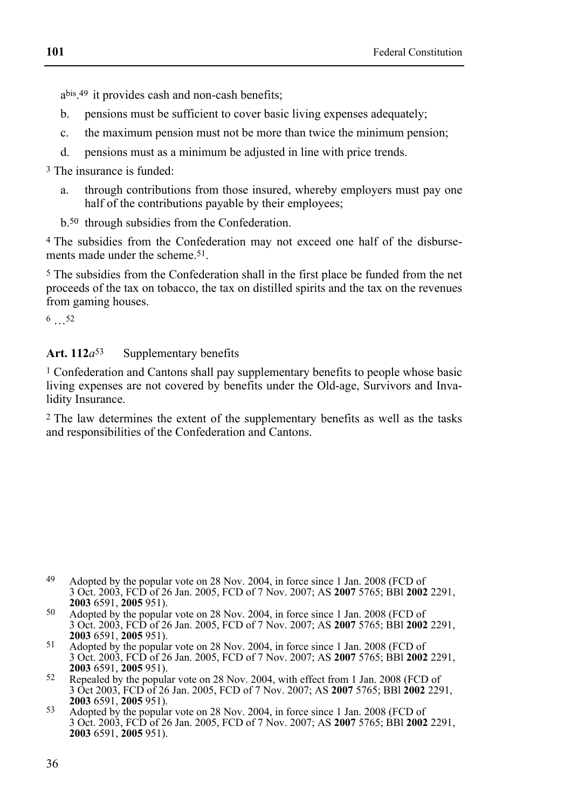abis.49 it provides cash and non-cash benefits;

- b. pensions must be sufficient to cover basic living expenses adequately;
- c. the maximum pension must not be more than twice the minimum pension;
- d. pensions must as a minimum be adjusted in line with price trends.

3 The insurance is funded:

- a. through contributions from those insured, whereby employers must pay one half of the contributions payable by their employees;
- b.50 through subsidies from the Confederation.

4 The subsidies from the Confederation may not exceed one half of the disbursements made under the scheme.51.

5 The subsidies from the Confederation shall in the first place be funded from the net proceeds of the tax on tobacco, the tax on distilled spirits and the tax on the revenues from gaming houses.

6 …52

### Art. 112*a*<sup>53</sup> Supplementary benefits

1 Confederation and Cantons shall pay supplementary benefits to people whose basic living expenses are not covered by benefits under the Old-age, Survivors and Invalidity Insurance.

2 The law determines the extent of the supplementary benefits as well as the tasks and responsibilities of the Confederation and Cantons.

<sup>49</sup> Adopted by the popular vote on 28 Nov. 2004, in force since 1 Jan. 2008 (FCD of 3 Oct. 2003, FCD of 26 Jan. 2005, FCD of 7 Nov. 2007; AS **2007** 5765; BBl **2002** 2291,

**<sup>2003</sup>** 6591, **2005** 951). 50 Adopted by the popular vote on 28 Nov. 2004, in force since 1 Jan. 2008 (FCD of 3 Oct. 2003, FCD of 26 Jan. 2005, FCD of 7 Nov. 2007; AS **2007** 5765; BBl **2002** 2291,

<sup>&</sup>lt;sup>51</sup> Adopted by the popular vote on 28 Nov. 2004, in force since 1 Jan. 2008 (FCD of 3 Oct. 2003, FCD of 26 Jan. 2005, FCD of 7 Nov. 2007; AS **2007** 5765; BBl **2002** 2291,

<sup>&</sup>lt;sup>52</sup> Repealed by the popular vote on 28 Nov. 2004, with effect from 1 Jan. 2008 (FCD of 3 Oct 2003, FCD of 26 Jan. 2005, FCD of 7 Nov. 2007; AS **2007** 5765; BBl **2002** 2291,

**<sup>2003</sup>** 6591, **2005** 951). 53 Adopted by the popular vote on 28 Nov. 2004, in force since 1 Jan. 2008 (FCD of 3 Oct. 2003, FCD of 26 Jan. 2005, FCD of 7 Nov. 2007; AS **2007** 5765; BBl **2002** 2291, **2003** 6591, **2005** 951).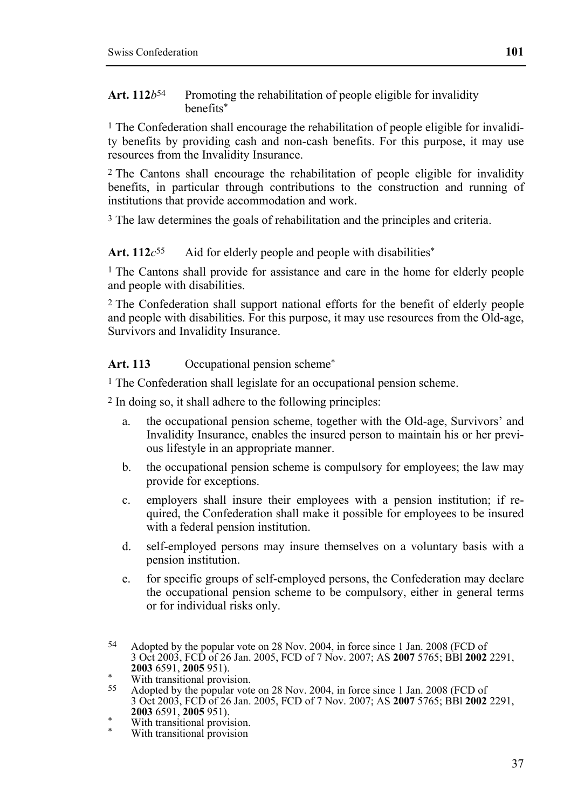#### Art. 112*b*<sup>54</sup> Promoting the rehabilitation of people eligible for invalidity benefits\*

 $1$  The Confederation shall encourage the rehabilitation of people eligible for invalidity benefits by providing cash and non-cash benefits. For this purpose, it may use resources from the Invalidity Insurance.

2 The Cantons shall encourage the rehabilitation of people eligible for invalidity benefits, in particular through contributions to the construction and running of institutions that provide accommodation and work.

<sup>3</sup> The law determines the goals of rehabilitation and the principles and criteria.

#### Art.  $112c^{55}$  Aid for elderly people and people with disabilities<sup>\*</sup>

1 The Cantons shall provide for assistance and care in the home for elderly people and people with disabilities.

2 The Confederation shall support national efforts for the benefit of elderly people and people with disabilities. For this purpose, it may use resources from the Old-age, Survivors and Invalidity Insurance.

Art. 113 Occupational pension scheme<sup>\*</sup>

<sup>1</sup> The Confederation shall legislate for an occupational pension scheme.

2 In doing so, it shall adhere to the following principles:

- a. the occupational pension scheme, together with the Old-age, Survivors' and Invalidity Insurance, enables the insured person to maintain his or her previous lifestyle in an appropriate manner.
- b. the occupational pension scheme is compulsory for employees; the law may provide for exceptions.
- c. employers shall insure their employees with a pension institution; if required, the Confederation shall make it possible for employees to be insured with a federal pension institution.
- d. self-employed persons may insure themselves on a voluntary basis with a pension institution.
- e. for specific groups of self-employed persons, the Confederation may declare the occupational pension scheme to be compulsory, either in general terms or for individual risks only.

- \* With transitional provision.
- With transitional provision

<sup>54</sup> Adopted by the popular vote on 28 Nov. 2004, in force since 1 Jan. 2008 (FCD of 3 Oct 2003, FCD of 26 Jan. 2005, FCD of 7 Nov. 2007; AS **2007** 5765; BBl **2002** 2291,

<sup>&</sup>lt;sup>2</sup> With transitional provision.

Adopted by the popular vote on 28 Nov. 2004, in force since 1 Jan. 2008 (FCD of 3 Oct 2003, FCD of 26 Jan. 2005, FCD of 7 Nov. 2007; AS **2007** 5765; BBl **2002** 2291,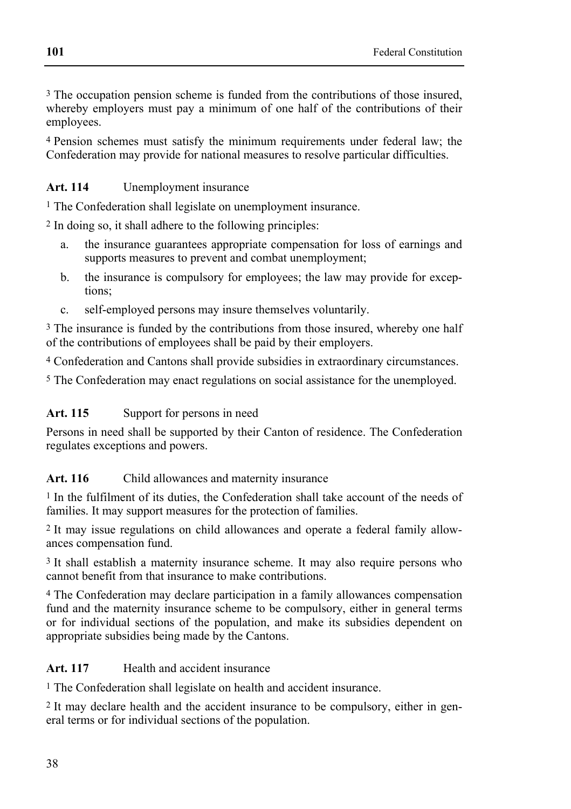3 The occupation pension scheme is funded from the contributions of those insured, whereby employers must pay a minimum of one half of the contributions of their employees.

4 Pension schemes must satisfy the minimum requirements under federal law; the Confederation may provide for national measures to resolve particular difficulties.

# **Art. 114** Unemployment insurance

1 The Confederation shall legislate on unemployment insurance.

2 In doing so, it shall adhere to the following principles:

- a. the insurance guarantees appropriate compensation for loss of earnings and supports measures to prevent and combat unemployment;
- b. the insurance is compulsory for employees; the law may provide for exceptions;
- c. self-employed persons may insure themselves voluntarily.

3 The insurance is funded by the contributions from those insured, whereby one half of the contributions of employees shall be paid by their employers.

4 Confederation and Cantons shall provide subsidies in extraordinary circumstances.

5 The Confederation may enact regulations on social assistance for the unemployed.

# Art. 115 Support for persons in need

Persons in need shall be supported by their Canton of residence. The Confederation regulates exceptions and powers.

# Art. 116 Child allowances and maternity insurance

1 In the fulfilment of its duties, the Confederation shall take account of the needs of families. It may support measures for the protection of families.

2 It may issue regulations on child allowances and operate a federal family allowances compensation fund.

3 It shall establish a maternity insurance scheme. It may also require persons who cannot benefit from that insurance to make contributions.

4 The Confederation may declare participation in a family allowances compensation fund and the maternity insurance scheme to be compulsory, either in general terms or for individual sections of the population, and make its subsidies dependent on appropriate subsidies being made by the Cantons.

# Art. 117 **Health and accident insurance**

1 The Confederation shall legislate on health and accident insurance.

2 It may declare health and the accident insurance to be compulsory, either in general terms or for individual sections of the population.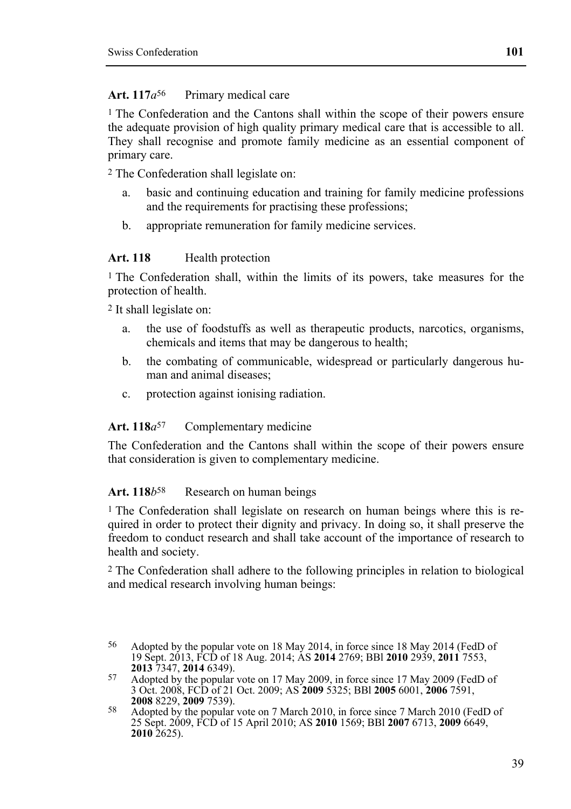#### Art. 117*a*<sup>56</sup> Primary medical care

1 The Confederation and the Cantons shall within the scope of their powers ensure the adequate provision of high quality primary medical care that is accessible to all. They shall recognise and promote family medicine as an essential component of primary care.

2 The Confederation shall legislate on:

- a. basic and continuing education and training for family medicine professions and the requirements for practising these professions;
- b. appropriate remuneration for family medicine services.

#### Art. 118 **Health** protection

<sup>1</sup> The Confederation shall, within the limits of its powers, take measures for the protection of health.

2 It shall legislate on:

- a. the use of foodstuffs as well as therapeutic products, narcotics, organisms, chemicals and items that may be dangerous to health;
- b. the combating of communicable, widespread or particularly dangerous human and animal diseases;
- c. protection against ionising radiation.

#### Art. 118*a*<sup>57</sup> Complementary medicine

The Confederation and the Cantons shall within the scope of their powers ensure that consideration is given to complementary medicine.

#### Art. 118*b*<sup>58</sup> Research on human beings

<sup>1</sup> The Confederation shall legislate on research on human beings where this is required in order to protect their dignity and privacy. In doing so, it shall preserve the freedom to conduct research and shall take account of the importance of research to health and society.

2 The Confederation shall adhere to the following principles in relation to biological and medical research involving human beings:

<sup>56</sup> Adopted by the popular vote on 18 May 2014, in force since 18 May 2014 (FedD of 19 Sept. 2013, FCD of 18 Aug. 2014; AS **2014** 2769; BBl **2010** 2939, **2011** 7553,

<sup>&</sup>lt;sup>57</sup> Adopted by the popular vote on 17 May 2009, in force since 17 May 2009 (FedD of 3 Oct. 2008, FCD of 21 Oct. 2009; AS **2009** 5325; BBl **2005** 6001, **2006** 7591,

<sup>&</sup>lt;sup>58</sup> Adopted by the popular vote on 7 March 2010, in force since 7 March 2010 (FedD of 25 Sept. 2009, FCD of 15 April 2010; AS **2010** 1569; BBl **2007** 6713, **2009** 6649, **2010** 2625).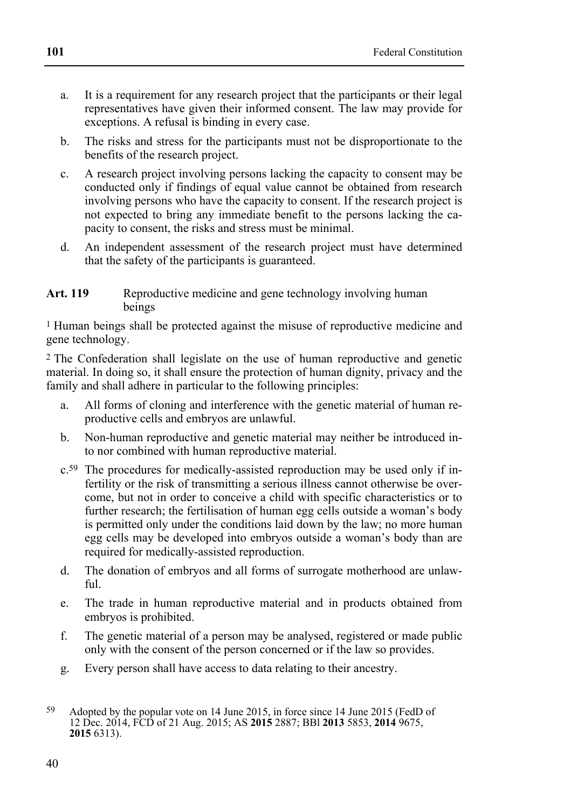- a. It is a requirement for any research project that the participants or their legal representatives have given their informed consent. The law may provide for exceptions. A refusal is binding in every case.
- b. The risks and stress for the participants must not be disproportionate to the benefits of the research project.
- c. A research project involving persons lacking the capacity to consent may be conducted only if findings of equal value cannot be obtained from research involving persons who have the capacity to consent. If the research project is not expected to bring any immediate benefit to the persons lacking the capacity to consent, the risks and stress must be minimal.
- d. An independent assessment of the research project must have determined that the safety of the participants is guaranteed.

#### Art. 119 Reproductive medicine and gene technology involving human beings

1 Human beings shall be protected against the misuse of reproductive medicine and gene technology.

2 The Confederation shall legislate on the use of human reproductive and genetic material. In doing so, it shall ensure the protection of human dignity, privacy and the family and shall adhere in particular to the following principles:

- a. All forms of cloning and interference with the genetic material of human reproductive cells and embryos are unlawful.
- b. Non-human reproductive and genetic material may neither be introduced into nor combined with human reproductive material.
- c.59 The procedures for medically-assisted reproduction may be used only if infertility or the risk of transmitting a serious illness cannot otherwise be overcome, but not in order to conceive a child with specific characteristics or to further research; the fertilisation of human egg cells outside a woman's body is permitted only under the conditions laid down by the law; no more human egg cells may be developed into embryos outside a woman's body than are required for medically-assisted reproduction.
- d. The donation of embryos and all forms of surrogate motherhood are unlaw $f<sub>1</sub>$
- e. The trade in human reproductive material and in products obtained from embryos is prohibited.
- f. The genetic material of a person may be analysed, registered or made public only with the consent of the person concerned or if the law so provides.
- g. Every person shall have access to data relating to their ancestry.

<sup>59</sup> Adopted by the popular vote on 14 June 2015, in force since 14 June 2015 (FedD of 12 Dec. 2014, FCD of 21 Aug. 2015; AS **2015** 2887; BBl **2013** 5853, **2014** 9675, **2015** 6313).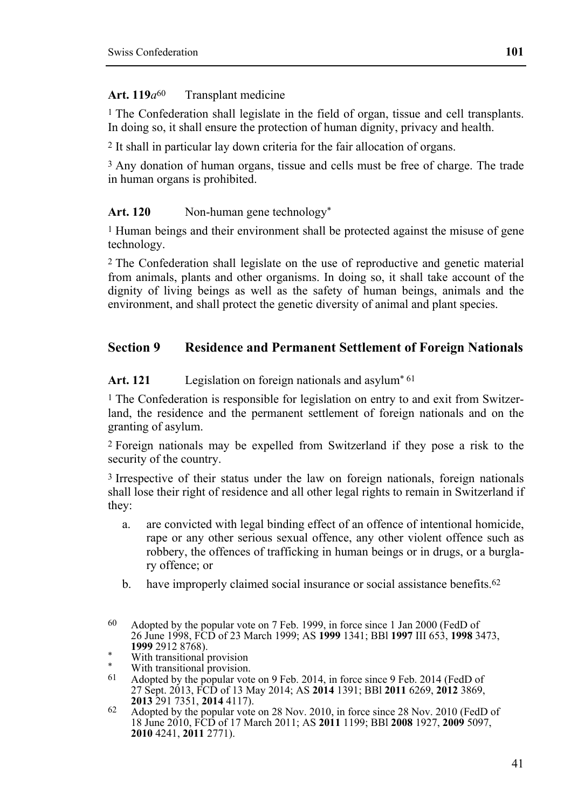# Art. 119*a*<sup>60</sup> Transplant medicine

<sup>1</sup> The Confederation shall legislate in the field of organ, tissue and cell transplants. In doing so, it shall ensure the protection of human dignity, privacy and health.

2 It shall in particular lay down criteria for the fair allocation of organs.

3 Any donation of human organs, tissue and cells must be free of charge. The trade in human organs is prohibited.

# Art. 120 Non-human gene technology<sup>\*</sup>

1 Human beings and their environment shall be protected against the misuse of gene technology.

2 The Confederation shall legislate on the use of reproductive and genetic material from animals, plants and other organisms. In doing so, it shall take account of the dignity of living beings as well as the safety of human beings, animals and the environment, and shall protect the genetic diversity of animal and plant species.

# **Section 9 Residence and Permanent Settlement of Foreign Nationals**

# Art. 121 Legislation on foreign nationals and asylum<sup>\* 61</sup>

<sup>1</sup> The Confederation is responsible for legislation on entry to and exit from Switzerland, the residence and the permanent settlement of foreign nationals and on the granting of asylum.

2 Foreign nationals may be expelled from Switzerland if they pose a risk to the security of the country.

3 Irrespective of their status under the law on foreign nationals, foreign nationals shall lose their right of residence and all other legal rights to remain in Switzerland if they:

- a. are convicted with legal binding effect of an offence of intentional homicide, rape or any other serious sexual offence, any other violent offence such as robbery, the offences of trafficking in human beings or in drugs, or a burglary offence; or
- b. have improperly claimed social insurance or social assistance benefits.<sup>62</sup>

<sup>60</sup> Adopted by the popular vote on 7 Feb. 1999, in force since 1 Jan 2000 (FedD of 26 June 1998, FCD of 23 March 1999; AS **1999** 1341; BBl **1997** III 653, **1998** 3473,

<sup>\*</sup> With transitional provision

<sup>\*</sup> With transitional provision.<br> $61$  Adopted by the popular vote

Adopted by the popular vote on 9 Feb. 2014, in force since 9 Feb. 2014 (FedD of 27 Sept. 2013, FCD of 13 May 2014; AS **2014** 1391; BBl **2011** 6269, **2012** 3869,

<sup>&</sup>lt;sup>62</sup> Adopted by the popular vote on 28 Nov. 2010, in force since 28 Nov. 2010 (FedD of 18 June 2010, FCD of 17 March 2011; AS **2011** 1199; BBl **2008** 1927, **2009** 5097, **2010** 4241, **2011** 2771).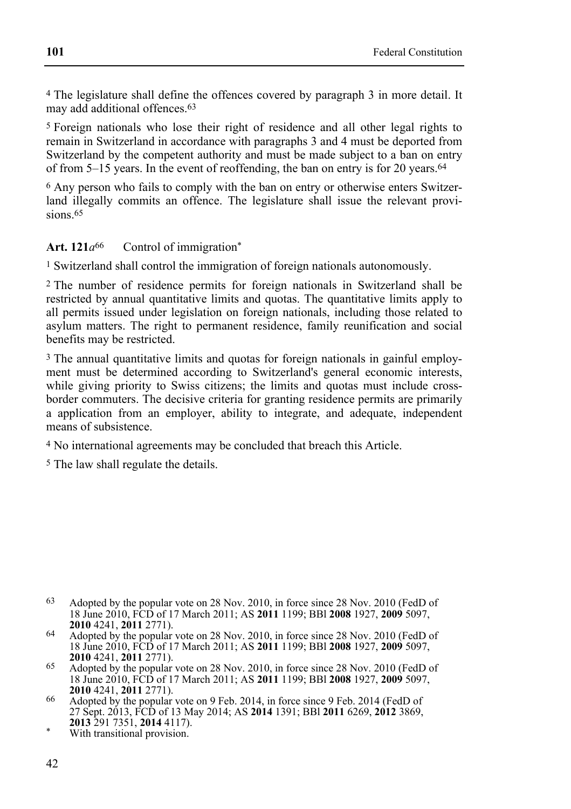4 The legislature shall define the offences covered by paragraph 3 in more detail. It may add additional offences.63

5 Foreign nationals who lose their right of residence and all other legal rights to remain in Switzerland in accordance with paragraphs 3 and 4 must be deported from Switzerland by the competent authority and must be made subject to a ban on entry of from 5–15 years. In the event of reoffending, the ban on entry is for 20 years.64

6 Any person who fails to comply with the ban on entry or otherwise enters Switzerland illegally commits an offence. The legislature shall issue the relevant provisions.<sup>65</sup>

#### Art. 121*a*<sup>66</sup> Control of immigration\*

1 Switzerland shall control the immigration of foreign nationals autonomously.

2 The number of residence permits for foreign nationals in Switzerland shall be restricted by annual quantitative limits and quotas. The quantitative limits apply to all permits issued under legislation on foreign nationals, including those related to asylum matters. The right to permanent residence, family reunification and social benefits may be restricted.

3 The annual quantitative limits and quotas for foreign nationals in gainful employment must be determined according to Switzerland's general economic interests, while giving priority to Swiss citizens; the limits and quotas must include crossborder commuters. The decisive criteria for granting residence permits are primarily a application from an employer, ability to integrate, and adequate, independent means of subsistence.

4 No international agreements may be concluded that breach this Article.

5 The law shall regulate the details.

- 63 Adopted by the popular vote on 28 Nov. 2010, in force since 28 Nov. 2010 (FedD of 18 June 2010, FCD of 17 March 2011; AS **2011** 1199; BBl **2008** 1927, **2009** 5097,
- **2010** 4241, **2011** 2771). **64** Adopted by the popular vote on 28 Nov. 2010, in force since 28 Nov. 2010 (FedD of 18 June 2010, FCD of 17 March 2011; AS **2011** 1199; BBl **2008** 1927, **2009** 5097,
- **2010** 4241, **2011** 2771). **65** Adopted by the popular vote on 28 Nov. 2010, in force since 28 Nov. 2010 (FedD of 18 June 2010, FCD of 17 March 2011; AS **2011** 1199; BBl **2008** 1927, **2009** 5097,
- <sup>66</sup> Adopted by the popular vote on 9 Feb. 2014, in force since 9 Feb. 2014 (FedD of 27 Sept. 2013, FCD of 13 May 2014; AS **2014** 1391; BBl **2011** 6269, **2012** 3869,
- With transitional provision.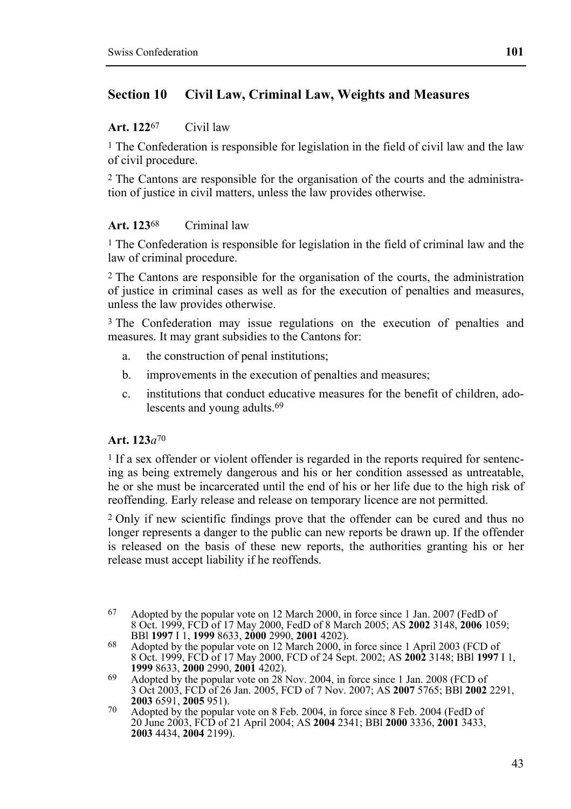# **Section 10 Civil Law, Criminal Law, Weights and Measures**

#### **Art. 122**67 Civil law

<sup>1</sup> The Confederation is responsible for legislation in the field of civil law and the law of civil procedure.

2 The Cantons are responsible for the organisation of the courts and the administration of justice in civil matters, unless the law provides otherwise.

#### **Art. 123**68 Criminal law

<sup>1</sup> The Confederation is responsible for legislation in the field of criminal law and the law of criminal procedure.

2 The Cantons are responsible for the organisation of the courts, the administration of justice in criminal cases as well as for the execution of penalties and measures, unless the law provides otherwise.

3 The Confederation may issue regulations on the execution of penalties and measures. It may grant subsidies to the Cantons for:

- a. the construction of penal institutions;
- b. improvements in the execution of penalties and measures;
- c. institutions that conduct educative measures for the benefit of children, adolescents and young adults.69

#### **Art. 123***a*70

1 If a sex offender or violent offender is regarded in the reports required for sentencing as being extremely dangerous and his or her condition assessed as untreatable, he or she must be incarcerated until the end of his or her life due to the high risk of reoffending. Early release and release on temporary licence are not permitted.

2 Only if new scientific findings prove that the offender can be cured and thus no longer represents a danger to the public can new reports be drawn up. If the offender is released on the basis of these new reports, the authorities granting his or her release must accept liability if he reoffends.

<sup>67</sup> 67 Adopted by the popular vote on 12 March 2000, in force since 1 Jan. 2007 (FedD of 8 Oct. 1999, FCD of 17 May 2000, FedD of 8 March 2005; AS **2002** 3148, **2006** 1059;

BBl **1997** I 1, **1999** 8633, **2000** 2990, **2001** 4202). 68 Adopted by the popular vote on 12 March 2000, in force since 1 April 2003 (FCD of 8 Oct. 1999, FCD of 17 May 2000, FCD of 24 Sept. 2002; AS **2002** 3148; BBl **1997** I 1, **1999** 8633, **2000** 2990, **2001** 4202). **69** Adopted by the popular vote on 28 Nov. 2004, in force since 1 Jan. 2008 (FCD of

<sup>3</sup> Oct 2003, FCD of 26 Jan. 2005, FCD of 7 Nov. 2007; AS **2007** 5765; BBl **2002** 2291, **2003** 6591, **2005** 951). **2005** 851. **2005** *Popular vote on 8 Feb. 2004*, in force since 8 Feb. 2004 (FedD of

<sup>20</sup> June 2003, FCD of 21 April 2004; AS **2004** 2341; BBl **2000** 3336, **2001** 3433, **2003** 4434, **2004** 2199).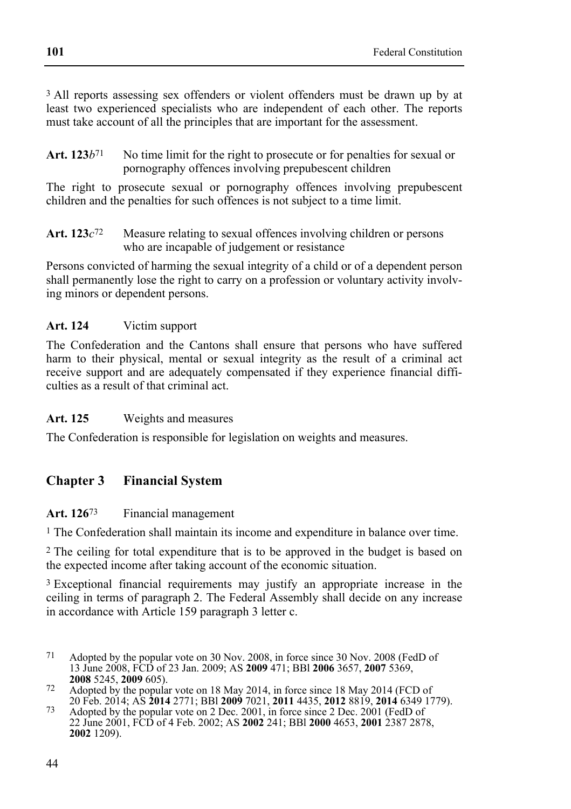3 All reports assessing sex offenders or violent offenders must be drawn up by at least two experienced specialists who are independent of each other. The reports must take account of all the principles that are important for the assessment.

Art. 123*b*<sup>71</sup> No time limit for the right to prosecute or for penalties for sexual or pornography offences involving prepubescent children

The right to prosecute sexual or pornography offences involving prepubescent children and the penalties for such offences is not subject to a time limit.

**Art. 123***c*72 Measure relating to sexual offences involving children or persons who are incapable of judgement or resistance

Persons convicted of harming the sexual integrity of a child or of a dependent person shall permanently lose the right to carry on a profession or voluntary activity involving minors or dependent persons.

# **Art. 124** Victim support

The Confederation and the Cantons shall ensure that persons who have suffered harm to their physical, mental or sexual integrity as the result of a criminal act receive support and are adequately compensated if they experience financial difficulties as a result of that criminal act.

# **Art. 125** Weights and measures

The Confederation is responsible for legislation on weights and measures.

# **Chapter 3 Financial System**

# **Art. 126**73 Financial management

1 The Confederation shall maintain its income and expenditure in balance over time.

2 The ceiling for total expenditure that is to be approved in the budget is based on the expected income after taking account of the economic situation.

<sup>3</sup> Exceptional financial requirements may justify an appropriate increase in the ceiling in terms of paragraph 2. The Federal Assembly shall decide on any increase in accordance with Article 159 paragraph 3 letter c.

<sup>71</sup> Adopted by the popular vote on 30 Nov. 2008, in force since 30 Nov. 2008 (FedD of 13 June 2008, FCD of 23 Jan. 2009; AS **2009** 471; BBl **2006** 3657, **2007** 5369,

**<sup>2008</sup>** 5245, **2009** 605). **2008** 5245, **2009** 605). **72** Adopted by the popular vote on 18 May 2014, in force since 18 May 2014 (FCD of

<sup>20</sup> Feb. 2014; AS **2014** 2771; BBl **2009** 7021, **2011** 4435, **2012** 8819, **2014** 6349 1779). 73 Adopted by the popular vote on 2 Dec. 2001, in force since 2 Dec. 2001 (FedD of 22 June 2001, FCD of 4 Feb. 2002; AS **2002** 241; BBl **2000** 4653, **2001** 2387 2878, **2002** 1209).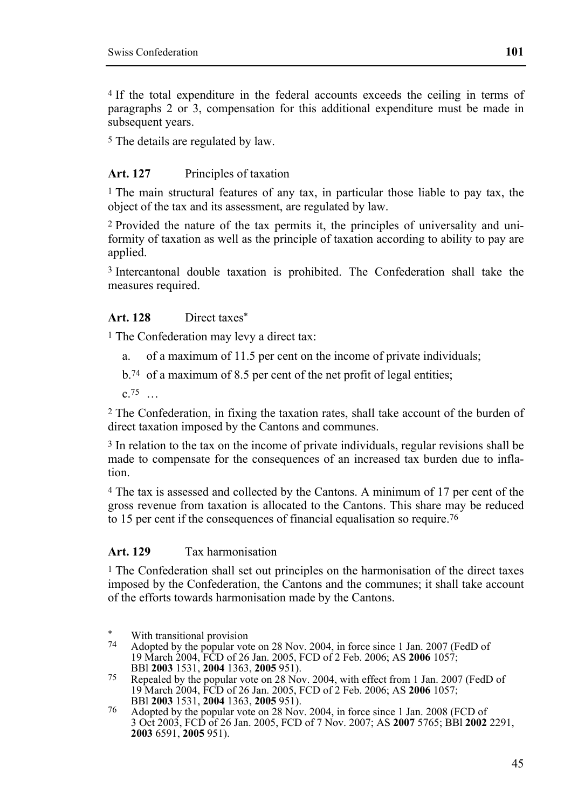4 If the total expenditure in the federal accounts exceeds the ceiling in terms of paragraphs 2 or 3, compensation for this additional expenditure must be made in subsequent years.

5 The details are regulated by law.

### Art. 127 Principles of taxation

1 The main structural features of any tax, in particular those liable to pay tax, the object of the tax and its assessment, are regulated by law.

2 Provided the nature of the tax permits it, the principles of universality and uniformity of taxation as well as the principle of taxation according to ability to pay are applied.

3 Intercantonal double taxation is prohibited. The Confederation shall take the measures required.

## **Art. 128** Direct taxes\*

1 The Confederation may levy a direct tax:

a. of a maximum of 11.5 per cent on the income of private individuals;

b.74 of a maximum of 8.5 per cent of the net profit of legal entities;

 $c.75$  …

2 The Confederation, in fixing the taxation rates, shall take account of the burden of direct taxation imposed by the Cantons and communes.

3 In relation to the tax on the income of private individuals, regular revisions shall be made to compensate for the consequences of an increased tax burden due to inflation.

4 The tax is assessed and collected by the Cantons. A minimum of 17 per cent of the gross revenue from taxation is allocated to the Cantons. This share may be reduced to 15 per cent if the consequences of financial equalisation so require.76

#### **Art. 129** Tax harmonisation

<sup>1</sup> The Confederation shall set out principles on the harmonisation of the direct taxes imposed by the Confederation, the Cantons and the communes; it shall take account of the efforts towards harmonisation made by the Cantons.

<sup>×.</sup> \* With transitional provision<br> $\frac{74}{2}$  Adopted by the negative

Adopted by the popular vote on 28 Nov. 2004, in force since 1 Jan. 2007 (FedD of 19 March 2004, FCD of 26 Jan. 2005, FCD of 2 Feb. 2006; AS **2006** 1057;

BBl **2003** 1531, **2004** 1363, **2005** 951). 75 Repealed by the popular vote on 28 Nov. 2004, with effect from 1 Jan. 2007 (FedD of 19 March 2004, FCD of 26 Jan. 2005, FCD of 2 Feb. 2006; AS **2006** 1057; BBI **2003** 1531, **2004** 1363, **2005** 951).

<sup>&</sup>lt;sup>76</sup> Adopted by the popular vote on 28 Nov. 2004, in force since 1 Jan. 2008 (FCD of 3 Oct 2003, FCD of 26 Jan. 2005, FCD of 7 Nov. 2007; AS **2007** 5765; BBl **2002** 2291, **2003** 6591, **2005** 951).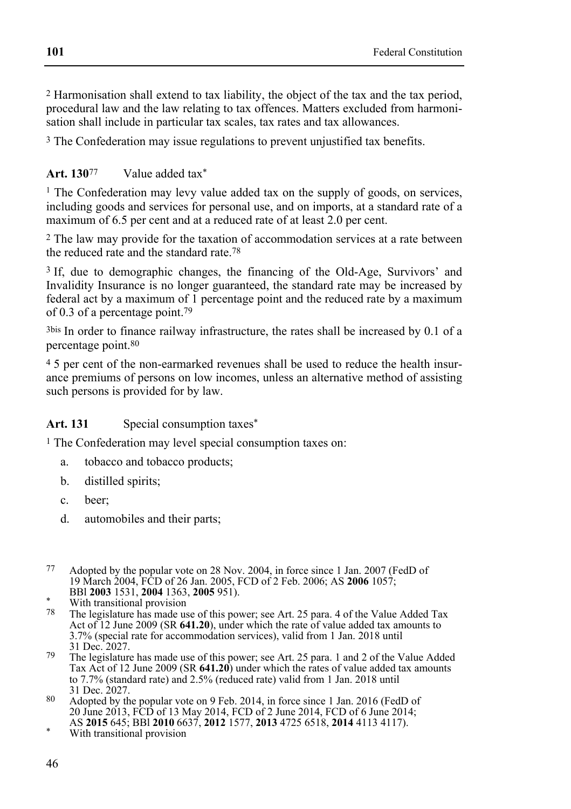2 Harmonisation shall extend to tax liability, the object of the tax and the tax period, procedural law and the law relating to tax offences. Matters excluded from harmonisation shall include in particular tax scales, tax rates and tax allowances.

3 The Confederation may issue regulations to prevent unjustified tax benefits.

# **Art. 130**77 Value added tax\*

 $1$  The Confederation may levy value added tax on the supply of goods, on services, including goods and services for personal use, and on imports, at a standard rate of a maximum of 6.5 per cent and at a reduced rate of at least 2.0 per cent.

2 The law may provide for the taxation of accommodation services at a rate between the reduced rate and the standard rate.78

3 If, due to demographic changes, the financing of the Old-Age, Survivors' and Invalidity Insurance is no longer guaranteed, the standard rate may be increased by federal act by a maximum of 1 percentage point and the reduced rate by a maximum of 0.3 of a percentage point.79

3bis In order to finance railway infrastructure, the rates shall be increased by 0.1 of a percentage point.80

4 5 per cent of the non-earmarked revenues shall be used to reduce the health insurance premiums of persons on low incomes, unless an alternative method of assisting such persons is provided for by law.

# Art. 131 Special consumption taxes<sup>\*</sup>

1 The Confederation may level special consumption taxes on:

- a. tobacco and tobacco products;
- b. distilled spirits;
- c. beer;
- d. automobiles and their parts;
- 77 Adopted by the popular vote on 28 Nov. 2004, in force since 1 Jan. 2007 (FedD of 19 March 2004, FCD of 26 Jan. 2005, FCD of 2 Feb. 2006; AS **2006** 1057;

- 78 The legislature has made use of this power; see Art. 25 para. 4 of the Value Added Tax Act of 12 June 2009 (SR **641.20**), under which the rate of value added tax amounts to 3.7% (special rate for accommodation services), valid from 1 Jan. 2018 until 31 Dec. 2027.
- 79 The legislature has made use of this power; see Art. 25 para. 1 and 2 of the Value Added Tax Act of 12 June 2009 (SR **641.20**) under which the rates of value added tax amounts to 7.7% (standard rate) and 2.5% (reduced rate) valid from 1 Jan. 2018 until 31 Dec. 2027.
- 80 Adopted by the popular vote on 9 Feb. 2014, in force since 1 Jan. 2016 (FedD of 20 June 2013, FCD of 13 May 2014, FCD of 2 June 2014, FCD of 6 June 2014; AS **2015** 645; BBl **<sup>2010</sup>** 6637, **2012** 1577, **2013** 4725 6518, **2014** 4113 4117). \* With transitional provision
- 

BBl **2003** 1531, **2004** 1363, **2005** 951). \* With transitional provision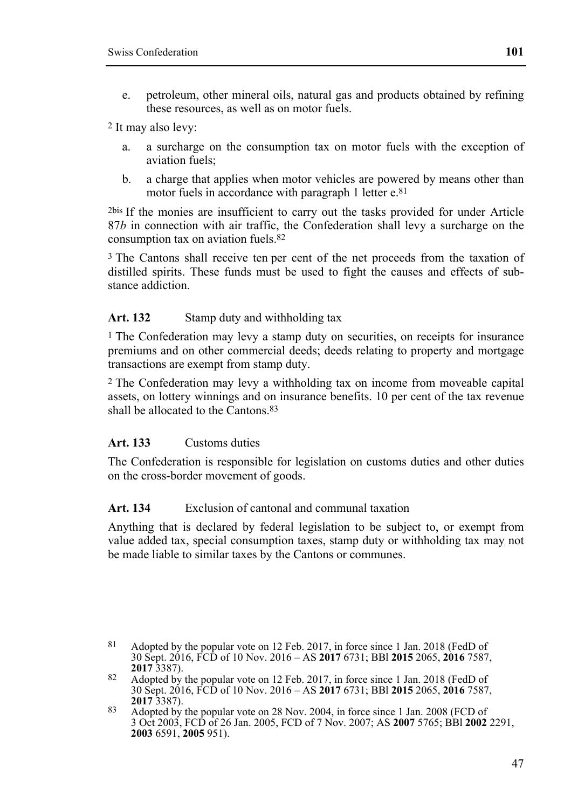e. petroleum, other mineral oils, natural gas and products obtained by refining these resources, as well as on motor fuels.

2 It may also levy:

- a. a surcharge on the consumption tax on motor fuels with the exception of aviation fuels;
- b. a charge that applies when motor vehicles are powered by means other than motor fuels in accordance with paragraph 1 letter e.81

2bis If the monies are insufficient to carry out the tasks provided for under Article 87*b* in connection with air traffic, the Confederation shall levy a surcharge on the consumption tax on aviation fuels.82

3 The Cantons shall receive ten per cent of the net proceeds from the taxation of distilled spirits. These funds must be used to fight the causes and effects of substance addiction.

### Art. 132 Stamp duty and withholding tax

1 The Confederation may levy a stamp duty on securities, on receipts for insurance premiums and on other commercial deeds; deeds relating to property and mortgage transactions are exempt from stamp duty.

2 The Confederation may levy a withholding tax on income from moveable capital assets, on lottery winnings and on insurance benefits. 10 per cent of the tax revenue shall be allocated to the Cantons.83

# Art. 133 Customs duties

The Confederation is responsible for legislation on customs duties and other duties on the cross-border movement of goods.

# **Art. 134** Exclusion of cantonal and communal taxation

Anything that is declared by federal legislation to be subject to, or exempt from value added tax, special consumption taxes, stamp duty or withholding tax may not be made liable to similar taxes by the Cantons or communes.

<sup>81</sup> Adopted by the popular vote on 12 Feb. 2017, in force since 1 Jan. 2018 (FedD of 30 Sept. 2016, FCD of 10 Nov. 2016 – AS **2017** 6731; BBl **2015** 2065, **2016** 7587,

<sup>82</sup> Adopted by the popular vote on 12 Feb. 2017, in force since 1 Jan. 2018 (FedD of 30 Sept. 2016, FCD of 10 Nov. 2016 – AS **2017** 6731; BBl **2015** 2065, **2016** 7587,

<sup>&</sup>lt;sup>83</sup> Adopted by the popular vote on 28 Nov. 2004, in force since 1 Jan. 2008 (FCD of 3 Oct 2003, FCD of 26 Jan. 2005, FCD of 7 Nov. 2007; AS **2007** 5765; BBl **2002** 2291, **2003** 6591, **2005** 951).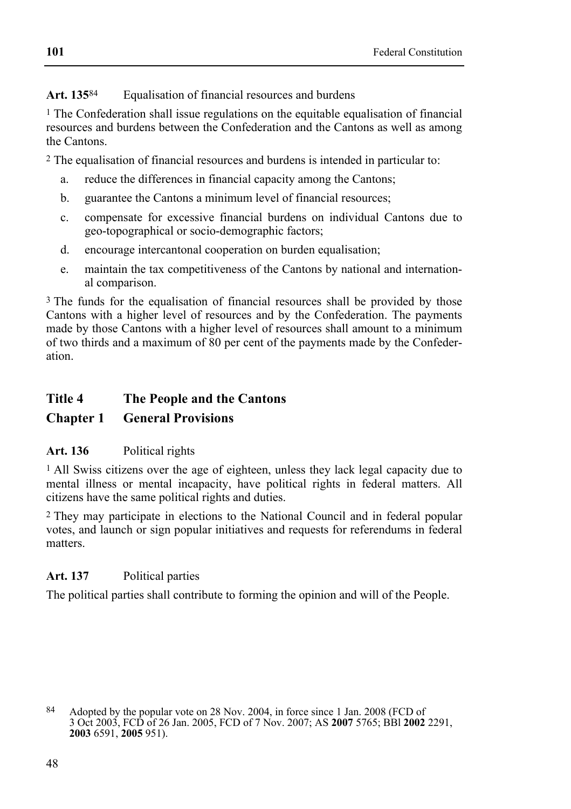# **Art. 135**84 Equalisation of financial resources and burdens

<sup>1</sup> The Confederation shall issue regulations on the equitable equalisation of financial resources and burdens between the Confederation and the Cantons as well as among the Cantons.

2 The equalisation of financial resources and burdens is intended in particular to:

- a. reduce the differences in financial capacity among the Cantons;
- b. guarantee the Cantons a minimum level of financial resources;
- c. compensate for excessive financial burdens on individual Cantons due to geo-topographical or socio-demographic factors;
- d. encourage intercantonal cooperation on burden equalisation;
- e. maintain the tax competitiveness of the Cantons by national and international comparison.

<sup>3</sup> The funds for the equalisation of financial resources shall be provided by those Cantons with a higher level of resources and by the Confederation. The payments made by those Cantons with a higher level of resources shall amount to a minimum of two thirds and a maximum of 80 per cent of the payments made by the Confederation.

# **Title 4 The People and the Cantons**

# **Chapter 1 General Provisions**

# **Art. 136** Political rights

<sup>1</sup> All Swiss citizens over the age of eighteen, unless they lack legal capacity due to mental illness or mental incapacity, have political rights in federal matters. All citizens have the same political rights and duties.

2 They may participate in elections to the National Council and in federal popular votes, and launch or sign popular initiatives and requests for referendums in federal matters.

# **Art. 137** Political parties

The political parties shall contribute to forming the opinion and will of the People.

<sup>84</sup> Adopted by the popular vote on 28 Nov. 2004, in force since 1 Jan. 2008 (FCD of 3 Oct 2003, FCD of 26 Jan. 2005, FCD of 7 Nov. 2007; AS **2007** 5765; BBl **2002** 2291, **2003** 6591, **2005** 951).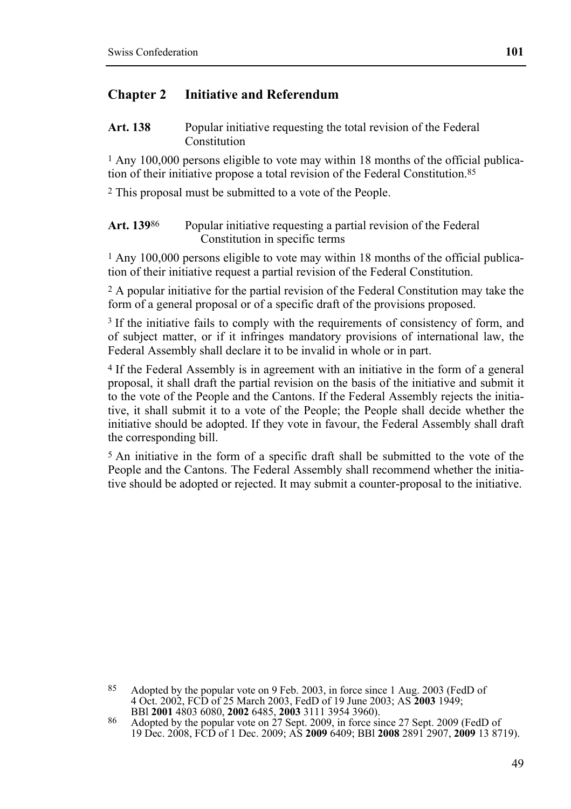### **Chapter 2 Initiative and Referendum**

Art. 138 Popular initiative requesting the total revision of the Federal Constitution

1 Any 100,000 persons eligible to vote may within 18 months of the official publication of their initiative propose a total revision of the Federal Constitution.85

2 This proposal must be submitted to a vote of the People.

Art. 139<sup>86</sup> Popular initiative requesting a partial revision of the Federal Constitution in specific terms

1 Any 100,000 persons eligible to vote may within 18 months of the official publication of their initiative request a partial revision of the Federal Constitution.

2 A popular initiative for the partial revision of the Federal Constitution may take the form of a general proposal or of a specific draft of the provisions proposed.

<sup>3</sup> If the initiative fails to comply with the requirements of consistency of form, and of subject matter, or if it infringes mandatory provisions of international law, the Federal Assembly shall declare it to be invalid in whole or in part.

4 If the Federal Assembly is in agreement with an initiative in the form of a general proposal, it shall draft the partial revision on the basis of the initiative and submit it to the vote of the People and the Cantons. If the Federal Assembly rejects the initiative, it shall submit it to a vote of the People; the People shall decide whether the initiative should be adopted. If they vote in favour, the Federal Assembly shall draft the corresponding bill.

5 An initiative in the form of a specific draft shall be submitted to the vote of the People and the Cantons. The Federal Assembly shall recommend whether the initiative should be adopted or rejected. It may submit a counter-proposal to the initiative.

 $85$ Adopted by the popular vote on 9 Feb. 2003, in force since 1 Aug. 2003 (FedD of 4 Oct. 2002, FCD of 25 March 2003, FedD of 19 June 2003; AS **2003** 1949;

<sup>86</sup> Adopted by the popular vote on 27 Sept. 2009, in force since 27 Sept. 2009 (FedD of 19 Dec. 2008, FCD of 1 Dec. 2009; AS **2009** 6409; BBl **2008** 2891 2907, **2009** 13 8719).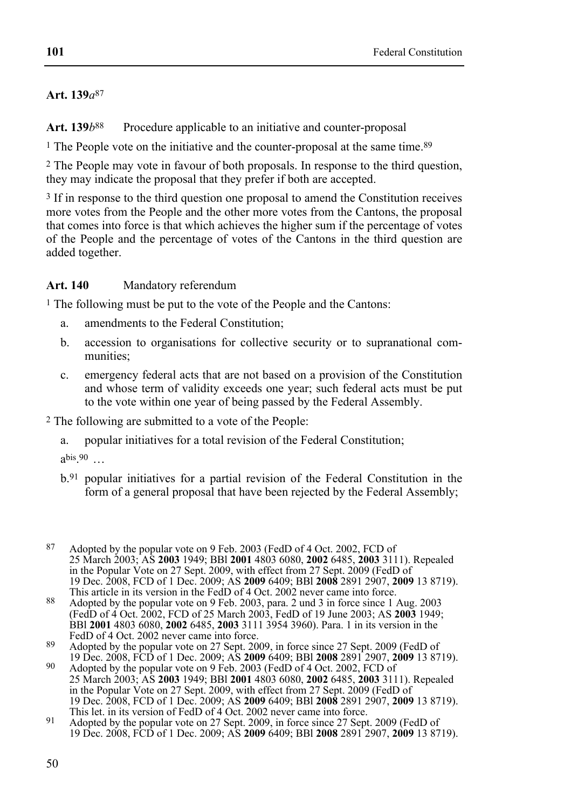# **Art. 139***a*87

Art. 139*b*<sup>88</sup> Procedure applicable to an initiative and counter-proposal

<sup>1</sup> The People vote on the initiative and the counter-proposal at the same time.<sup>89</sup>

2 The People may vote in favour of both proposals. In response to the third question, they may indicate the proposal that they prefer if both are accepted.

3 If in response to the third question one proposal to amend the Constitution receives more votes from the People and the other more votes from the Cantons, the proposal that comes into force is that which achieves the higher sum if the percentage of votes of the People and the percentage of votes of the Cantons in the third question are added together.

**Art. 140** Mandatory referendum

1 The following must be put to the vote of the People and the Cantons:

- a. amendments to the Federal Constitution;
- b. accession to organisations for collective security or to supranational communities;
- c. emergency federal acts that are not based on a provision of the Constitution and whose term of validity exceeds one year; such federal acts must be put to the vote within one year of being passed by the Federal Assembly.

2 The following are submitted to a vote of the People:

a. popular initiatives for a total revision of the Federal Constitution;

 $a<sup>bis.90</sup>$  ...

- b.91 popular initiatives for a partial revision of the Federal Constitution in the form of a general proposal that have been rejected by the Federal Assembly;
- $87$ Adopted by the popular vote on 9 Feb. 2003 (FedD of 4 Oct. 2002, FCD of 25 March 2003; AS **2003** 1949; BBl **2001** 4803 6080, **2002** 6485, **2003** 3111). Repealed in the Popular Vote on 27 Sept. 2009, with effect from 27 Sept. 2009 (FedD of 19 Dec. 2008, FCD of 1 Dec. 2009; AS **2009** 6409; BBl **2008** 2891 2907, **2009** 13 8719). This article in its version in the FedD of 4 Oct. 2002 never came into force.
- 88 Adopted by the popular vote on 9 Feb. 2003, para. 2 und 3 in force since 1 Aug. 2003 (FedD of 4 Oct. 2002, FCD of 25 March 2003, FedD of 19 June 2003; AS **2003** 1949; BBl **2001** 4803 6080, **2002** 6485, **2003** 3111 3954 3960). Para. 1 in its version in the FedD of 4 Oct. 2002 never came into force.

89<br>89 Adopted by the popular vote on 27 Sept. 2009, in force since 27 Sept. 2009 (FedD of<br>19 Dec. 2008, FCD of 1 Dec. 2009; AS 2009 6409; BBI 2008 2891 2907, 2009 13 8719).

19 Dec. 2008, FCD of 1 Dec. 2009; AS **2009** 6409; BBl **2008** 2891 2907, **2009** 13 8719). 90 Adopted by the popular vote on 9 Feb. 2003 (FedD of 4 Oct. 2002, FCD of 25 March 2003; AS **2003** 1949; BBl **2001** 4803 6080, **2002** 6485, **2003** 3111). Repealed in the Popular Vote on 27 Sept. 2009, with effect from 27 Sept. 2009 (FedD of 19 Dec. 2008, FCD of 1 Dec. 2009; AS **2009** 6409; BBl **2008** 2891 2907, **2009** 13 8719). This let. in its version of FedD of 4 Oct. 2002 never came into force.

<sup>91</sup> Adopted by the popular vote on 27 Sept. 2009, in force since 27 Sept. 2009 (FedD of 19 Dec. 2008, FCD of 1 Dec. 2009; AS **2009** 6409; BBl **2008** 2891 2907, **2009** 13 8719).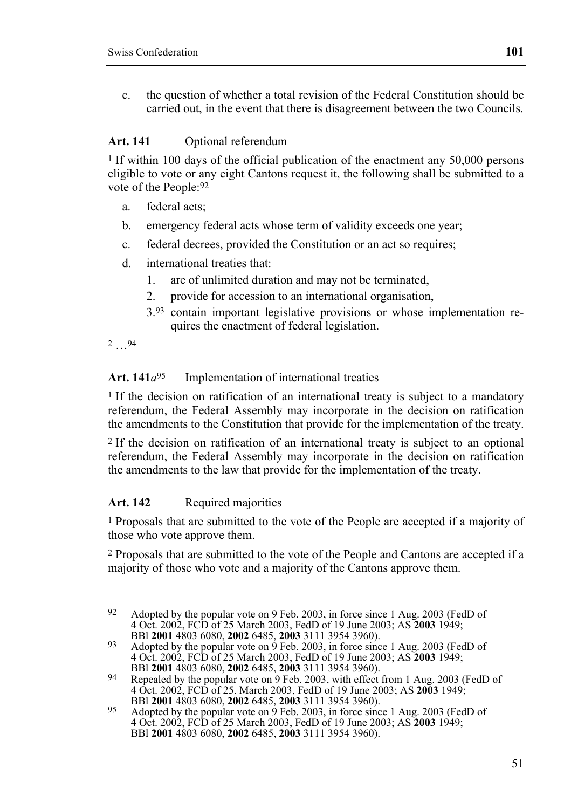c. the question of whether a total revision of the Federal Constitution should be carried out, in the event that there is disagreement between the two Councils.

#### **Art. 141** Optional referendum

1 If within 100 days of the official publication of the enactment any 50,000 persons eligible to vote or any eight Cantons request it, the following shall be submitted to a vote of the People:92

- a. federal acts;
- b. emergency federal acts whose term of validity exceeds one year;
- c. federal decrees, provided the Constitution or an act so requires;
- d. international treaties that:
	- 1. are of unlimited duration and may not be terminated,
	- 2. provide for accession to an international organisation,
	- 3.93 contain important legislative provisions or whose implementation requires the enactment of federal legislation.
- 2 …94

# Art.  $141a^{95}$  Implementation of international treaties

<sup>1</sup> If the decision on ratification of an international treaty is subject to a mandatory referendum, the Federal Assembly may incorporate in the decision on ratification the amendments to the Constitution that provide for the implementation of the treaty.

2 If the decision on ratification of an international treaty is subject to an optional referendum, the Federal Assembly may incorporate in the decision on ratification the amendments to the law that provide for the implementation of the treaty.

#### Art. 142 Required majorities

1 Proposals that are submitted to the vote of the People are accepted if a majority of those who vote approve them.

2 Proposals that are submitted to the vote of the People and Cantons are accepted if a majority of those who vote and a majority of the Cantons approve them.

 $92$ Adopted by the popular vote on 9 Feb. 2003, in force since 1 Aug. 2003 (FedD of 4 Oct. 2002, FCD of 25 March 2003, FedD of 19 June 2003; AS **2003** 1949; BBl **2001** 4803 6080, **2002** 6485, **2003** 3111 3954 3960). 93 Adopted by the popular vote on 9 Feb. 2003, in force since 1 Aug. 2003 (FedD of

<sup>4</sup> Oct. 2002, FCD of 25 March 2003, FedD of 19 June 2003; AS **2003** 1949; BBl **2001** 4803 6080, **2002** 6485, **2003** 3111 3954 3960). 94 Repealed by the popular vote on 9 Feb. 2003, with effect from 1 Aug. 2003 (FedD of

<sup>4</sup> Oct. 2002, FCD of 25. March 2003, FedD of 19 June 2003; AS 2003 1949;<br>BBI 2001 4803 6080, 2002 6485, 2003 3111 3954 3960).<br>Adopted by the popular vote on 9 Feb. 2003, in force since 1 Aug. 2003 (FedD of

<sup>4</sup> Oct. 2002, FCD of 25 March 2003, FedD of 19 June 2003; AS **2003** 1949; BBl **2001** 4803 6080, **2002** 6485, **2003** 3111 3954 3960).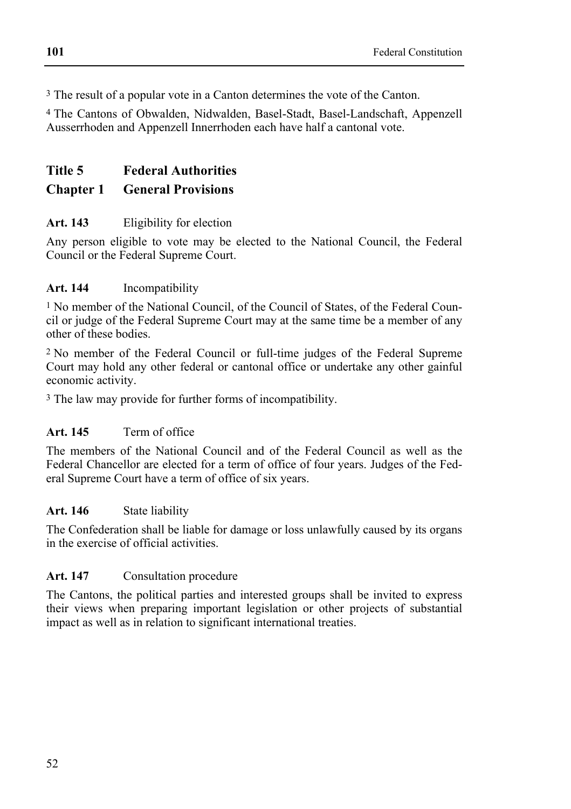3 The result of a popular vote in a Canton determines the vote of the Canton.

4 The Cantons of Obwalden, Nidwalden, Basel-Stadt, Basel-Landschaft, Appenzell Ausserrhoden and Appenzell Innerrhoden each have half a cantonal vote.

# **Title 5 Federal Authorities**

# **Chapter 1 General Provisions**

# **Art. 143** Eligibility for election

Any person eligible to vote may be elected to the National Council, the Federal Council or the Federal Supreme Court.

# **Art. 144** Incompatibility

1 No member of the National Council, of the Council of States, of the Federal Council or judge of the Federal Supreme Court may at the same time be a member of any other of these bodies.

2 No member of the Federal Council or full-time judges of the Federal Supreme Court may hold any other federal or cantonal office or undertake any other gainful economic activity.

<sup>3</sup> The law may provide for further forms of incompatibility.

# **Art. 145** Term of office

The members of the National Council and of the Federal Council as well as the Federal Chancellor are elected for a term of office of four years. Judges of the Federal Supreme Court have a term of office of six years.

# **Art. 146** State liability

The Confederation shall be liable for damage or loss unlawfully caused by its organs in the exercise of official activities.

# **Art. 147** Consultation procedure

The Cantons, the political parties and interested groups shall be invited to express their views when preparing important legislation or other projects of substantial impact as well as in relation to significant international treaties.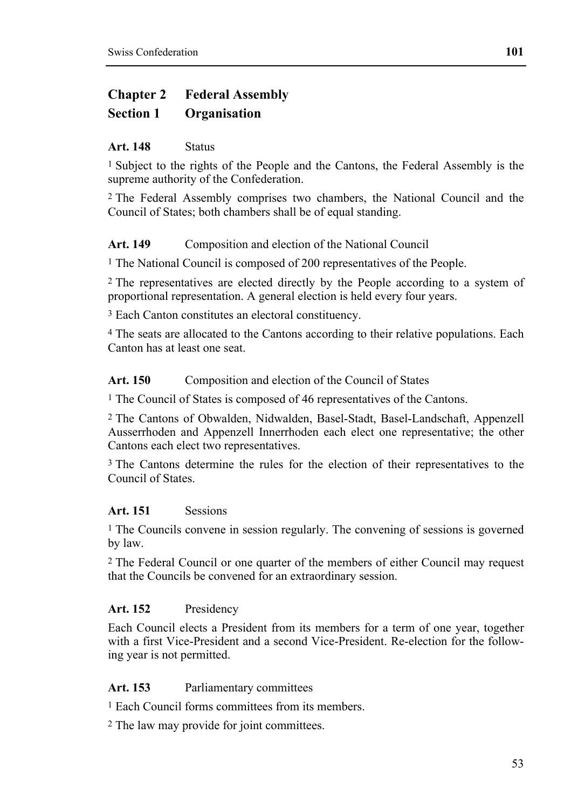# **Chapter 2 Federal Assembly**

# **Section 1 Organisation**

### **Art. 148** Status

1 Subject to the rights of the People and the Cantons, the Federal Assembly is the supreme authority of the Confederation.

2 The Federal Assembly comprises two chambers, the National Council and the Council of States; both chambers shall be of equal standing.

# Art. 149 Composition and election of the National Council

1 The National Council is composed of 200 representatives of the People.

2 The representatives are elected directly by the People according to a system of proportional representation. A general election is held every four years.

3 Each Canton constitutes an electoral constituency.

4 The seats are allocated to the Cantons according to their relative populations. Each Canton has at least one seat.

### Art. 150 Composition and election of the Council of States

1 The Council of States is composed of 46 representatives of the Cantons.

2 The Cantons of Obwalden, Nidwalden, Basel-Stadt, Basel-Landschaft, Appenzell Ausserrhoden and Appenzell Innerrhoden each elect one representative; the other Cantons each elect two representatives.

3 The Cantons determine the rules for the election of their representatives to the Council of States.

# **Art. 151** Sessions

<sup>1</sup> The Councils convene in session regularly. The convening of sessions is governed by law.

2 The Federal Council or one quarter of the members of either Council may request that the Councils be convened for an extraordinary session.

# **Art. 152** Presidency

Each Council elects a President from its members for a term of one year, together with a first Vice-President and a second Vice-President. Re-election for the following year is not permitted.

# **Art. 153** Parliamentary committees

1 Each Council forms committees from its members.

2 The law may provide for joint committees.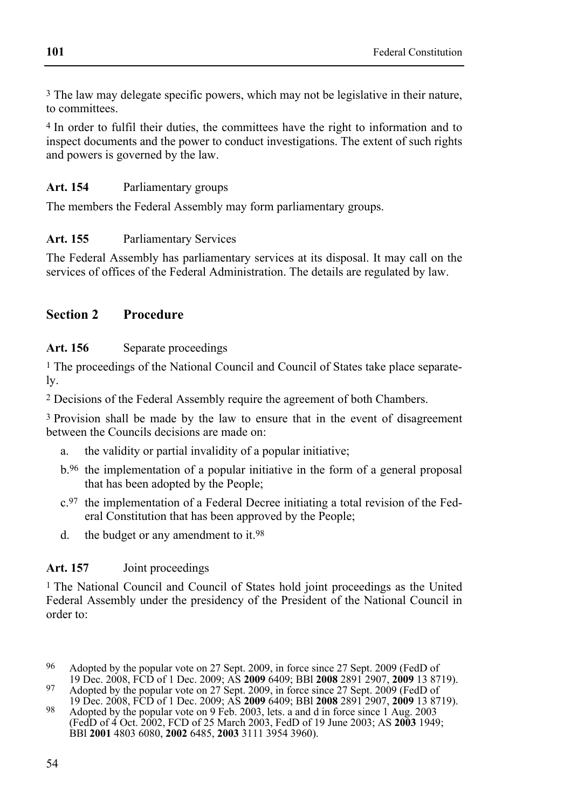3 The law may delegate specific powers, which may not be legislative in their nature, to committees.

4 In order to fulfil their duties, the committees have the right to information and to inspect documents and the power to conduct investigations. The extent of such rights and powers is governed by the law.

# **Art. 154** Parliamentary groups

The members the Federal Assembly may form parliamentary groups.

# **Art. 155** Parliamentary Services

The Federal Assembly has parliamentary services at its disposal. It may call on the services of offices of the Federal Administration. The details are regulated by law.

# **Section 2 Procedure**

# Art. 156 Separate proceedings

1 The proceedings of the National Council and Council of States take place separately.

2 Decisions of the Federal Assembly require the agreement of both Chambers.

3 Provision shall be made by the law to ensure that in the event of disagreement between the Councils decisions are made on:

- a. the validity or partial invalidity of a popular initiative;
- b.96 the implementation of a popular initiative in the form of a general proposal that has been adopted by the People;
- c.97 the implementation of a Federal Decree initiating a total revision of the Federal Constitution that has been approved by the People;
- d. the budget or any amendment to it.98

# **Art. 157** Joint proceedings

1 The National Council and Council of States hold joint proceedings as the United Federal Assembly under the presidency of the President of the National Council in order to:

<sup>&</sup>lt;sup>96</sup> Adopted by the popular vote on 27 Sept. 2009, in force since 27 Sept. 2009 (FedD of 19 Dec. 2008, FCD of 1 Dec. 2009; AS **2009** 6409; BBI **2008** 2891 2907, **2009** 13 8719). 19 Dec. 2008, FCD of 1 Dec. 2009; AS **2009** 6409; BBl **2008** 2891 2907, **2009** 13 8719). 97 Adopted by the popular vote on 27 Sept. 2009, in force since 27 Sept. 2009 (FedD of

<sup>19</sup> Dec. 2008, FCD of 1 Dec. 2009; AS **2009** 6409; BBl **2008** 2891 2907, **2009** 13 8719). 98 Adopted by the popular vote on 9 Feb. 2003, lets. a and d in force since 1 Aug. 2003 (FedD of 4 Oct. 2002, FCD of 25 March 2003, FedD of 19 June 2003; AS **2003** 1949; BBl **2001** 4803 6080, **2002** 6485, **2003** 3111 3954 3960).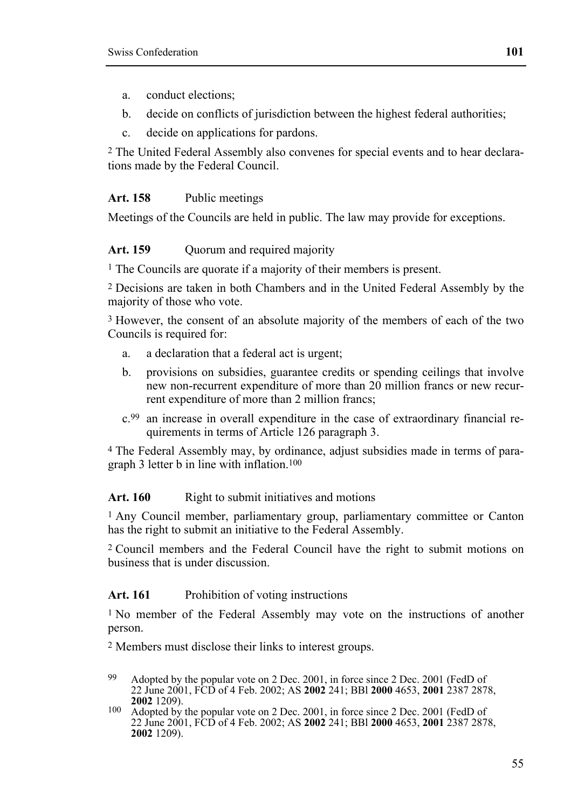- a. conduct elections;
- b. decide on conflicts of jurisdiction between the highest federal authorities;
- c. decide on applications for pardons.

2 The United Federal Assembly also convenes for special events and to hear declarations made by the Federal Council.

#### **Art. 158** Public meetings

Meetings of the Councils are held in public. The law may provide for exceptions.

#### Art. 159 Ouorum and required majority

<sup>1</sup> The Councils are quorate if a majority of their members is present.

2 Decisions are taken in both Chambers and in the United Federal Assembly by the majority of those who vote.

3 However, the consent of an absolute majority of the members of each of the two Councils is required for:

- a. a declaration that a federal act is urgent;
- b. provisions on subsidies, guarantee credits or spending ceilings that involve new non-recurrent expenditure of more than 20 million francs or new recurrent expenditure of more than 2 million francs;
- c.99 an increase in overall expenditure in the case of extraordinary financial requirements in terms of Article 126 paragraph 3.

4 The Federal Assembly may, by ordinance, adjust subsidies made in terms of paragraph 3 letter b in line with inflation.100

#### Art. 160 Right to submit initiatives and motions

1 Any Council member, parliamentary group, parliamentary committee or Canton has the right to submit an initiative to the Federal Assembly.

2 Council members and the Federal Council have the right to submit motions on business that is under discussion.

### Art. 161 Prohibition of voting instructions

1 No member of the Federal Assembly may vote on the instructions of another person.

2 Members must disclose their links to interest groups.

- 99 Adopted by the popular vote on 2 Dec. 2001, in force since 2 Dec. 2001 (FedD of 22 June 2001, FCD of 4 Feb. 2002; AS **2002** 241; BBl **2000** 4653, **2001** 2387 2878,
- <sup>2002</sup> 1209). 100 Adopted by the popular vote on 2 Dec. 2001, in force since 2 Dec. 2001 (FedD of 22 June 2001, FCD of 4 Feb. 2002; AS **2002** 241; BBl **2000** 4653, **2001** 2387 2878, **2002** 1209).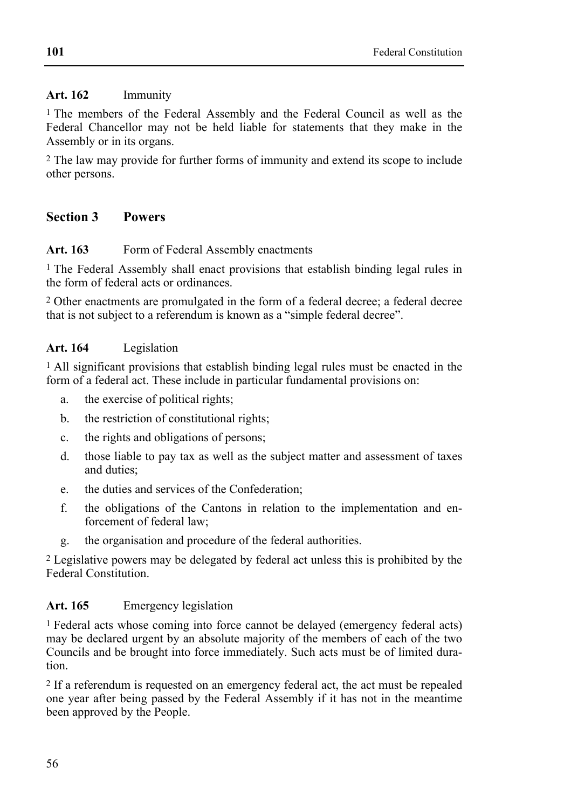## **Art. 162** Immunity

<sup>1</sup> The members of the Federal Assembly and the Federal Council as well as the Federal Chancellor may not be held liable for statements that they make in the Assembly or in its organs.

2 The law may provide for further forms of immunity and extend its scope to include other persons.

# **Section 3 Powers**

# Art. 163 Form of Federal Assembly enactments

<sup>1</sup> The Federal Assembly shall enact provisions that establish binding legal rules in the form of federal acts or ordinances.

2 Other enactments are promulgated in the form of a federal decree; a federal decree that is not subject to a referendum is known as a "simple federal decree".

# **Art. 164** Legislation

1 All significant provisions that establish binding legal rules must be enacted in the form of a federal act. These include in particular fundamental provisions on:

- a. the exercise of political rights;
- b. the restriction of constitutional rights;
- c. the rights and obligations of persons;
- d. those liable to pay tax as well as the subject matter and assessment of taxes and duties;
- e. the duties and services of the Confederation;
- f. the obligations of the Cantons in relation to the implementation and enforcement of federal law;
- g. the organisation and procedure of the federal authorities.

2 Legislative powers may be delegated by federal act unless this is prohibited by the Federal Constitution.

# **Art. 165** Emergency legislation

1 Federal acts whose coming into force cannot be delayed (emergency federal acts) may be declared urgent by an absolute majority of the members of each of the two Councils and be brought into force immediately. Such acts must be of limited duration.

2 If a referendum is requested on an emergency federal act, the act must be repealed one year after being passed by the Federal Assembly if it has not in the meantime been approved by the People.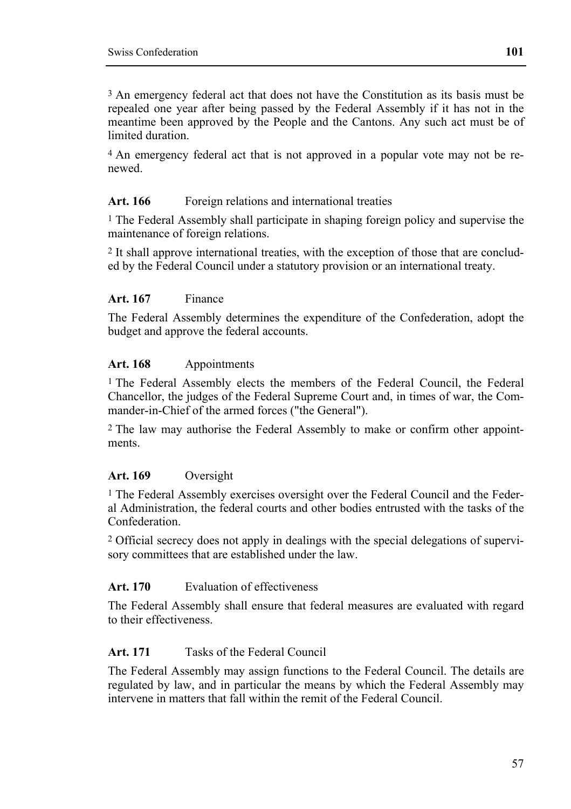3 An emergency federal act that does not have the Constitution as its basis must be repealed one year after being passed by the Federal Assembly if it has not in the meantime been approved by the People and the Cantons. Any such act must be of limited duration.

4 An emergency federal act that is not approved in a popular vote may not be renewed.

### Art. 166 Foreign relations and international treaties

<sup>1</sup> The Federal Assembly shall participate in shaping foreign policy and supervise the maintenance of foreign relations.

2 It shall approve international treaties, with the exception of those that are concluded by the Federal Council under a statutory provision or an international treaty.

### **Art. 167** Finance

The Federal Assembly determines the expenditure of the Confederation, adopt the budget and approve the federal accounts.

### **Art. 168** Appointments

1 The Federal Assembly elects the members of the Federal Council, the Federal Chancellor, the judges of the Federal Supreme Court and, in times of war, the Commander-in-Chief of the armed forces ("the General").

2 The law may authorise the Federal Assembly to make or confirm other appointments.

# **Art. 169** Oversight

<sup>1</sup> The Federal Assembly exercises oversight over the Federal Council and the Federal Administration, the federal courts and other bodies entrusted with the tasks of the Confederation.

2 Official secrecy does not apply in dealings with the special delegations of supervisory committees that are established under the law.

#### **Art. 170** Evaluation of effectiveness

The Federal Assembly shall ensure that federal measures are evaluated with regard to their effectiveness.

# **Art. 171** Tasks of the Federal Council

The Federal Assembly may assign functions to the Federal Council. The details are regulated by law, and in particular the means by which the Federal Assembly may intervene in matters that fall within the remit of the Federal Council.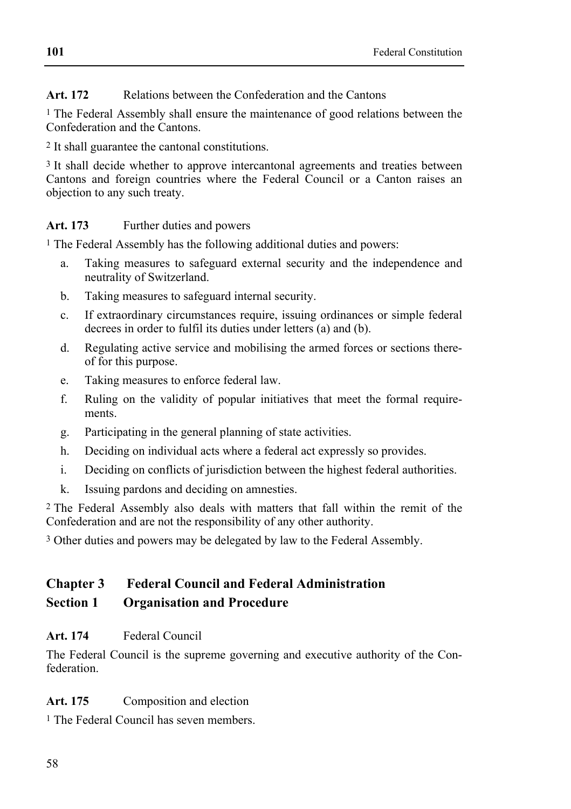# Art. 172 **Relations between the Confederation and the Cantons**

<sup>1</sup> The Federal Assembly shall ensure the maintenance of good relations between the Confederation and the Cantons.

2 It shall guarantee the cantonal constitutions.

3 It shall decide whether to approve intercantonal agreements and treaties between Cantons and foreign countries where the Federal Council or a Canton raises an objection to any such treaty.

# Art. 173 Further duties and powers

<sup>1</sup> The Federal Assembly has the following additional duties and powers:

- a. Taking measures to safeguard external security and the independence and neutrality of Switzerland.
- b. Taking measures to safeguard internal security.
- c. If extraordinary circumstances require, issuing ordinances or simple federal decrees in order to fulfil its duties under letters (a) and (b).
- d. Regulating active service and mobilising the armed forces or sections thereof for this purpose.
- e. Taking measures to enforce federal law.
- f. Ruling on the validity of popular initiatives that meet the formal requirements.
- g. Participating in the general planning of state activities.
- h. Deciding on individual acts where a federal act expressly so provides.
- i. Deciding on conflicts of jurisdiction between the highest federal authorities.
- k. Issuing pardons and deciding on amnesties.

2 The Federal Assembly also deals with matters that fall within the remit of the Confederation and are not the responsibility of any other authority.

3 Other duties and powers may be delegated by law to the Federal Assembly.

# **Chapter 3 Federal Council and Federal Administration Section 1 Organisation and Procedure**

# **Art. 174** Federal Council

The Federal Council is the supreme governing and executive authority of the Confederation.

# Art. 175 Composition and election

1 The Federal Council has seven members.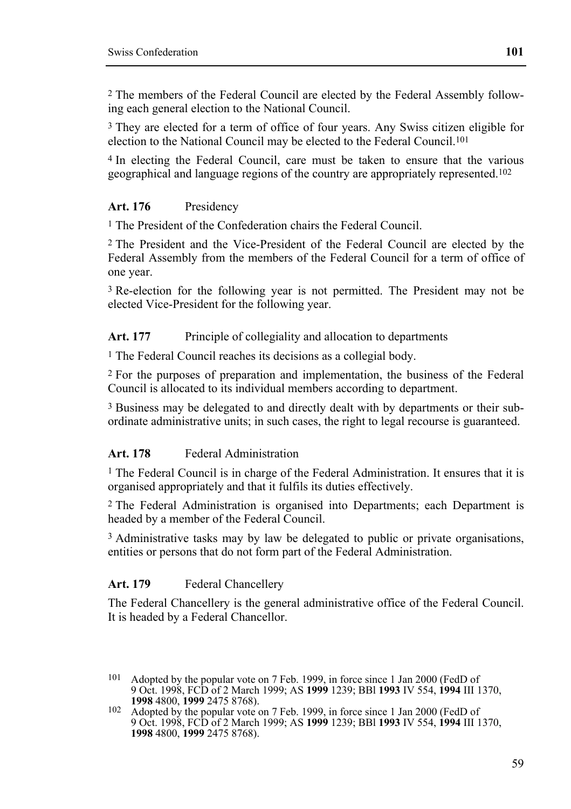2 The members of the Federal Council are elected by the Federal Assembly following each general election to the National Council.

3 They are elected for a term of office of four years. Any Swiss citizen eligible for election to the National Council may be elected to the Federal Council.101

4 In electing the Federal Council, care must be taken to ensure that the various geographical and language regions of the country are appropriately represented.102

# **Art. 176** Presidency

1 The President of the Confederation chairs the Federal Council.

2 The President and the Vice-President of the Federal Council are elected by the Federal Assembly from the members of the Federal Council for a term of office of one year.

3 Re-election for the following year is not permitted. The President may not be elected Vice-President for the following year.

Art. 177 Principle of collegiality and allocation to departments

1 The Federal Council reaches its decisions as a collegial body.

2 For the purposes of preparation and implementation, the business of the Federal Council is allocated to its individual members according to department.

3 Business may be delegated to and directly dealt with by departments or their subordinate administrative units; in such cases, the right to legal recourse is guaranteed.

# **Art. 178** Federal Administration

<sup>1</sup> The Federal Council is in charge of the Federal Administration. It ensures that it is organised appropriately and that it fulfils its duties effectively.

2 The Federal Administration is organised into Departments; each Department is headed by a member of the Federal Council.

3 Administrative tasks may by law be delegated to public or private organisations, entities or persons that do not form part of the Federal Administration.

# Art. 179 **Federal Chancellery**

The Federal Chancellery is the general administrative office of the Federal Council. It is headed by a Federal Chancellor.

<sup>101</sup> Adopted by the popular vote on 7 Feb. 1999, in force since 1 Jan 2000 (FedD of 9 Oct. 1998, FCD of 2 March 1999; AS **1999** 1239; BBl **1993** IV 554, **1994** III 1370,

<sup>102</sup> Adopted by the popular vote on 7 Feb. 1999, in force since 1 Jan 2000 (FedD of 9 Oct. 1998, FCD of 2 March 1999; AS **1999** 1239; BBl **1993** IV 554, **1994** III 1370, **1998** 4800, **1999** 2475 8768).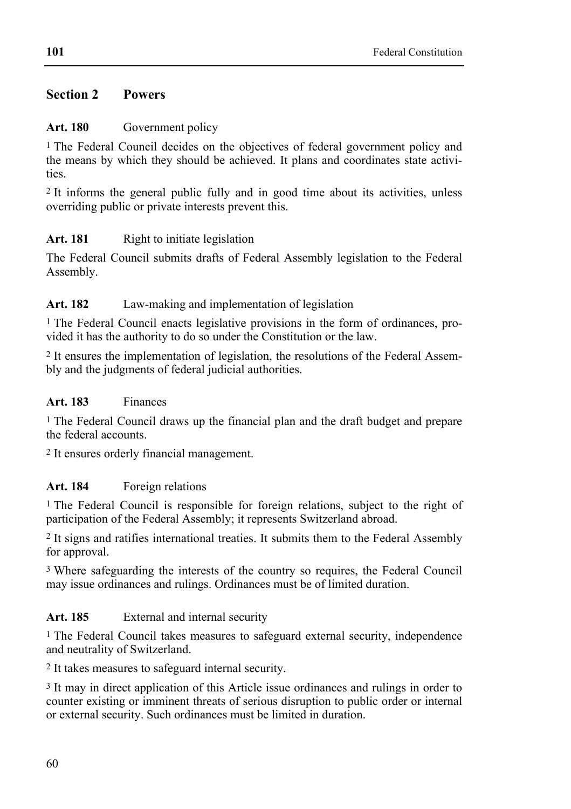# **Section 2 Powers**

# Art. 180 Government policy

<sup>1</sup> The Federal Council decides on the objectives of federal government policy and the means by which they should be achieved. It plans and coordinates state activities.

2 It informs the general public fully and in good time about its activities, unless overriding public or private interests prevent this.

# Art. 181 Right to initiate legislation

The Federal Council submits drafts of Federal Assembly legislation to the Federal Assembly.

# **Art. 182** Law-making and implementation of legislation

1 The Federal Council enacts legislative provisions in the form of ordinances, provided it has the authority to do so under the Constitution or the law.

2 It ensures the implementation of legislation, the resolutions of the Federal Assembly and the judgments of federal judicial authorities.

# **Art. 183** Finances

1 The Federal Council draws up the financial plan and the draft budget and prepare the federal accounts.

2 It ensures orderly financial management.

# **Art. 184** Foreign relations

1 The Federal Council is responsible for foreign relations, subject to the right of participation of the Federal Assembly; it represents Switzerland abroad.

2 It signs and ratifies international treaties. It submits them to the Federal Assembly for approval.

3 Where safeguarding the interests of the country so requires, the Federal Council may issue ordinances and rulings. Ordinances must be of limited duration.

# Art. 185 External and internal security

1 The Federal Council takes measures to safeguard external security, independence and neutrality of Switzerland.

2 It takes measures to safeguard internal security.

3 It may in direct application of this Article issue ordinances and rulings in order to counter existing or imminent threats of serious disruption to public order or internal or external security. Such ordinances must be limited in duration.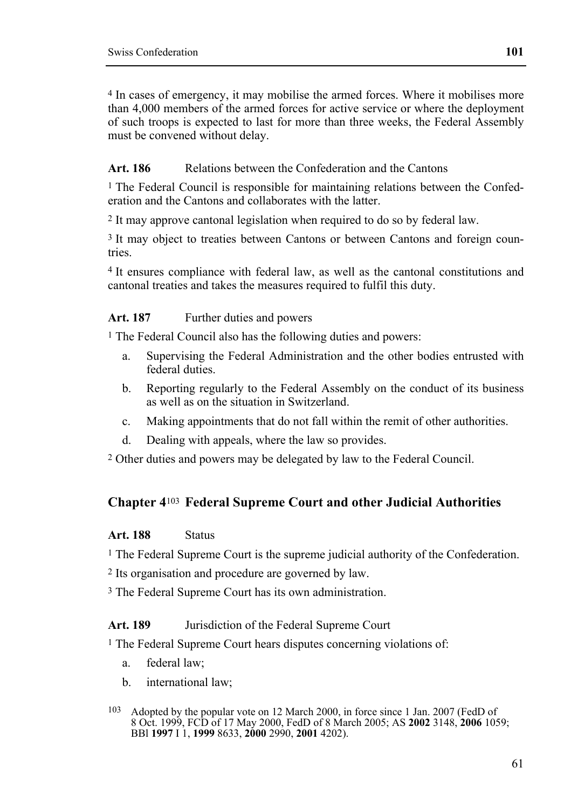4 In cases of emergency, it may mobilise the armed forces. Where it mobilises more than 4,000 members of the armed forces for active service or where the deployment of such troops is expected to last for more than three weeks, the Federal Assembly must be convened without delay.

# **Art. 186** Relations between the Confederation and the Cantons

<sup>1</sup> The Federal Council is responsible for maintaining relations between the Confederation and the Cantons and collaborates with the latter.

2 It may approve cantonal legislation when required to do so by federal law.

<sup>3</sup> It may object to treaties between Cantons or between Cantons and foreign countries.

4 It ensures compliance with federal law, as well as the cantonal constitutions and cantonal treaties and takes the measures required to fulfil this duty.

# Art. 187 Further duties and powers

1 The Federal Council also has the following duties and powers:

- a. Supervising the Federal Administration and the other bodies entrusted with federal duties.
- b. Reporting regularly to the Federal Assembly on the conduct of its business as well as on the situation in Switzerland.
- c. Making appointments that do not fall within the remit of other authorities.
- d. Dealing with appeals, where the law so provides.

2 Other duties and powers may be delegated by law to the Federal Council.

# **Chapter 4**103 **Federal Supreme Court and other Judicial Authorities**

# **Art. 188** Status

1 The Federal Supreme Court is the supreme judicial authority of the Confederation.

2 Its organisation and procedure are governed by law.

3 The Federal Supreme Court has its own administration.

**Art. 189** Jurisdiction of the Federal Supreme Court

1 The Federal Supreme Court hears disputes concerning violations of:

- a. federal law;
- b. international law;

<sup>103</sup> Adopted by the popular vote on 12 March 2000, in force since 1 Jan. 2007 (FedD of 8 Oct. 1999, FCD of 17 May 2000, FedD of 8 March 2005; AS **2002** 3148, **2006** 1059; BBl **1997** I 1, **1999** 8633, **2000** 2990, **2001** 4202).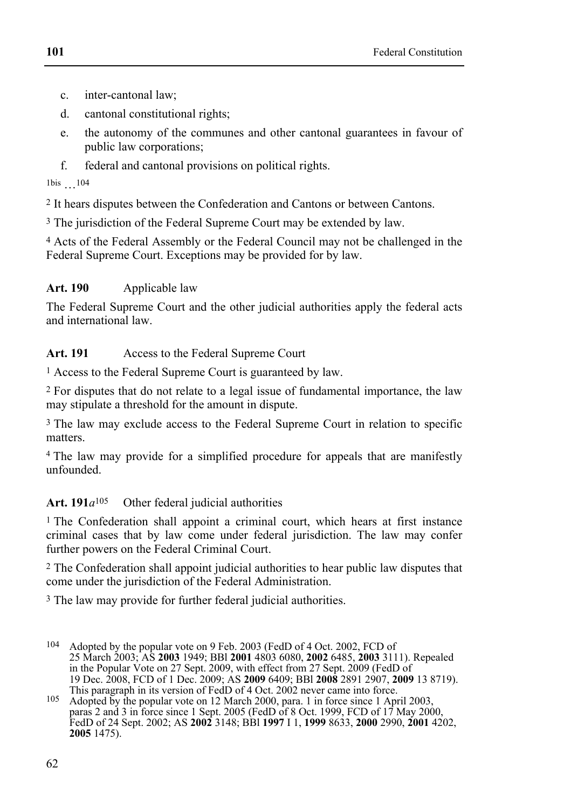- c. inter-cantonal law;
- d. cantonal constitutional rights;
- e. the autonomy of the communes and other cantonal guarantees in favour of public law corporations;
- f. federal and cantonal provisions on political rights.
- 1bis …104

2 It hears disputes between the Confederation and Cantons or between Cantons.

<sup>3</sup> The jurisdiction of the Federal Supreme Court may be extended by law.

4 Acts of the Federal Assembly or the Federal Council may not be challenged in the Federal Supreme Court. Exceptions may be provided for by law.

# **Art. 190** Applicable law

The Federal Supreme Court and the other judicial authorities apply the federal acts and international law.

# **Art. 191** Access to the Federal Supreme Court

1 Access to the Federal Supreme Court is guaranteed by law.

2 For disputes that do not relate to a legal issue of fundamental importance, the law may stipulate a threshold for the amount in dispute.

3 The law may exclude access to the Federal Supreme Court in relation to specific matters.

<sup>4</sup> The law may provide for a simplified procedure for appeals that are manifestly unfounded.

# Art.  $191a^{105}$  Other federal judicial authorities

1 The Confederation shall appoint a criminal court, which hears at first instance criminal cases that by law come under federal jurisdiction. The law may confer further powers on the Federal Criminal Court.

2 The Confederation shall appoint judicial authorities to hear public law disputes that come under the jurisdiction of the Federal Administration.

<sup>3</sup> The law may provide for further federal judicial authorities.

<sup>104</sup> Adopted by the popular vote on 9 Feb. 2003 (FedD of 4 Oct. 2002, FCD of 25 March 2003; AS **2003** 1949; BBl **2001** 4803 6080, **2002** 6485, **2003** 3111). Repealed in the Popular Vote on 27 Sept. 2009, with effect from 27 Sept. 2009 (FedD of 19 Dec. 2008, FCD of 1 Dec. 2009; AS **2009** 6409; BBl **2008** 2891 2907, **2009** 13 8719). This paragraph in its version of FedD of 4 Oct. 2002 never came into force.

<sup>105</sup> Adopted by the popular vote on 12 March 2000, para. 1 in force since 1 April 2003, paras 2 and 3 in force since 1 Sept. 2005 (FedD of 8 Oct. 1999, FCD of 17 May 2000, FedD of 24 Sept. 2002; AS **2002** 3148; BBl **1997** I 1, **1999** 8633, **2000** 2990, **2001** 4202, **2005** 1475).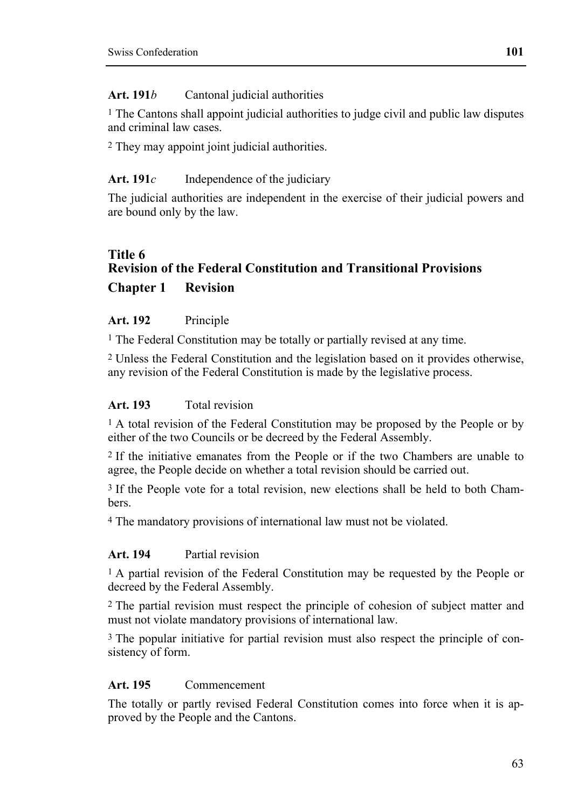#### **Art. 191***b* Cantonal judicial authorities

 $<sup>1</sup>$  The Cantons shall appoint judicial authorities to judge civil and public law disputes</sup> and criminal law cases.

2 They may appoint joint judicial authorities.

### Art. 191*c* Independence of the judiciary

The judicial authorities are independent in the exercise of their judicial powers and are bound only by the law.

# **Title 6 Revision of the Federal Constitution and Transitional Provisions Chapter 1 Revision**

# **Art. 192** Principle

1 The Federal Constitution may be totally or partially revised at any time.

2 Unless the Federal Constitution and the legislation based on it provides otherwise, any revision of the Federal Constitution is made by the legislative process.

# **Art. 193** Total revision

<sup>1</sup> A total revision of the Federal Constitution may be proposed by the People or by either of the two Councils or be decreed by the Federal Assembly.

2 If the initiative emanates from the People or if the two Chambers are unable to agree, the People decide on whether a total revision should be carried out.

3 If the People vote for a total revision, new elections shall be held to both Chambers.

4 The mandatory provisions of international law must not be violated.

#### **Art. 194** Partial revision

1 A partial revision of the Federal Constitution may be requested by the People or decreed by the Federal Assembly.

2 The partial revision must respect the principle of cohesion of subject matter and must not violate mandatory provisions of international law.

3 The popular initiative for partial revision must also respect the principle of consistency of form.

# **Art. 195** Commencement

The totally or partly revised Federal Constitution comes into force when it is approved by the People and the Cantons.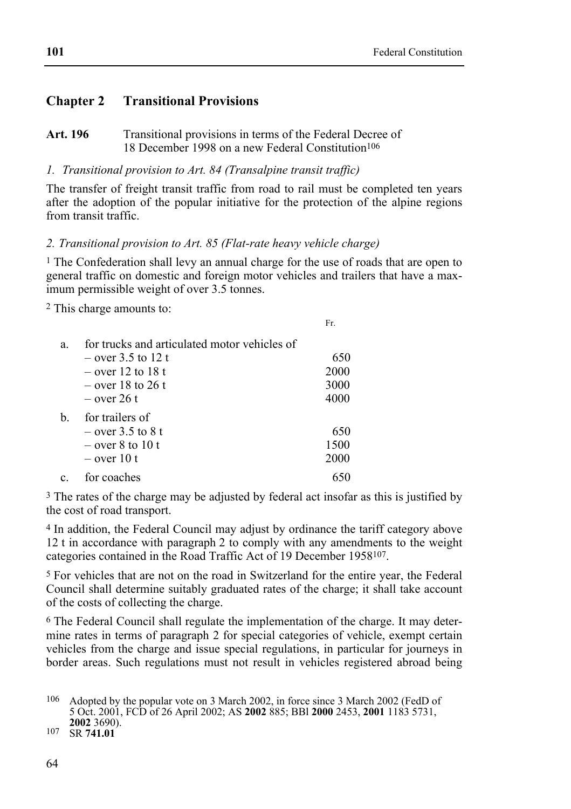# **Chapter 2 Transitional Provisions**

Art. 196 **Transitional provisions in terms of the Federal Decree of** 18 December 1998 on a new Federal Constitution<sup>106</sup>

*1. Transitional provision to Art. 84 (Transalpine transit traffic)* 

The transfer of freight transit traffic from road to rail must be completed ten years after the adoption of the popular initiative for the protection of the alpine regions from transit traffic.

*2. Transitional provision to Art. 85 (Flat-rate heavy vehicle charge)* 

1 The Confederation shall levy an annual charge for the use of roads that are open to general traffic on domestic and foreign motor vehicles and trailers that have a maximum permissible weight of over 3.5 tonnes.

2 This charge amounts to:

|    |                                              | Fr.  |
|----|----------------------------------------------|------|
| a. | for trucks and articulated motor vehicles of |      |
|    | $-$ over 3.5 to 12 t                         | 650  |
|    | $-$ over 12 to 18 t                          | 2000 |
|    | $-$ over 18 to 26 t                          | 3000 |
|    | $-$ over 26 t                                | 4000 |
| h. | for trailers of                              |      |
|    | $-$ over 3.5 to 8 t                          | 650  |
|    | $-$ over 8 to 10 t                           | 1500 |
|    | $-$ over 10 t                                | 2000 |
|    | for coaches                                  |      |

<sup>3</sup> The rates of the charge may be adjusted by federal act insofar as this is justified by the cost of road transport.

4 In addition, the Federal Council may adjust by ordinance the tariff category above 12 t in accordance with paragraph 2 to comply with any amendments to the weight categories contained in the Road Traffic Act of 19 December 1958107.

5 For vehicles that are not on the road in Switzerland for the entire year, the Federal Council shall determine suitably graduated rates of the charge; it shall take account of the costs of collecting the charge.

6 The Federal Council shall regulate the implementation of the charge. It may determine rates in terms of paragraph 2 for special categories of vehicle, exempt certain vehicles from the charge and issue special regulations, in particular for journeys in border areas. Such regulations must not result in vehicles registered abroad being

**<sup>2002</sup>** 3690). 107 SR **741.01**

<sup>106</sup> Adopted by the popular vote on 3 March 2002, in force since 3 March 2002 (FedD of 5 Oct. 2001, FCD of 26 April 2002; AS **2002** 885; BBl **2000** 2453, **2001** 1183 5731,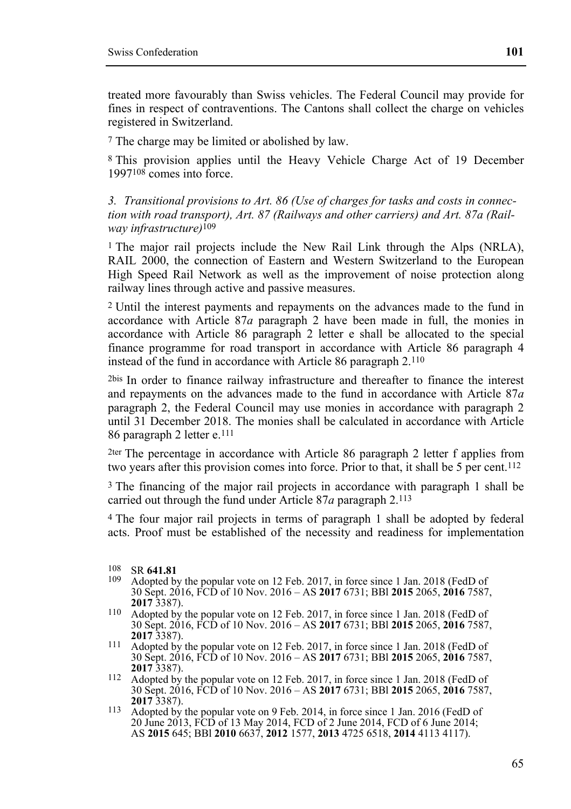treated more favourably than Swiss vehicles. The Federal Council may provide for fines in respect of contraventions. The Cantons shall collect the charge on vehicles registered in Switzerland.

7 The charge may be limited or abolished by law.

8 This provision applies until the Heavy Vehicle Charge Act of 19 December 1997108 comes into force.

*3. Transitional provisions to Art. 86 (Use of charges for tasks and costs in connection with road transport), Art. 87 (Railways and other carriers) and Art. 87a (Railway infrastructure)*109

<sup>1</sup> The major rail projects include the New Rail Link through the Alps (NRLA), RAIL 2000, the connection of Eastern and Western Switzerland to the European High Speed Rail Network as well as the improvement of noise protection along railway lines through active and passive measures.

2 Until the interest payments and repayments on the advances made to the fund in accordance with Article 87*a* paragraph 2 have been made in full, the monies in accordance with Article 86 paragraph 2 letter e shall be allocated to the special finance programme for road transport in accordance with Article 86 paragraph 4 instead of the fund in accordance with Article 86 paragraph 2.110

2bis In order to finance railway infrastructure and thereafter to finance the interest and repayments on the advances made to the fund in accordance with Article 87*a* paragraph 2, the Federal Council may use monies in accordance with paragraph 2 until 31 December 2018. The monies shall be calculated in accordance with Article 86 paragraph 2 letter e.111

2ter The percentage in accordance with Article 86 paragraph 2 letter f applies from two years after this provision comes into force. Prior to that, it shall be 5 per cent.<sup>112</sup>

<sup>3</sup> The financing of the major rail projects in accordance with paragraph 1 shall be carried out through the fund under Article 87*a* paragraph 2.113

4 The four major rail projects in terms of paragraph 1 shall be adopted by federal acts. Proof must be established of the necessity and readiness for implementation

- 109 Adopted by the popular vote on 12 Feb. 2017, in force since 1 Jan. 2018 (FedD of 30 Sept. 2016, FCD of 10 Nov. 2016 – AS **2017** 6731; BBl **2015** 2065, **2016** 7587,
- **<sup>2017</sup>** 3387). 110 Adopted by the popular vote on 12 Feb. 2017, in force since 1 Jan. 2018 (FedD of 30 Sept. 2016, FCD of 10 Nov. 2016 – AS **2017** 6731; BBl **2015** 2065, **2016** 7587,
- <sup>111</sup> Adopted by the popular vote on 12 Feb. 2017, in force since 1 Jan. 2018 (FedD of 30 Sept. 2016, FCD of 10 Nov. 2016 – AS **2017** 6731; BBl **2015** 2065, **2016** 7587,
- <sup>112</sup> Adopted by the popular vote on 12 Feb. 2017, in force since 1 Jan. 2018 (FedD of 30 Sept. 2016, FCD of 10 Nov. 2016 – AS **2017** 6731; BBl **2015** 2065, **2016** 7587,
- 113 Adopted by the popular vote on 9 Feb. 2014, in force since 1 Jan. 2016 (FedD of 20 June 2013, FCD of 13 May 2014, FCD of 2 June 2014, FCD of 6 June 2014; AS **2015** 645; BBl **2010** 6637, **2012** 1577, **2013** 4725 6518, **2014** 4113 4117).

<sup>108</sup> SR **641.81**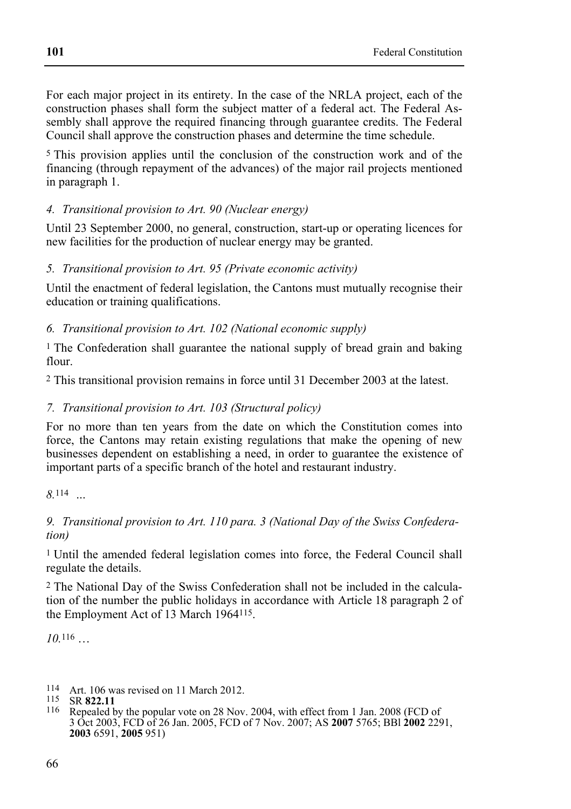For each major project in its entirety. In the case of the NRLA project, each of the construction phases shall form the subject matter of a federal act. The Federal Assembly shall approve the required financing through guarantee credits. The Federal Council shall approve the construction phases and determine the time schedule.

5 This provision applies until the conclusion of the construction work and of the financing (through repayment of the advances) of the major rail projects mentioned in paragraph 1.

# *4. Transitional provision to Art. 90 (Nuclear energy)*

Until 23 September 2000, no general, construction, start-up or operating licences for new facilities for the production of nuclear energy may be granted.

### *5. Transitional provision to Art. 95 (Private economic activity)*

Until the enactment of federal legislation, the Cantons must mutually recognise their education or training qualifications.

# *6. Transitional provision to Art. 102 (National economic supply)*

<sup>1</sup> The Confederation shall guarantee the national supply of bread grain and baking flour.

2 This transitional provision remains in force until 31 December 2003 at the latest.

# *7. Transitional provision to Art. 103 (Structural policy)*

For no more than ten years from the date on which the Constitution comes into force, the Cantons may retain existing regulations that make the opening of new businesses dependent on establishing a need, in order to guarantee the existence of important parts of a specific branch of the hotel and restaurant industry.

# *9. Transitional provision to Art. 110 para. 3 (National Day of the Swiss Confederation)*

1 Until the amended federal legislation comes into force, the Federal Council shall regulate the details.

2 The National Day of the Swiss Confederation shall not be included in the calculation of the number the public holidays in accordance with Article 18 paragraph 2 of the Employment Act of 13 March 1964115.

*10.*116 …

114 Art. 106 was revised on 11 March 2012.

116 Repealed by the popular vote on 28 Nov. 2004, with effect from 1 Jan. 2008 (FCD of 3 Oct 2003, FCD of 26 Jan. 2005, FCD of 7 Nov. 2007; AS **2007** 5765; BBl **2002** 2291, **2003** 6591, **2005** 951)

*<sup>8.</sup>*114 *…* 

<sup>115</sup> SR **822.11**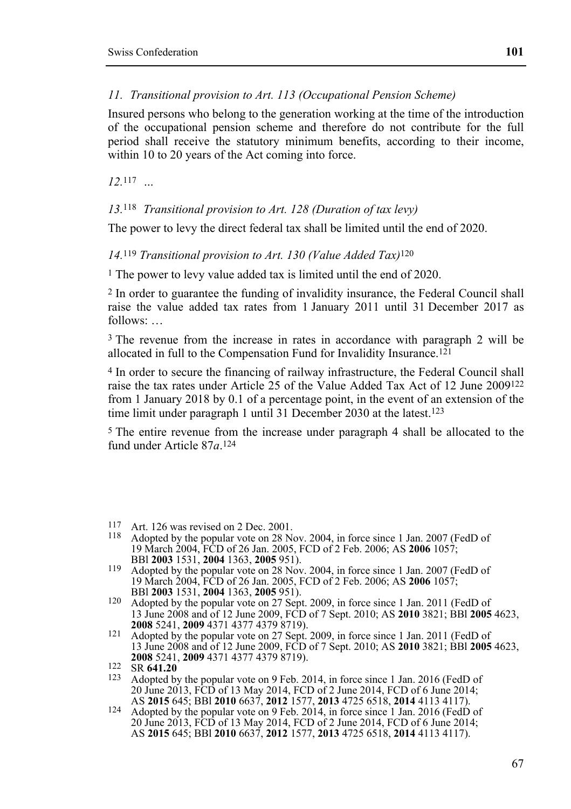### *11. Transitional provision to Art. 113 (Occupational Pension Scheme)*

Insured persons who belong to the generation working at the time of the introduction of the occupational pension scheme and therefore do not contribute for the full period shall receive the statutory minimum benefits, according to their income, within 10 to 20 years of the Act coming into force.

*12.*117 *…* 

### *13.*118 *Transitional provision to Art. 128 (Duration of tax levy)*

The power to levy the direct federal tax shall be limited until the end of 2020.

*14.*119 *Transitional provision to Art. 130 (Value Added Tax)*120

1 The power to levy value added tax is limited until the end of 2020.

2 In order to guarantee the funding of invalidity insurance, the Federal Council shall raise the value added tax rates from 1 January 2011 until 31 December 2017 as follows: …

3 The revenue from the increase in rates in accordance with paragraph 2 will be allocated in full to the Compensation Fund for Invalidity Insurance.121

4 In order to secure the financing of railway infrastructure, the Federal Council shall raise the tax rates under Article 25 of the Value Added Tax Act of 12 June 2009122 from 1 January 2018 by 0.1 of a percentage point, in the event of an extension of the time limit under paragraph 1 until 31 December 2030 at the latest.123

5 The entire revenue from the increase under paragraph 4 shall be allocated to the fund under Article 87*a*.124

- 117 Art. 126 was revised on 2 Dec. 2001.
- 118 Adopted by the popular vote on 28 Nov. 2004, in force since 1 Jan. 2007 (FedD of 19 March 2004, FCD of 26 Jan. 2005, FCD of 2 Feb. 2006; AS **2006** 1057;
- 119 Adopted by the popular vote on 28 Nov. 2004, in force since 1 Jan. 2007 (FedD of 19 March 2004, FCD of 26 Jan. 2005, FCD of 2 Feb. 2006; AS **2006** 1057;
- <sup>120</sup> Adopted by the popular vote on 27 Sept. 2009, in force since 1 Jan. 2011 (FedD of 13 June 2008 and of 12 June 2009, FCD of 7 Sept. 2010; AS **2010** 3821; BBl **2005** 4623,
- **2008** 5241, **2009** 4371 4377 4379 8719).<br><sup>121</sup> Adopted by the popular vote on 27 Sept. 2009, in force since 1 Jan. 2011 (FedD of 13 June 2008 and of 12 June 2009, FCD of 7 Sept. 2010; AS **2010** 3821; BBl **2005** 4623, **<sup>2008</sup>** 5241, **2009** 4371 4377 4379 8719). 122 SR **641.20**

<sup>&</sup>lt;sup>123</sup> Adopted by the popular vote on 9 Feb. 2014, in force since 1 Jan. 2016 (FedD of 20 June 2013, FCD of 13 May 2014, FCD of 2 June 2014, FCD of 6 June 2014; AS 2015 645; BBI 2010 6637, 2012 1577, 2013 4725 6518, 2014 4113 4117).

AS **2015** 645; BBl **2010** 6637, **2012** 1577, **2013** 4725 6518, **2014** 4113 4117). 124 Adopted by the popular vote on 9 Feb. 2014, in force since 1 Jan. 2016 (FedD of 20 June 2013, FCD of 13 May 2014, FCD of 2 June 2014, FCD of 6 June 2014; AS **2015** 645; BBl **2010** 6637, **2012** 1577, **2013** 4725 6518, **2014** 4113 4117).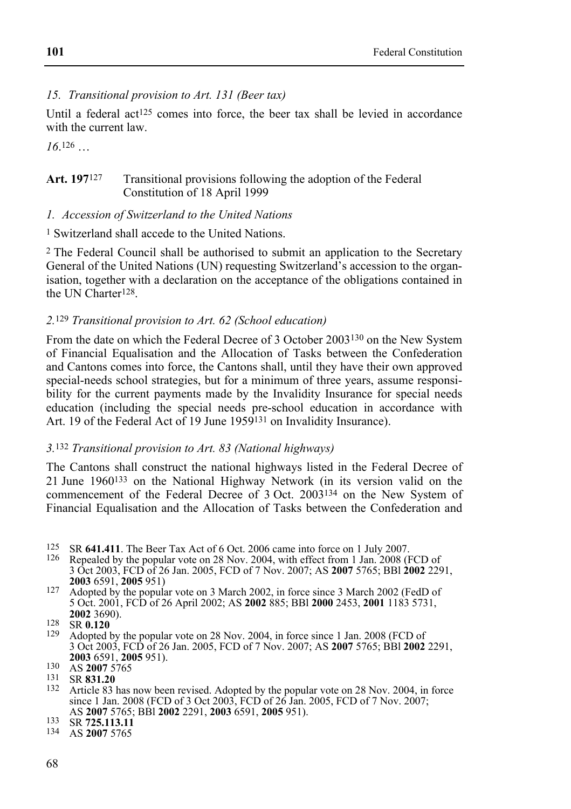#### *15. Transitional provision to Art. 131 (Beer tax)*

Until a federal act<sup>125</sup> comes into force, the beer tax shall be levied in accordance with the current law.

*16*.126 …

#### Art. 197<sup>127</sup> Transitional provisions following the adoption of the Federal Constitution of 18 April 1999

#### *1. Accession of Switzerland to the United Nations*

1 Switzerland shall accede to the United Nations.

2 The Federal Council shall be authorised to submit an application to the Secretary General of the United Nations (UN) requesting Switzerland's accession to the organisation, together with a declaration on the acceptance of the obligations contained in the UN Charter128.

### *2.*129 *Transitional provision to Art. 62 (School education)*

From the date on which the Federal Decree of 3 October 2003130 on the New System of Financial Equalisation and the Allocation of Tasks between the Confederation and Cantons comes into force, the Cantons shall, until they have their own approved special-needs school strategies, but for a minimum of three years, assume responsibility for the current payments made by the Invalidity Insurance for special needs education (including the special needs pre-school education in accordance with Art. 19 of the Federal Act of 19 June 1959<sup>131</sup> on Invalidity Insurance).

# *3.*132 *Transitional provision to Art. 83 (National highways)*

The Cantons shall construct the national highways listed in the Federal Decree of 21 June 1960133 on the National Highway Network (in its version valid on the commencement of the Federal Decree of 3 Oct. 2003134 on the New System of Financial Equalisation and the Allocation of Tasks between the Confederation and

- 125 125 SR **641.411**. The Beer Tax Act of 6 Oct. 2006 came into force on 1 July 2007.<br>126 Repealed by the popular vote on 28 Nov. 2004, with effect from 1 Jan 2008 (B
- Repealed by the popular vote on 28 Nov. 2004, with effect from 1 Jan. 2008 (FCD of 3 Oct 2003, FCD of 26 Jan. 2005, FCD of 7 Nov. 2007; AS **2007** 5765; BBl **2002** 2291,
- <sup>227</sup> Adopted by the popular vote on 3 March 2002, in force since 3 March 2002 (FedD of 5 Oct. 2001, FCD of 26 April 2002; AS **2002** 885; BBl **2000** 2453, **2001** 1183 5731,
- 128 **SR 0.120**<br>129 Adopted 1
- Adopted by the popular vote on 28 Nov. 2004, in force since 1 Jan. 2008 (FCD of 3 Oct 2003, FCD of 26 Jan. 2005, FCD of 7 Nov. 2007; AS **2007** 5765; BBl **2002** 2291,
- **<sup>2003</sup>** 6591, **2005** 951). 130 AS **2007**<sup>5765</sup>
- 131 SR **831.20**
- <sup>132</sup> Article 83 has now been revised. Adopted by the popular vote on 28 Nov. 2004, in force since 1 Jan. 2008 (FCD of 3 Oct 2003, FCD of 26 Jan. 2005, FCD of 7 Nov. 2007; AS **2007** 5765; BBl **2002** 2291, **2003** 6591, **2005** 951). 133 SR **725.113.11**
- 
- 134 AS **2007** 5765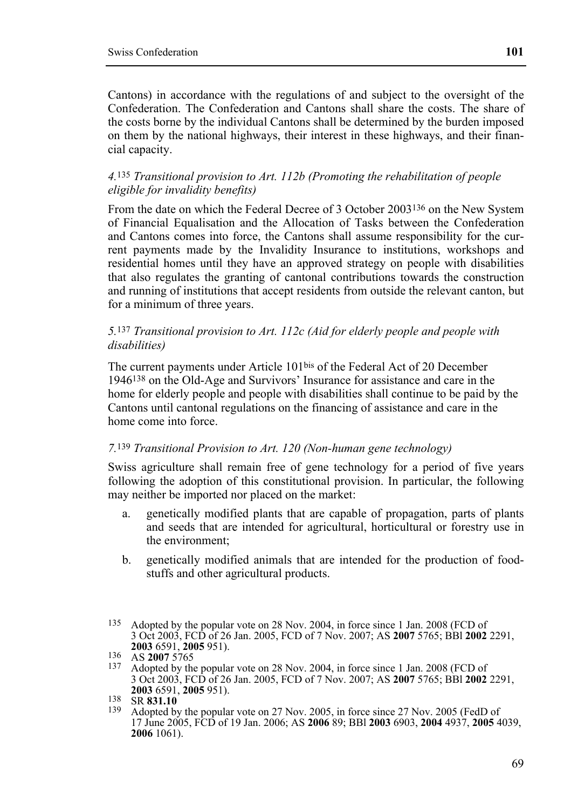Cantons) in accordance with the regulations of and subject to the oversight of the Confederation. The Confederation and Cantons shall share the costs. The share of the costs borne by the individual Cantons shall be determined by the burden imposed on them by the national highways, their interest in these highways, and their financial capacity.

#### *4.*135 *Transitional provision to Art. 112b (Promoting the rehabilitation of people eligible for invalidity benefits)*

From the date on which the Federal Decree of 3 October 2003136 on the New System of Financial Equalisation and the Allocation of Tasks between the Confederation and Cantons comes into force, the Cantons shall assume responsibility for the current payments made by the Invalidity Insurance to institutions, workshops and residential homes until they have an approved strategy on people with disabilities that also regulates the granting of cantonal contributions towards the construction and running of institutions that accept residents from outside the relevant canton, but for a minimum of three years.

### *5.*137 *Transitional provision to Art. 112c (Aid for elderly people and people with disabilities)*

The current payments under Article 101bis of the Federal Act of 20 December 1946138 on the Old-Age and Survivors' Insurance for assistance and care in the home for elderly people and people with disabilities shall continue to be paid by the Cantons until cantonal regulations on the financing of assistance and care in the home come into force.

#### *7.*139 *Transitional Provision to Art. 120 (Non-human gene technology)*

Swiss agriculture shall remain free of gene technology for a period of five years following the adoption of this constitutional provision. In particular, the following may neither be imported nor placed on the market:

- a. genetically modified plants that are capable of propagation, parts of plants and seeds that are intended for agricultural, horticultural or forestry use in the environment;
- b. genetically modified animals that are intended for the production of foodstuffs and other agricultural products.

<sup>135</sup> Adopted by the popular vote on 28 Nov. 2004, in force since 1 Jan. 2008 (FCD of 3 Oct 2003, FCD of 26 Jan. 2005, FCD of 7 Nov. 2007; AS **2007** 5765; BBl **2002** 2291,

**<sup>2003</sup>** 6591, **2005** 951). 136 AS **2007**<sup>5765</sup>

Adopted by the popular vote on 28 Nov. 2004, in force since 1 Jan. 2008 (FCD of 3 Oct 2003, FCD of 26 Jan. 2005, FCD of 7 Nov. 2007; AS **2007** 5765; BBl **2002** 2291, **<sup>2003</sup>** 6591, **2005** 951). 138 SR **831.10**

<sup>&</sup>lt;sup>139</sup> Adopted by the popular vote on 27 Nov. 2005, in force since 27 Nov. 2005 (FedD of 17 June 2005, FCD of 19 Jan. 2006; AS **2006** 89; BBl **2003** 6903, **2004** 4937, **2005** 4039, **2006** 1061).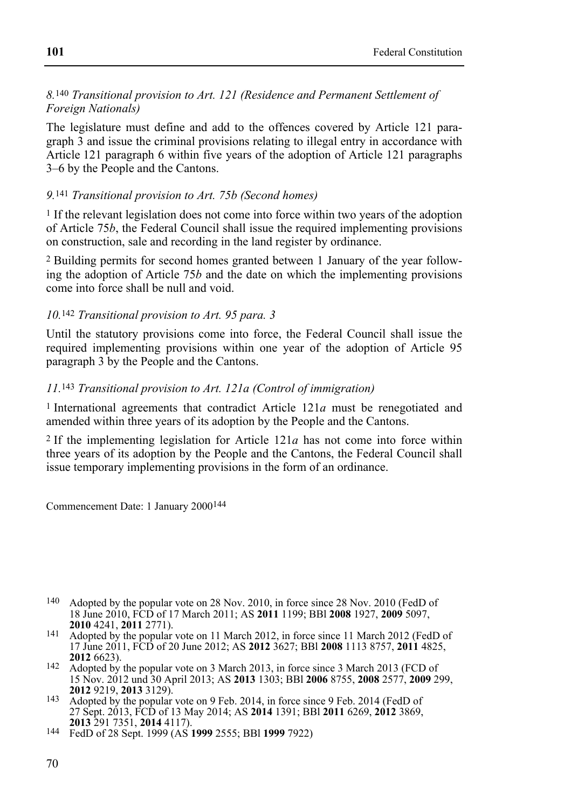#### *8.*140 *Transitional provision to Art. 121 (Residence and Permanent Settlement of Foreign Nationals)*

The legislature must define and add to the offences covered by Article 121 paragraph 3 and issue the criminal provisions relating to illegal entry in accordance with Article 121 paragraph 6 within five years of the adoption of Article 121 paragraphs 3–6 by the People and the Cantons.

#### *9.*141 *Transitional provision to Art. 75b (Second homes)*

1 If the relevant legislation does not come into force within two years of the adoption of Article 75*b*, the Federal Council shall issue the required implementing provisions on construction, sale and recording in the land register by ordinance.

2 Building permits for second homes granted between 1 January of the year following the adoption of Article 75*b* and the date on which the implementing provisions come into force shall be null and void.

### *10.*142 *Transitional provision to Art. 95 para. 3*

Until the statutory provisions come into force, the Federal Council shall issue the required implementing provisions within one year of the adoption of Article 95 paragraph 3 by the People and the Cantons.

#### *11.*143 *Transitional provision to Art. 121a (Control of immigration)*

1 International agreements that contradict Article 121*a* must be renegotiated and amended within three years of its adoption by the People and the Cantons.

2 If the implementing legislation for Article 121*a* has not come into force within three years of its adoption by the People and the Cantons, the Federal Council shall issue temporary implementing provisions in the form of an ordinance.

Commencement Date: 1 January 2000144

- 140 Adopted by the popular vote on 28 Nov. 2010, in force since 28 Nov. 2010 (FedD of 18 June 2010, FCD of 17 March 2011; AS **2011** 1199; BBl **2008** 1927, **2009** 5097,
- <sup>141</sup> Adopted by the popular vote on 11 March 2012, in force since 11 March 2012 (FedD of 17 June 2011, FCD of 20 June 2012; AS **2012** 3627; BBl **2008** 1113 8757, **2011** 4825,
- <sup>142</sup> Adopted by the popular vote on 3 March 2013, in force since 3 March 2013 (FCD of 15 Nov. 2012 und 30 April 2013; AS **2013** 1303; BBl **2006** 8755, **2008** 2577, **2009** 299,
- <sup>143</sup> Adopted by the popular vote on 9 Feb. 2014, in force since 9 Feb. 2014 (FedD of 27 Sept. 2013, FCD of 13 May 2014; AS **2014** 1391; BBl **2011** 6269, **2012** 3869,

**<sup>2013</sup>** 291 7351, **2014** 4117). 144 FedD of 28 Sept. 1999 (AS **1999** 2555; BBl **1999** 7922)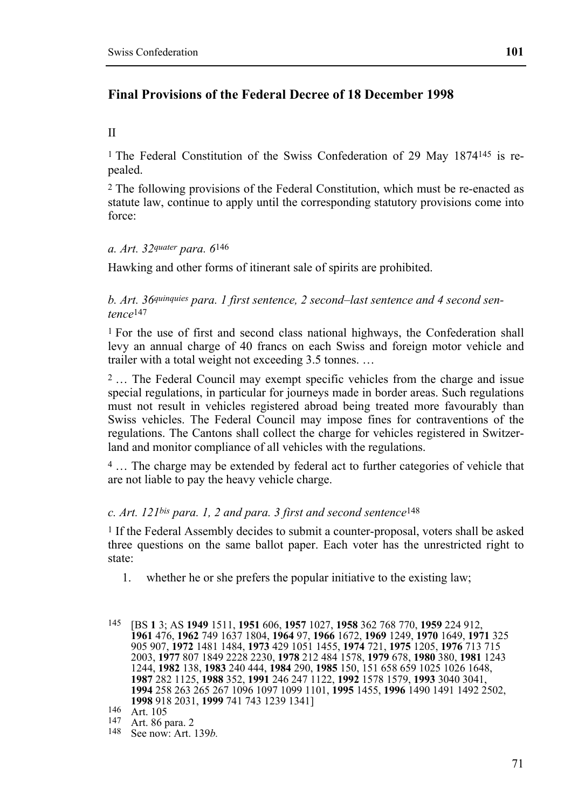# **Final Provisions of the Federal Decree of 18 December 1998**

### II

1 The Federal Constitution of the Swiss Confederation of 29 May 1874145 is repealed.

2 The following provisions of the Federal Constitution, which must be re-enacted as statute law, continue to apply until the corresponding statutory provisions come into force:

# *a. Art. 32quater para. 6*146

Hawking and other forms of itinerant sale of spirits are prohibited.

*b. Art. 36quinquies para. 1 first sentence, 2 second–last sentence and 4 second sentence*147

1 For the use of first and second class national highways, the Confederation shall levy an annual charge of 40 francs on each Swiss and foreign motor vehicle and trailer with a total weight not exceeding 3.5 tonnes. …

2 … The Federal Council may exempt specific vehicles from the charge and issue special regulations, in particular for journeys made in border areas. Such regulations must not result in vehicles registered abroad being treated more favourably than Swiss vehicles. The Federal Council may impose fines for contraventions of the regulations. The Cantons shall collect the charge for vehicles registered in Switzerland and monitor compliance of all vehicles with the regulations.

4 … The charge may be extended by federal act to further categories of vehicle that are not liable to pay the heavy vehicle charge.

# *c. Art. 121bis para. 1, 2 and para. 3 first and second sentence*148

<sup>1</sup> If the Federal Assembly decides to submit a counter-proposal, voters shall be asked three questions on the same ballot paper. Each voter has the unrestricted right to state:

- 1. whether he or she prefers the popular initiative to the existing law;
- 145 [BS **1** 3; AS **1949** 1511, **1951** 606, **1957** 1027, **1958** 362 768 770, **1959** 224 912, **1961** 476, **1962** 749 1637 1804, **1964** 97, **1966** 1672, **1969** 1249, **1970** 1649, **1971** 325 905 907, **1972** 1481 1484, **1973** 429 1051 1455, **1974** 721, **1975** 1205, **1976** 713 715 2003, **1977** 807 1849 2228 2230, **1978** 212 484 1578, **1979** 678, **1980** 380, **1981** 1243 1244, **1982** 138, **1983** 240 444, **1984** 290, **1985** 150, 151 658 659 1025 1026 1648, **1987** 282 1125, **1988** 352, **1991** 246 247 1122, **1992** 1578 1579, **1993** 3040 3041, **1994** 258 263 265 267 1096 1097 1099 1101, **1995** 1455, **1996** 1490 1491 1492 2502, **1998** 918 2031, **1999** 741 743 1239 1341]<br><sup>146</sup> Art. 105<br><sup>147</sup> Art. 86 para. 2

148 See now: Art. 139*b*.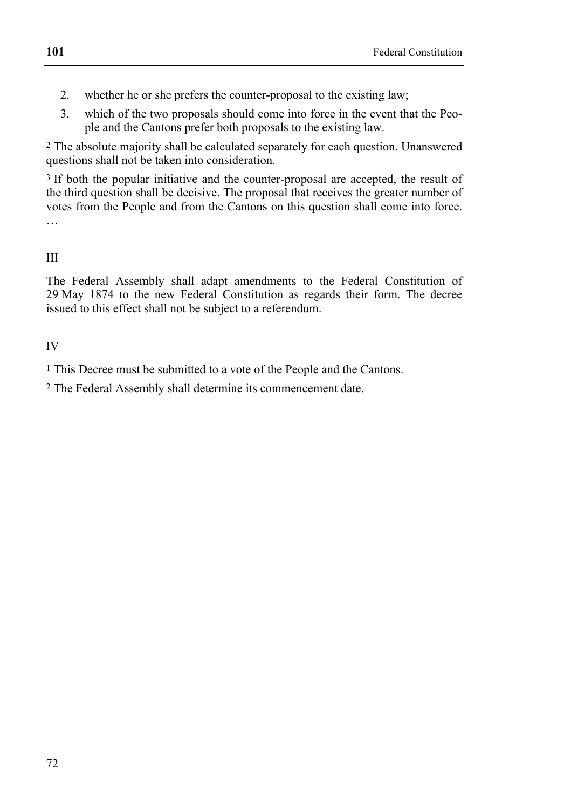- 2. whether he or she prefers the counter-proposal to the existing law;
- 3. which of the two proposals should come into force in the event that the People and the Cantons prefer both proposals to the existing law.

2 The absolute majority shall be calculated separately for each question. Unanswered questions shall not be taken into consideration.

<sup>3</sup> If both the popular initiative and the counter-proposal are accepted, the result of the third question shall be decisive. The proposal that receives the greater number of votes from the People and from the Cantons on this question shall come into force. …

III

The Federal Assembly shall adapt amendments to the Federal Constitution of 29 May 1874 to the new Federal Constitution as regards their form. The decree issued to this effect shall not be subject to a referendum.

IV

1 This Decree must be submitted to a vote of the People and the Cantons.

2 The Federal Assembly shall determine its commencement date.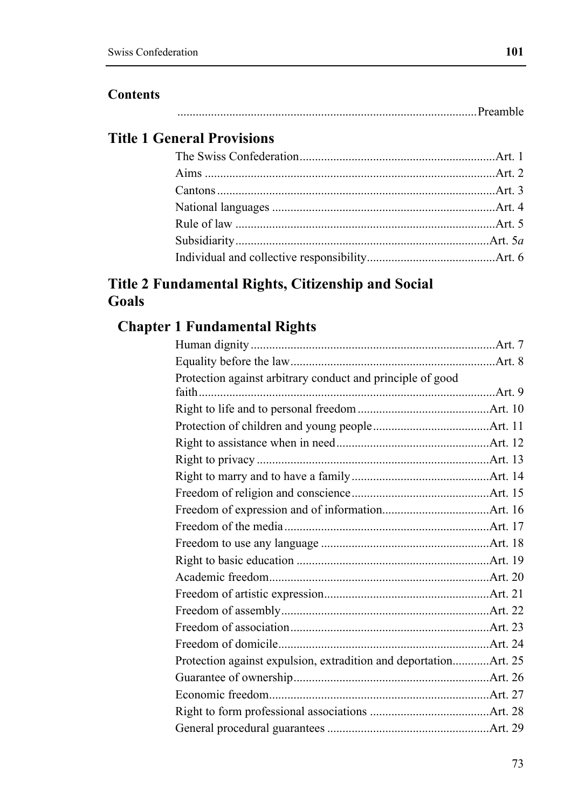#### **Contents**

# **Title 1 General Provisions**

### **Title 2 Fundamental Rights, Citizenship and Social Goals**

## **Chapter 1 Fundamental Rights**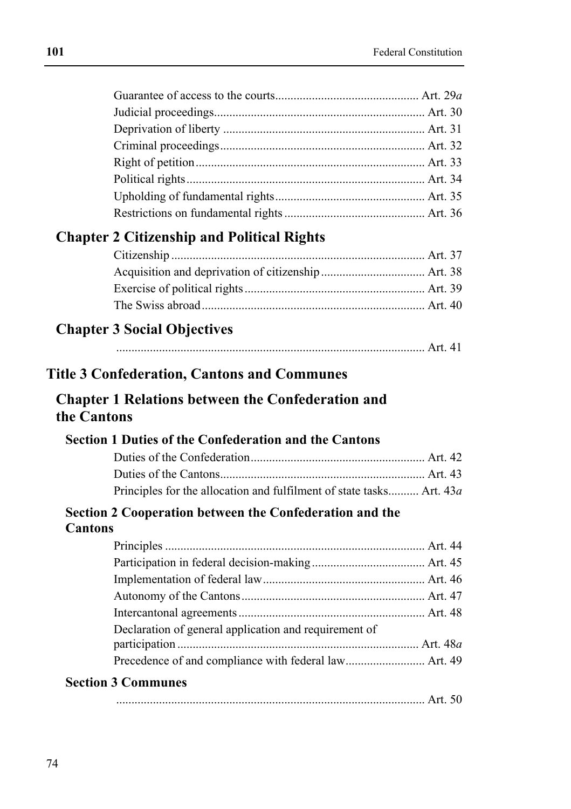|                | <b>Chapter 2 Citizenship and Political Rights</b>                    |  |
|----------------|----------------------------------------------------------------------|--|
|                |                                                                      |  |
|                |                                                                      |  |
|                |                                                                      |  |
|                |                                                                      |  |
|                |                                                                      |  |
|                | <b>Chapter 3 Social Objectives</b>                                   |  |
|                |                                                                      |  |
|                | <b>Title 3 Confederation, Cantons and Communes</b>                   |  |
|                |                                                                      |  |
|                | <b>Chapter 1 Relations between the Confederation and</b>             |  |
| the Cantons    |                                                                      |  |
|                |                                                                      |  |
|                | <b>Section 1 Duties of the Confederation and the Cantons</b>         |  |
|                |                                                                      |  |
|                |                                                                      |  |
|                |                                                                      |  |
|                | Principles for the allocation and fulfilment of state tasks Art. 43a |  |
|                | Section 2 Cooperation between the Confederation and the              |  |
| <b>Cantons</b> |                                                                      |  |
|                |                                                                      |  |
|                |                                                                      |  |
|                |                                                                      |  |
|                |                                                                      |  |
|                |                                                                      |  |
|                | Declaration of general application and requirement of                |  |
|                |                                                                      |  |
|                |                                                                      |  |
|                | <b>Section 3 Communes</b>                                            |  |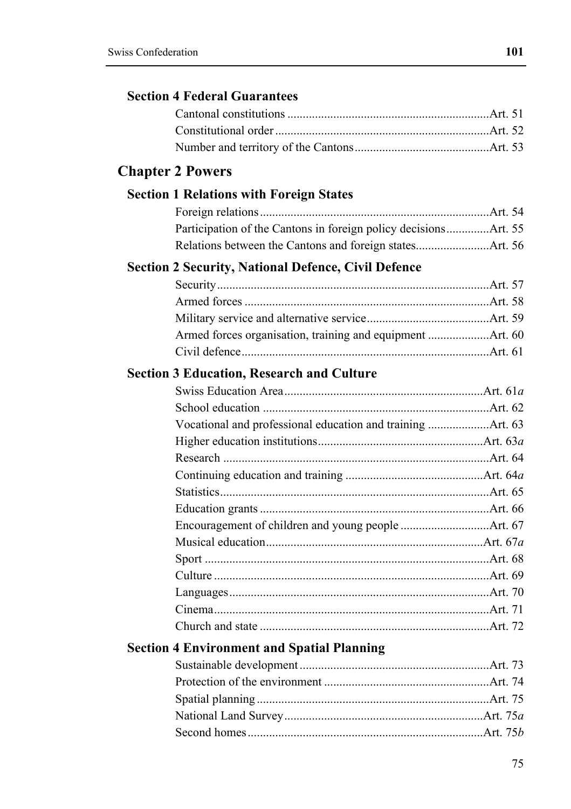#### **Chapter 2 Powers**

#### **Section 1 Relations with Foreign States**

#### **Section 2 Security, National Defence, Civil Defence**

#### **Section 3 Education, Research and Culture**

#### **Section 4 Environment and Spatial Planning**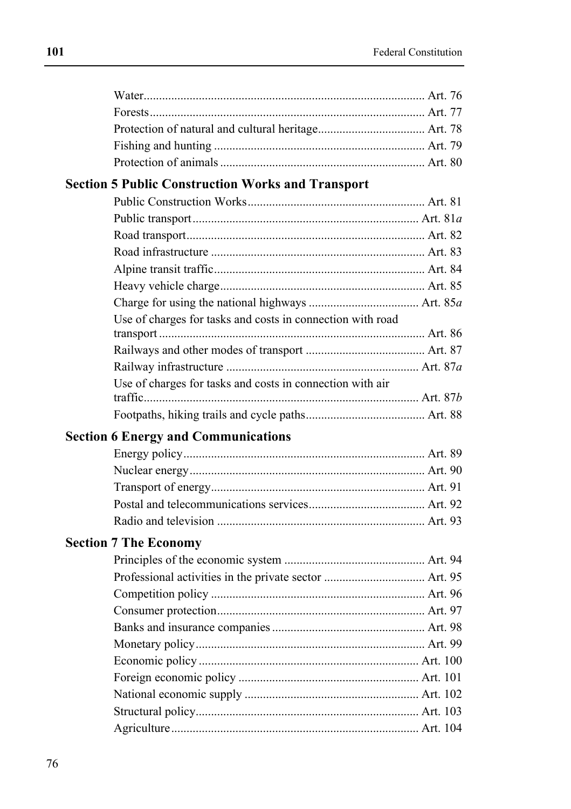### **Section 5 Public Construction Works and Transport**

| Use of charges for tasks and costs in connection with road |  |
|------------------------------------------------------------|--|
|                                                            |  |
|                                                            |  |
|                                                            |  |
|                                                            |  |
| Use of charges for tasks and costs in connection with air  |  |
|                                                            |  |

### **Section 6 Energy and Communications**

#### **Section 7 The Economy**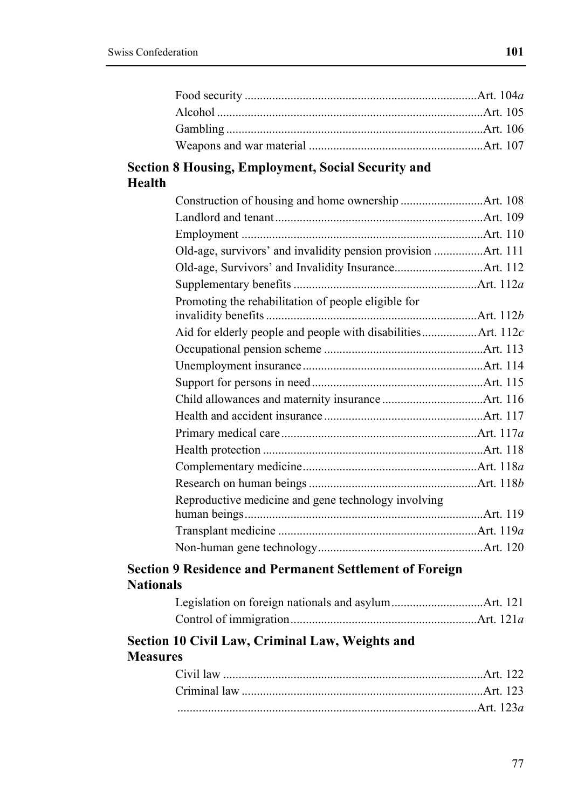#### **Section 8 Housing, Employment, Social Security and Health**

| Old-age, survivors' and invalidity pension provision Art. 111 |  |
|---------------------------------------------------------------|--|
|                                                               |  |
|                                                               |  |
| Promoting the rehabilitation of people eligible for           |  |
|                                                               |  |
| Aid for elderly people and people with disabilitiesArt. 112c  |  |
|                                                               |  |
|                                                               |  |
|                                                               |  |
|                                                               |  |
|                                                               |  |
|                                                               |  |
|                                                               |  |
|                                                               |  |
|                                                               |  |
| Reproductive medicine and gene technology involving           |  |
|                                                               |  |
|                                                               |  |
|                                                               |  |
|                                                               |  |

#### **Section 9 Residence and Permanent Settlement of Foreign Nationals**

### **Section 10 Civil Law, Criminal Law, Weights and Measures**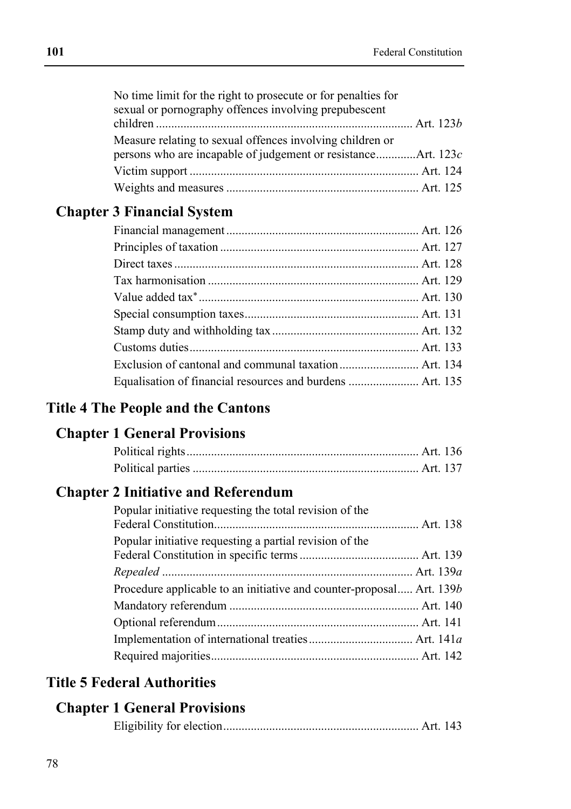| No time limit for the right to prosecute or for penalties for |  |  |
|---------------------------------------------------------------|--|--|

| sexual or pornography offences involving prepubescent     |  |
|-----------------------------------------------------------|--|
|                                                           |  |
| Measure relating to sexual offences involving children or |  |
|                                                           |  |
|                                                           |  |
|                                                           |  |

### **Chapter 3 Financial System**

| Equalisation of financial resources and burdens  Art. 135 |  |
|-----------------------------------------------------------|--|

#### **Title 4 The People and the Cantons**

### **Chapter 1 General Provisions**

### **Chapter 2 Initiative and Referendum**

| Popular initiative requesting the total revision of the              |  |
|----------------------------------------------------------------------|--|
| Popular initiative requesting a partial revision of the              |  |
|                                                                      |  |
|                                                                      |  |
| Procedure applicable to an initiative and counter-proposal Art. 139b |  |
|                                                                      |  |
|                                                                      |  |
|                                                                      |  |
|                                                                      |  |
|                                                                      |  |

### **Title 5 Federal Authorities**

#### **Chapter 1 General Provisions**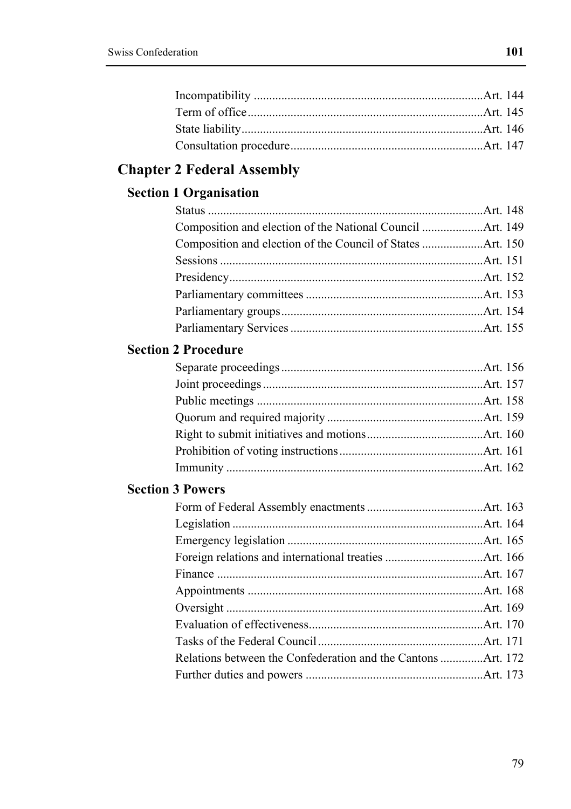# **Chapter 2 Federal Assembly**

### **Section 1 Organisation**

#### **Section 2 Procedure**

### **Section 3 Powers**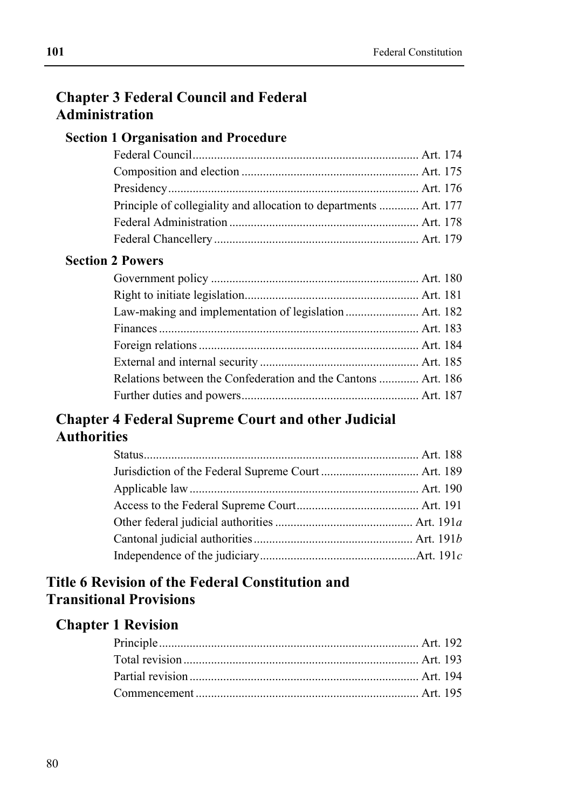### **Chapter 3 Federal Council and Federal Administration**

#### **Section 1 Organisation and Procedure**

| Principle of collegiality and allocation to departments  Art. 177 |  |
|-------------------------------------------------------------------|--|
|                                                                   |  |
|                                                                   |  |

#### **Section 2 Powers**

| Relations between the Confederation and the Cantons  Art. 186 |  |
|---------------------------------------------------------------|--|
|                                                               |  |

### **Chapter 4 Federal Supreme Court and other Judicial Authorities**

### **Title 6 Revision of the Federal Constitution and Transitional Provisions**

#### **Chapter 1 Revision**